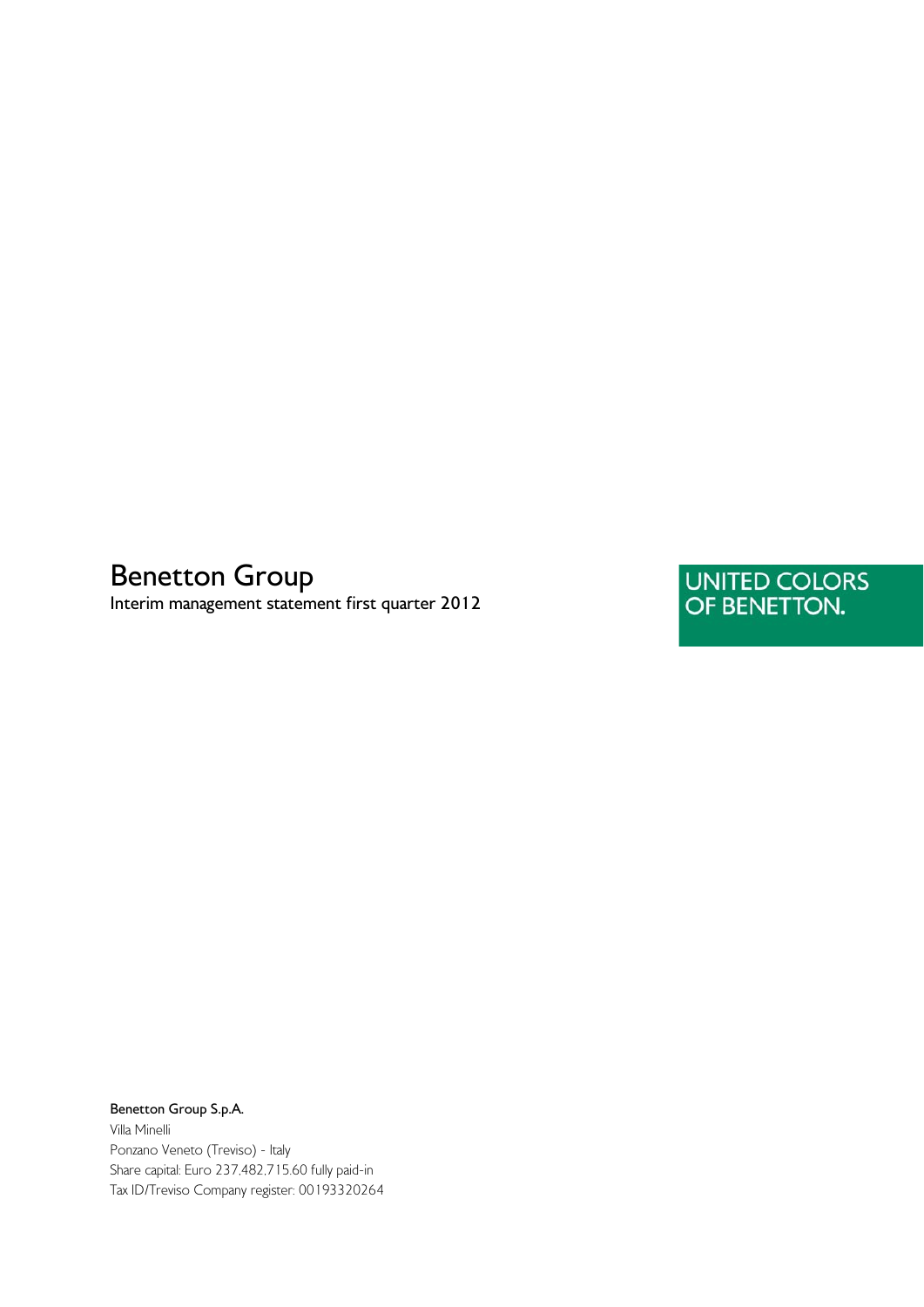# Benetton Group

Interim management statement first quarter 2012

UNITED COLORS<br>OF BENETTON.

Benetton Group S.p.A. Villa Minelli Ponzano Veneto (Treviso) - Italy Share capital: Euro 237,482,715.60 fully paid-in Tax ID/Treviso Company register: 00193320264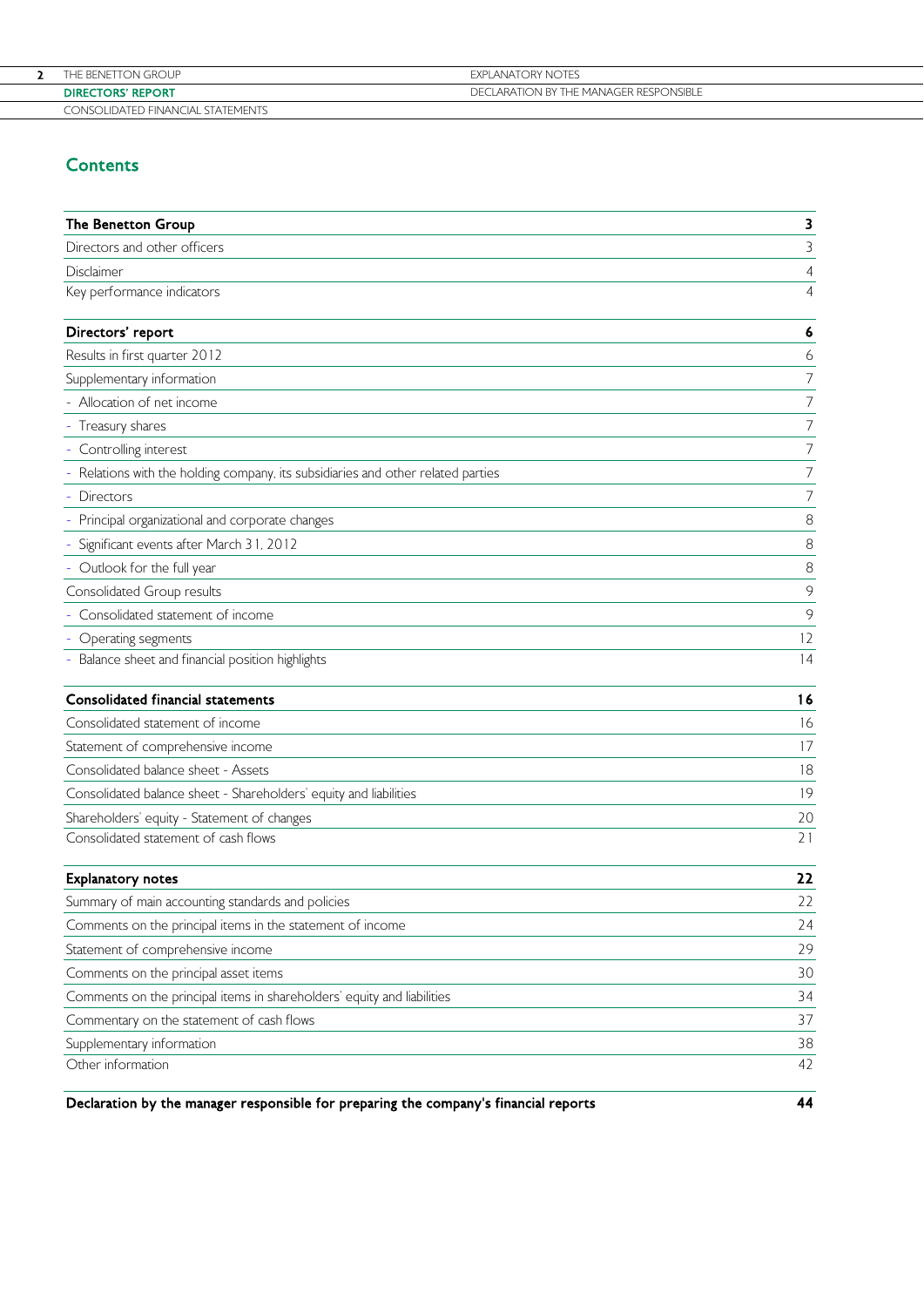| THE BENETTON GROUP                | EXPLANATORY NOTES                      |
|-----------------------------------|----------------------------------------|
| <b>DIRECTORS' REPORT</b>          | DECLARATION BY THE MANAGER RESPONSIBLE |
| CONSOLIDATED FINANCIAL STATEMENTS |                                        |

# **Contents**

| The Benetton Group                                                                   | 3              |
|--------------------------------------------------------------------------------------|----------------|
| Directors and other officers                                                         | 3              |
| Disclaimer                                                                           | 4              |
| Key performance indicators                                                           | 4              |
| Directors' report                                                                    | 6              |
| Results in first quarter 2012                                                        | 6              |
| Supplementary information                                                            | $\overline{7}$ |
| Allocation of net income                                                             | 7              |
| Treasury shares                                                                      | $\overline{7}$ |
| Controlling interest                                                                 | 7              |
| Relations with the holding company, its subsidiaries and other related parties       | $\overline{7}$ |
| Directors                                                                            | 7              |
| Principal organizational and corporate changes                                       | 8              |
| Significant events after March 31, 2012                                              | 8              |
| Outlook for the full year                                                            | 8              |
| Consolidated Group results                                                           | 9              |
| Consolidated statement of income                                                     | $\circ$        |
| Operating segments                                                                   | 12             |
| Balance sheet and financial position highlights                                      | 14             |
| <b>Consolidated financial statements</b>                                             | 16             |
| Consolidated statement of income                                                     | 16             |
| Statement of comprehensive income                                                    | 17             |
| Consolidated balance sheet - Assets                                                  | 18             |
| Consolidated balance sheet - Shareholders' equity and liabilities                    | 19             |
| Shareholders' equity - Statement of changes                                          | 20             |
| Consolidated statement of cash flows                                                 | 21             |
| <b>Explanatory notes</b>                                                             | 22             |
| Summary of main accounting standards and policies                                    | 22             |
| Comments on the principal items in the statement of income                           | 24             |
| Statement of comprehensive income                                                    | 29             |
| Comments on the principal asset items                                                | 30             |
| Comments on the principal items in shareholders' equity and liabilities              | 34             |
| Commentary on the statement of cash flows                                            | 37             |
| Supplementary information                                                            | 38             |
| Other information                                                                    | 42             |
| Declaration by the manager responsible for preparing the company's financial reports | 44             |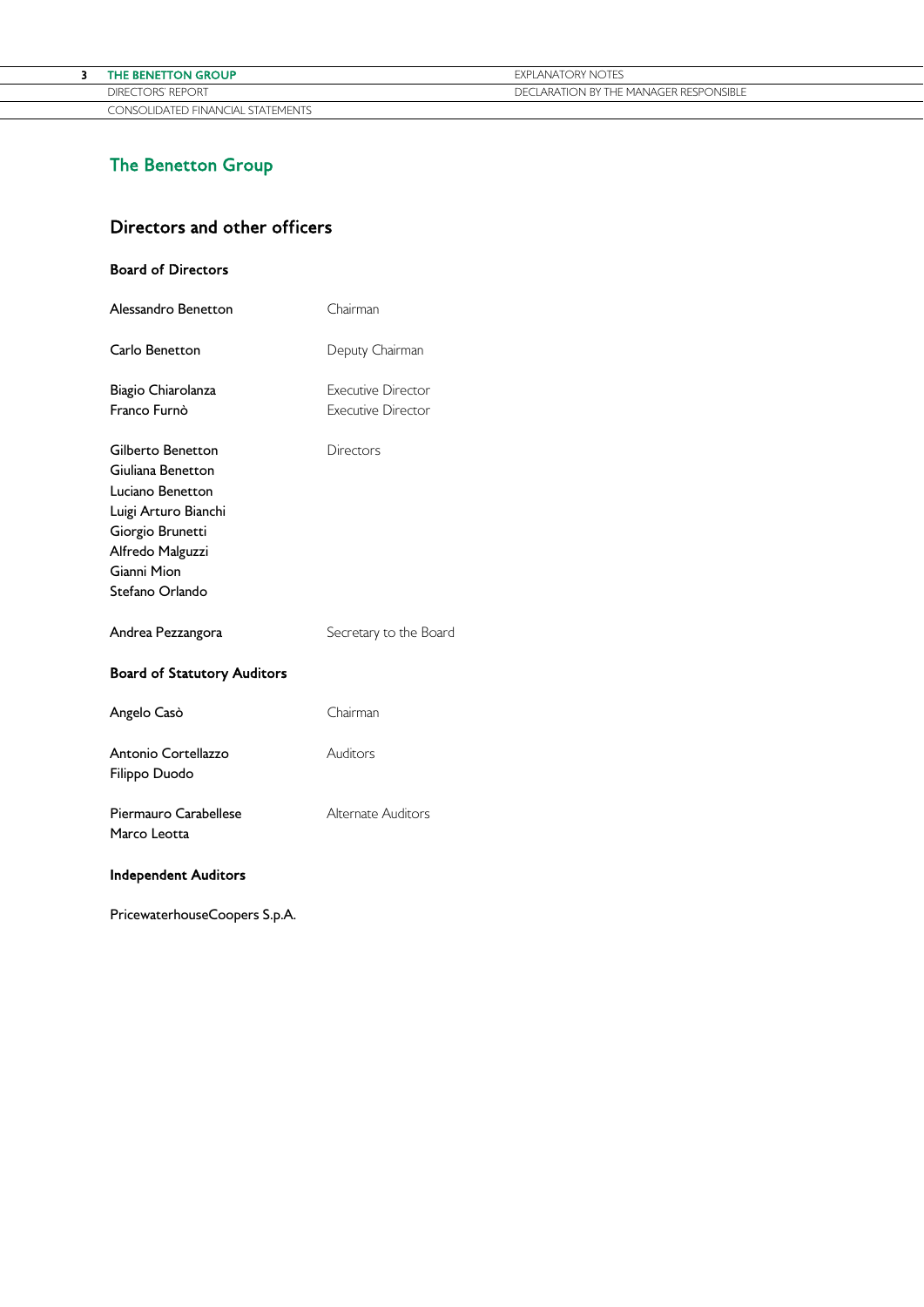| THE BENETTON GROUP                | <b>EXPLANATORY NOTES</b>               |
|-----------------------------------|----------------------------------------|
| DIRECTORS' REPORT                 | DECLARATION BY THE MANAGER RESPONSIBLE |
| CONSOLIDATED FINANCIAL STATEMENTS |                                        |

# The Benetton Group

# Directors and other officers

# Board of Directors

| Alessandro Benetton                                                                                                                                          | Chairman                                               |
|--------------------------------------------------------------------------------------------------------------------------------------------------------------|--------------------------------------------------------|
| Carlo Benetton                                                                                                                                               | Deputy Chairman                                        |
| Biagio Chiarolanza<br>Franco Furnò                                                                                                                           | <b>Executive Director</b><br><b>Executive Director</b> |
| Gilberto Benetton<br>Giuliana Benetton<br>Luciano Benetton<br>Luigi Arturo Bianchi<br>Giorgio Brunetti<br>Alfredo Malguzzi<br>Gianni Mion<br>Stefano Orlando | Directors                                              |
| Andrea Pezzangora                                                                                                                                            | Secretary to the Board                                 |
| <b>Board of Statutory Auditors</b>                                                                                                                           |                                                        |
| Angelo Casò                                                                                                                                                  | Chairman                                               |
| Antonio Cortellazzo<br>Filippo Duodo                                                                                                                         | Auditors                                               |
| Piermauro Carabellese<br>Marco Leotta                                                                                                                        | Alternate Auditors                                     |
|                                                                                                                                                              |                                                        |

# Independent Auditors

PricewaterhouseCoopers S.p.A.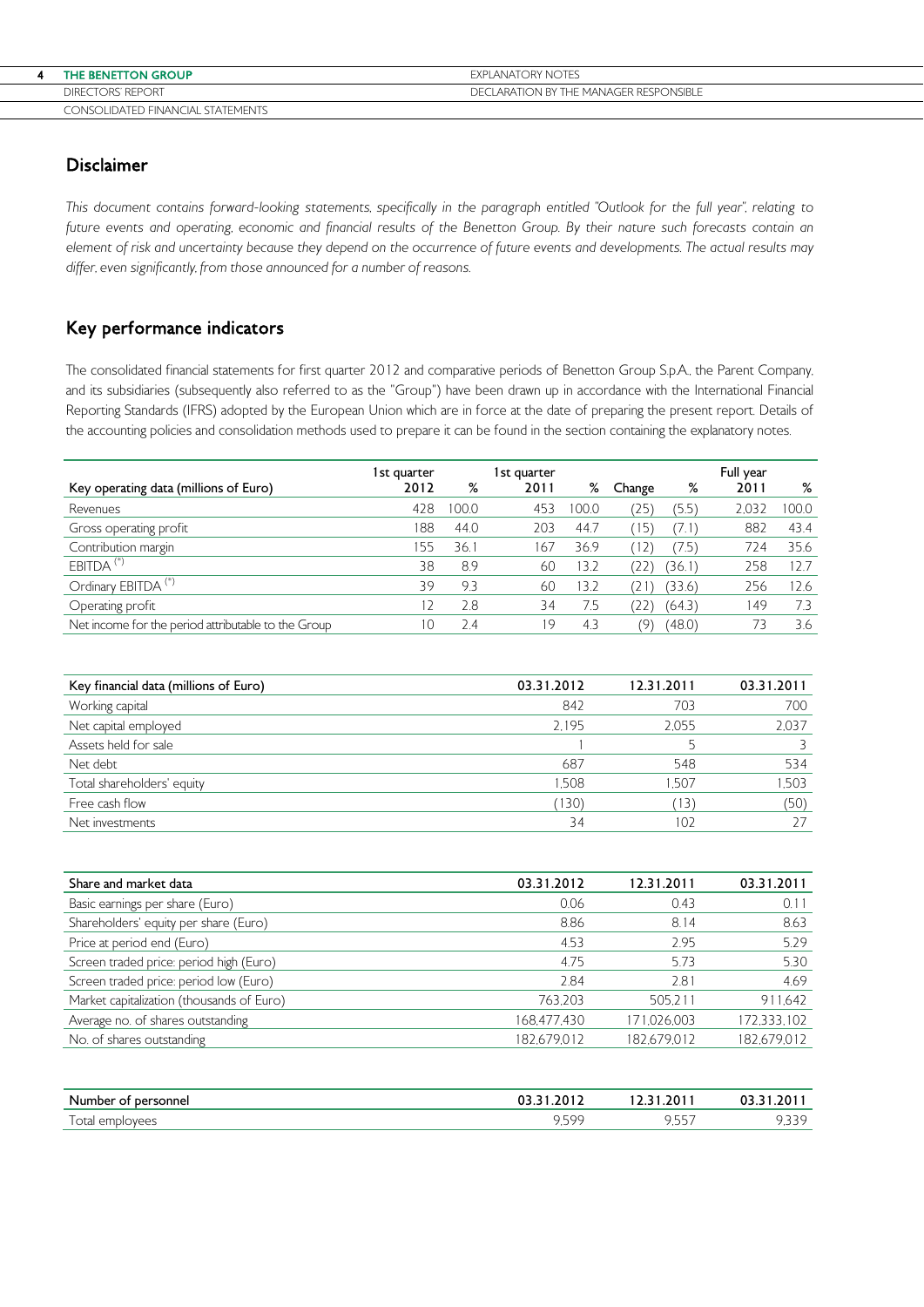| THE BENETTON GROUP                | <b>FXPI ANATORY NOTES</b>              |
|-----------------------------------|----------------------------------------|
| <b>DIRECTORS' REPORT</b>          | DECLARATION BY THE MANAGER RESPONSIBLE |
| CONSOLIDATED FINANCIAL STATEMENTS |                                        |

# Disclaimer

This document contains forward-looking statements, specifically in the paragraph entitled "Outlook for the full year", relating to future events and operating, economic and financial results of the Benetton Group. By their nature such forecasts contain an element of risk and uncertainty because they depend on the occurrence of future events and developments. The actual results may differ, even significantly, from those announced for a number of reasons.

# Key performance indicators

The consolidated financial statements for first quarter 2012 and comparative periods of Benetton Group S.p.A., the Parent Company, and its subsidiaries (subsequently also referred to as the "Group") have been drawn up in accordance with the International Financial Reporting Standards (IFRS) adopted by the European Union which are in force at the date of preparing the present report. Details of the accounting policies and consolidation methods used to prepare it can be found in the section containing the explanatory notes.

| Key operating data (millions of Euro)               | 1st guarter<br>2012 | %     | 1 st guarter<br>2011 | %     | Change       | %      | Full year<br>2011 | %     |
|-----------------------------------------------------|---------------------|-------|----------------------|-------|--------------|--------|-------------------|-------|
| Revenues                                            | 428                 | 100.0 | 453                  | 100.0 | $25^{\circ}$ | (5.5)  | 2.032             | 100.0 |
| Gross operating profit                              | 188                 | 44.0  | 203                  | 44.7  | ۱5           | (7.1)  | 882               | 43.4  |
| Contribution margin                                 | 155                 | 36.1  | 167                  | 36.9  |              | 7.5)   | 724               | 35.6  |
| EBITDA <sup>(*)</sup>                               | 38                  | 8.9   | 60                   | 3.2   |              | (36.1) | 258               | 12.7  |
| Ordinary EBITDA <sup>(*)</sup>                      | 39                  | 9.3   | 60                   | 3.2   |              | (33.6) | 256               | 126   |
| Operating profit                                    | 12                  | 2.8   | 34                   | 7.5   |              | (64.3) | 149               | 7.3   |
| Net income for the period attributable to the Group | 10                  | 2.4   | 19                   | 4.3   | ο,           | (48.0) | 73.               | 3.6   |

| Key financial data (millions of Euro) | 03.31.2012 | 12.31.2011 | 03.31.2011 |
|---------------------------------------|------------|------------|------------|
| Working capital                       | 842        | 703        | 700        |
| Net capital employed                  | 2.195      | 2.055      | 2.037      |
| Assets held for sale                  |            |            |            |
| Net debt                              | 687        | 548        | 534        |
| Total shareholders' equity            | 1.508      | .507       | 1,503      |
| Free cash flow                        | (130)      | 13)        | (50)       |
| Net investments                       | 34         | 102        |            |

| Share and market data                     | 03.31.2012  | 12.31.2011  | 03.31.2011  |
|-------------------------------------------|-------------|-------------|-------------|
| Basic earnings per share (Euro)           | 0.06        | 0.43        | 0.11        |
| Shareholders' equity per share (Euro)     | 8.86        | 8.14        | 8.63        |
| Price at period end (Euro)                | 4.53        | 2.95        | 5.29        |
| Screen traded price: period high (Euro)   | 4.75        | 5.73        | 5.30        |
| Screen traded price: period low (Euro)    | 2.84        | 2.81        | 4.69        |
| Market capitalization (thousands of Euro) | 763.203     | 505.211     | 911,642     |
| Average no. of shares outstanding         | 168,477,430 | 171,026,003 | 172,333,102 |
| No. of shares outstanding                 | 182,679,012 | 182.679.012 | 182,679,012 |

| Number of                                      | כ.כט                                    | 1.201                   | .201     |
|------------------------------------------------|-----------------------------------------|-------------------------|----------|
| personnel :                                    | . . <i>.</i>                            | <b><i><u></u></i></b>   |          |
| otal<br>പിവശലെ<br>$\sim$ $\sim$<br>uiuvuu<br>◡ | $-00$<br>$\cdot$ . $\backsim$ . $\cdot$ | - - - -<br>. .<br>، پ پ | ________ |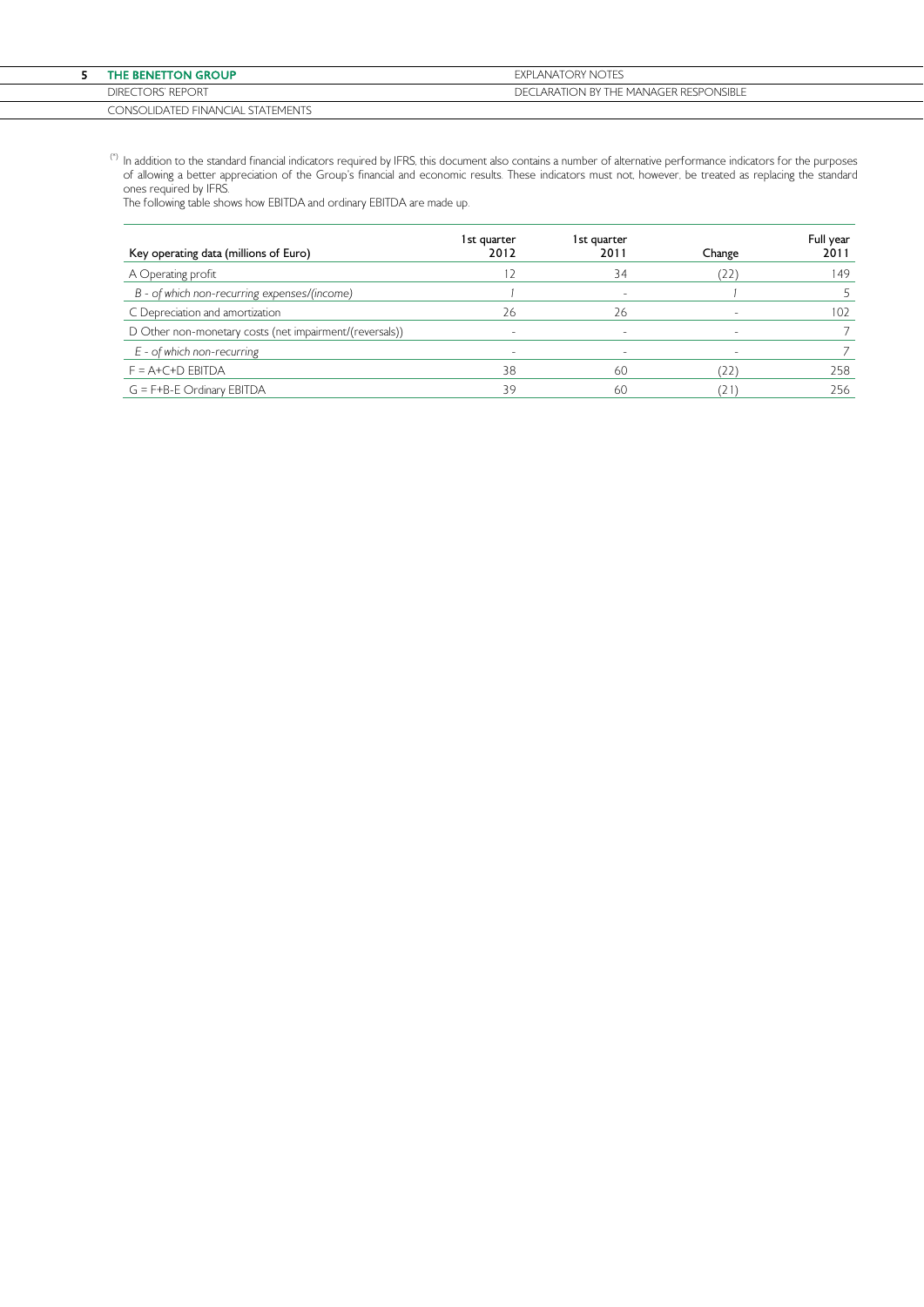| <b>THE BENETTON GROUP</b>         | EXPLANATORY NOTES                      |
|-----------------------------------|----------------------------------------|
| DIRECTORS' REPORT                 | DECLARATION BY THE MANAGER RESPONSIBLE |
| CONSOLIDATED FINANCIAL STATEMENTS |                                        |

 $^{(\ast)}$  In addition to the standard financial indicators required by IFRS, this document also contains a number of alternative performance indicators for the purposes of allowing a better appreciation of the Group's financial and economic results. These indicators must not, however, be treated as replacing the standard ones required by IFRS.

The following table shows how EBITDA and ordinary EBITDA are made up.

| Key operating data (millions of Euro)                   | 1st guarter<br>2012 | 1st guarter<br>2011 | Change | Full year<br>2011 |
|---------------------------------------------------------|---------------------|---------------------|--------|-------------------|
| A Operating profit                                      |                     | 34                  | (22)   | 149               |
| B - of which non-recurring expenses/(income)            |                     | -                   |        |                   |
| C Depreciation and amortization                         | 26                  | 26                  |        | 102               |
| D Other non-monetary costs (net impairment/(reversals)) |                     | -                   |        |                   |
| $E$ - of which non-recurring                            |                     |                     |        |                   |
| $F = A + C + D$ EBITDA                                  | 38                  | 60                  | (22)   | 258               |
| $G = F + B - E$ Ordinary EBITDA                         | 39                  | -60                 | '21    | 256               |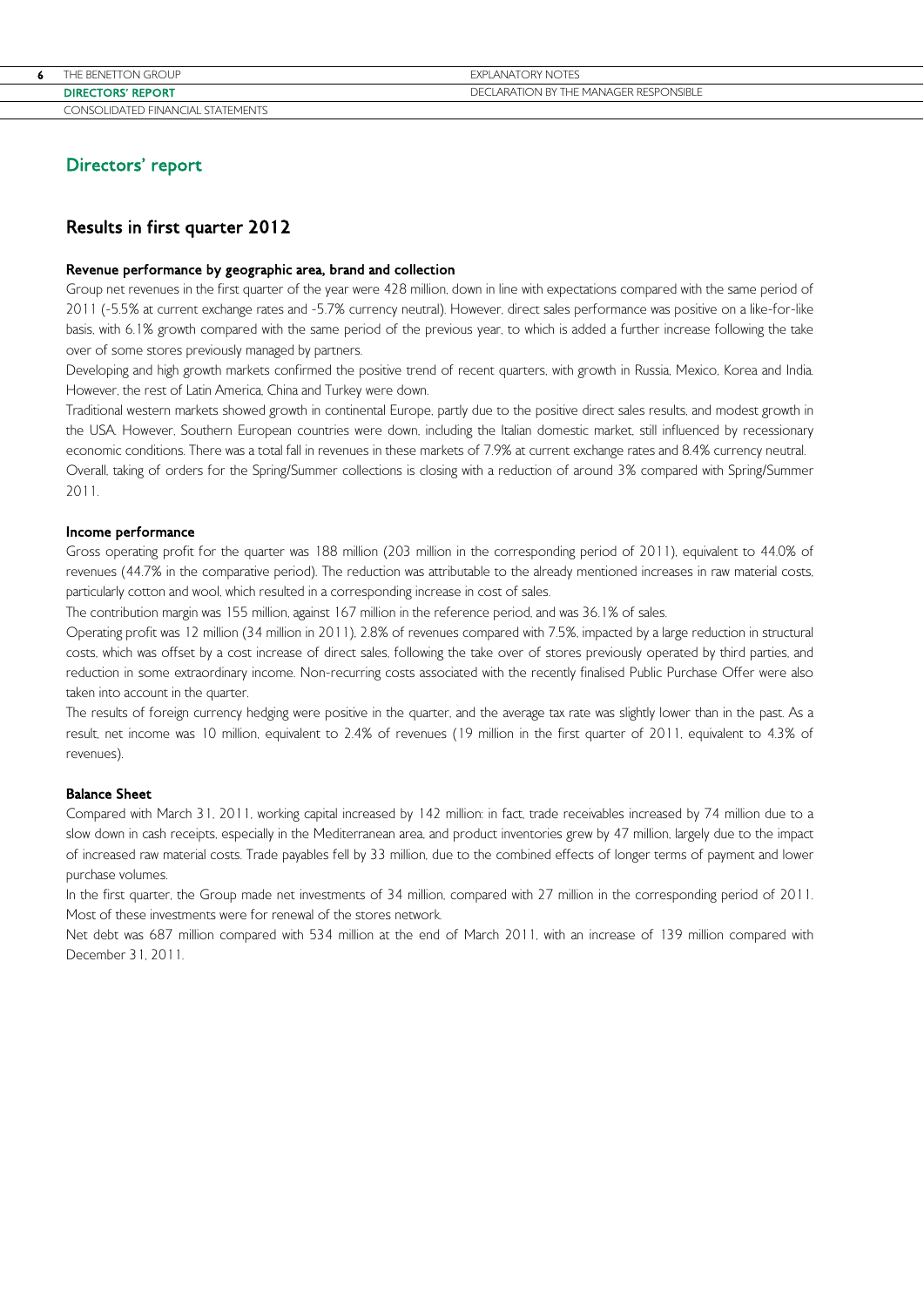| 6 | THE BENETTON GROUP                | <b>FXPI ANATORY NOTES</b>              |
|---|-----------------------------------|----------------------------------------|
|   | <b>DIRECTORS' REPORT</b>          | DECLARATION BY THE MANAGER RESPONSIBLE |
|   | CONSOLIDATED FINANCIAL STATEMENTS |                                        |

# Directors' report

# Results in first quarter 2012

### Revenue performance by geographic area, brand and collection

Group net revenues in the first quarter of the year were 428 million, down in line with expectations compared with the same period of 2011 (-5.5% at current exchange rates and -5.7% currency neutral). However, direct sales performance was positive on a like-for-like basis, with 6.1% growth compared with the same period of the previous year, to which is added a further increase following the take over of some stores previously managed by partners.

Developing and high growth markets confirmed the positive trend of recent quarters, with growth in Russia, Mexico, Korea and India. However, the rest of Latin America, China and Turkey were down.

Traditional western markets showed growth in continental Europe, partly due to the positive direct sales results, and modest growth in the USA. However, Southern European countries were down, including the Italian domestic market, still influenced by recessionary economic conditions. There was a total fall in revenues in these markets of 7.9% at current exchange rates and 8.4% currency neutral. Overall, taking of orders for the Spring/Summer collections is closing with a reduction of around 3% compared with Spring/Summer

2011.

### Income performance

Gross operating profit for the quarter was 188 million (203 million in the corresponding period of 2011), equivalent to 44.0% of revenues (44.7% in the comparative period). The reduction was attributable to the already mentioned increases in raw material costs, particularly cotton and wool, which resulted in a corresponding increase in cost of sales.

The contribution margin was 155 million, against 167 million in the reference period, and was 36.1% of sales.

Operating profit was 12 million (34 million in 2011), 2.8% of revenues compared with 7.5%, impacted by a large reduction in structural costs, which was offset by a cost increase of direct sales, following the take over of stores previously operated by third parties, and reduction in some extraordinary income. Non-recurring costs associated with the recently finalised Public Purchase Offer were also taken into account in the quarter.

The results of foreign currency hedging were positive in the quarter, and the average tax rate was slightly lower than in the past. As a result, net income was 10 million, equivalent to 2.4% of revenues (19 million in the first quarter of 2011, equivalent to 4.3% of revenues).

### Balance Sheet

Compared with March 31, 2011, working capital increased by 142 million: in fact, trade receivables increased by 74 million due to a slow down in cash receipts, especially in the Mediterranean area, and product inventories grew by 47 million, largely due to the impact of increased raw material costs. Trade payables fell by 33 million, due to the combined effects of longer terms of payment and lower purchase volumes.

In the first quarter, the Group made net investments of 34 million, compared with 27 million in the corresponding period of 2011. Most of these investments were for renewal of the stores network.

Net debt was 687 million compared with 534 million at the end of March 2011, with an increase of 139 million compared with December 31, 2011.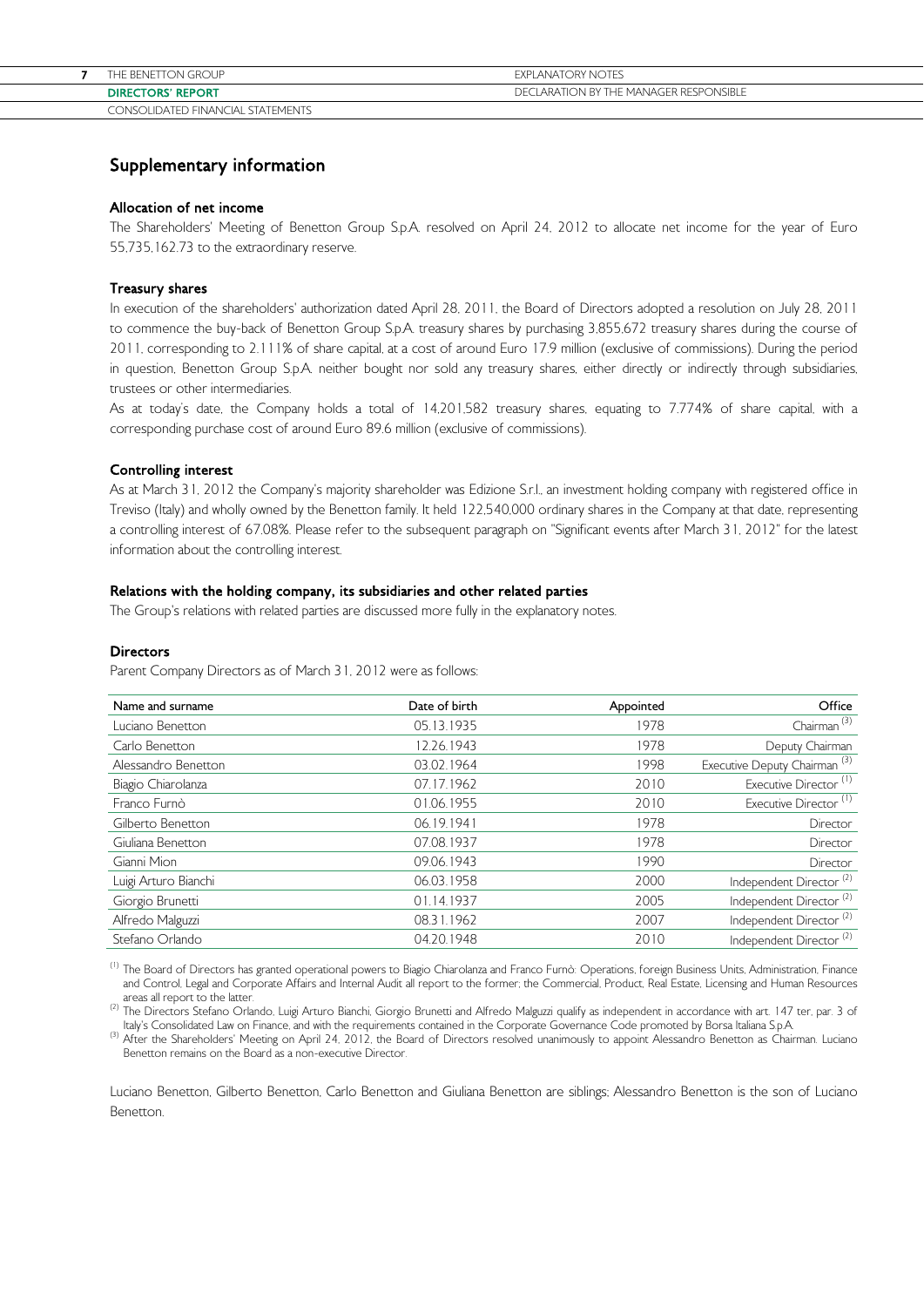# Supplementary information

### Allocation of net income

The Shareholders' Meeting of Benetton Group S.p.A. resolved on April 24, 2012 to allocate net income for the year of Euro 55,735,162.73 to the extraordinary reserve.

# Treasury shares

In execution of the shareholders' authorization dated April 28, 2011, the Board of Directors adopted a resolution on July 28, 2011 to commence the buy-back of Benetton Group S.p.A. treasury shares by purchasing 3,855,672 treasury shares during the course of 2011, corresponding to 2.111% of share capital, at a cost of around Euro 17.9 million (exclusive of commissions). During the period in question, Benetton Group S.p.A. neither bought nor sold any treasury shares, either directly or indirectly through subsidiaries, trustees or other intermediaries.

As at today's date, the Company holds a total of 14,201,582 treasury shares, equating to 7.774% of share capital, with a corresponding purchase cost of around Euro 89.6 million (exclusive of commissions).

### Controlling interest

As at March 31, 2012 the Company's majority shareholder was Edizione S.r.l., an investment holding company with registered office in Treviso (Italy) and wholly owned by the Benetton family. It held 122,540,000 ordinary shares in the Company at that date, representing a controlling interest of 67.08%. Please refer to the subsequent paragraph on "Significant events after March 31, 2012" for the latest information about the controlling interest.

### Relations with the holding company, its subsidiaries and other related parties

The Group's relations with related parties are discussed more fully in the explanatory notes.

### **Directors**

Parent Company Directors as of March 31, 2012 were as follows:

| Name and surname     | Date of birth | Appointed | Office                                   |
|----------------------|---------------|-----------|------------------------------------------|
| Luciano Benetton     | 05.13.1935    | 1978      | Chairman <sup>(3)</sup>                  |
| Carlo Benetton       | 12.26.1943    | 1978      | Deputy Chairman                          |
| Alessandro Benetton  | 03.02.1964    | 1998      | Executive Deputy Chairman <sup>(3)</sup> |
| Biagio Chiarolanza   | 07.17.1962    | 2010      | Executive Director <sup>(1)</sup>        |
| Franco Furnò         | 01.06.1955    | 2010      | Executive Director <sup>(1)</sup>        |
| Gilberto Benetton    | 06.19.1941    | 1978      | Director                                 |
| Giuliana Benetton    | 07.08.1937    | 1978      | Director                                 |
| Gianni Mion          | 09.06.1943    | 1990      | Director                                 |
| Luigi Arturo Bianchi | 06.03.1958    | 2000      | Independent Director <sup>(2)</sup>      |
| Giorgio Brunetti     | 01.14.1937    | 2005      | Independent Director <sup>(2)</sup>      |
| Alfredo Malguzzi     | 08.31.1962    | 2007      | Independent Director <sup>(2)</sup>      |
| Stefano Orlando      | 04.20.1948    | 2010      | Independent Director <sup>(2)</sup>      |

<sup>(1)</sup> The Board of Directors has granted operational powers to Biagio Chiarolanza and Franco Furnò: Operations, foreign Business Units, Administration, Finance and Control, Legal and Corporate Affairs and Internal Audit all report to the former; the Commercial, Product, Real Estate, Licensing and Human Resources areas all report to the latter

and a latter to the latter.<br>The Directors Stefano Orlando, Luigi Arturo Bianchi, Giorgio Brunetti and Alfredo Malguzzi qualify as independent in accordance with art. 147 ter, par. 3 of<br>Italy's Consolidated Law on Finance,

(3) After the Shareholders' Meeting on April 24, 2012, the Board of Directors resolved unanimously to appoint Alessandro Benetton as Chairman. Luciano Benetton remains on the Board as a non-executive Director.

Luciano Benetton, Gilberto Benetton, Carlo Benetton and Giuliana Benetton are siblings; Alessandro Benetton is the son of Luciano Benetton.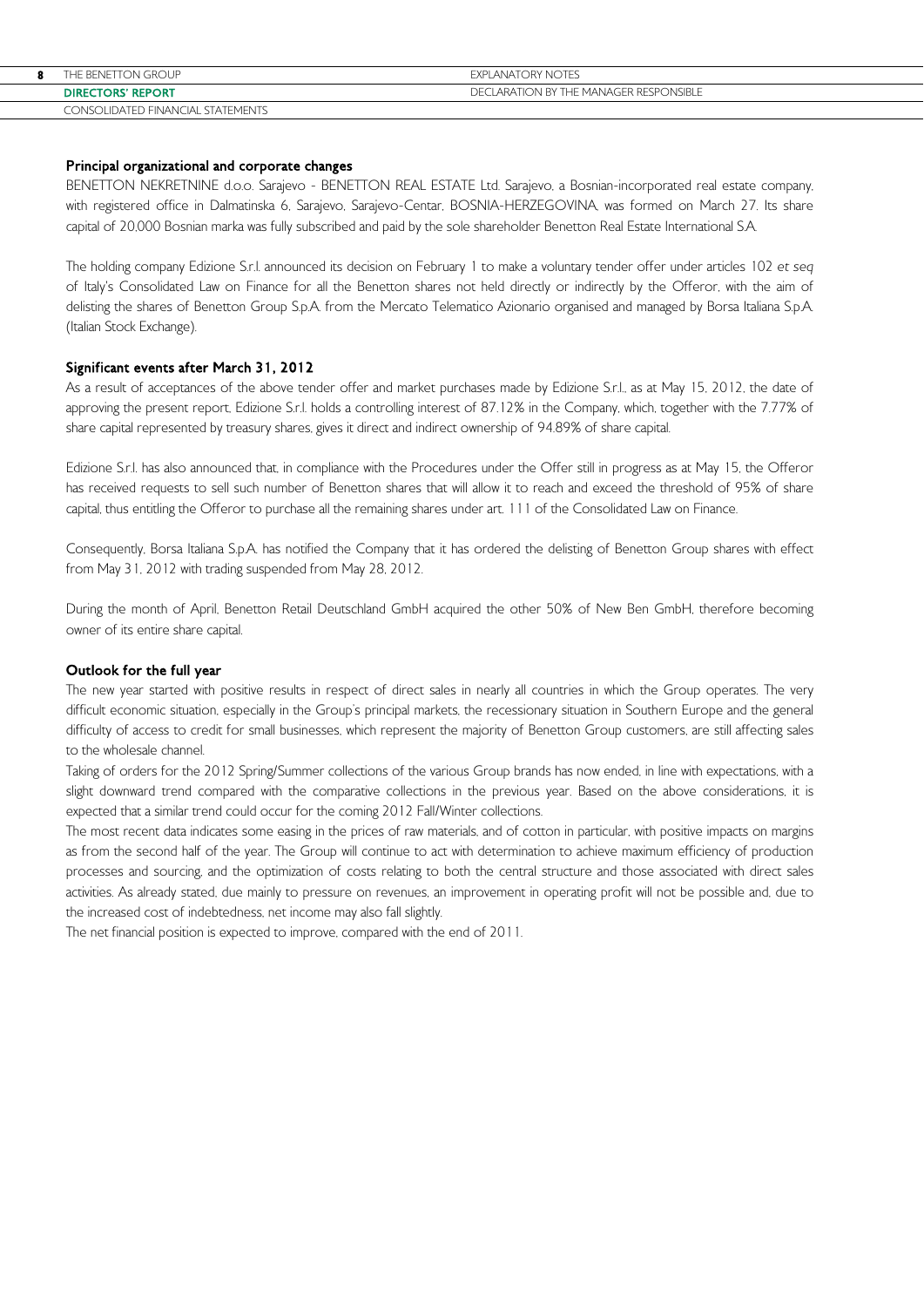| 8 | THE BENETTON GROUP                | EXPLANATORY NOTES                      |
|---|-----------------------------------|----------------------------------------|
|   | <b>DIRECTORS' REPORT</b>          | DECLARATION BY THE MANAGER RESPONSIBLE |
|   | CONSOLIDATED FINANCIAL STATEMENTS |                                        |

## Principal organizational and corporate changes

BENETTON NEKRETNINE d.o.o. Sarajevo - BENETTON REAL ESTATE Ltd. Sarajevo, a Bosnian-incorporated real estate company, with registered office in Dalmatinska 6, Sarajevo, Sarajevo-Centar, BOSNIA-HERZEGOVINA, was formed on March 27. Its share capital of 20,000 Bosnian marka was fully subscribed and paid by the sole shareholder Benetton Real Estate International S.A.

The holding company Edizione S.r.l. announced its decision on February 1 to make a voluntary tender offer under articles 102 et seq of Italy's Consolidated Law on Finance for all the Benetton shares not held directly or indirectly by the Offeror, with the aim of delisting the shares of Benetton Group S.p.A. from the Mercato Telematico Azionario organised and managed by Borsa Italiana S.p.A. (Italian Stock Exchange).

## Significant events after March 31, 2012

As a result of acceptances of the above tender offer and market purchases made by Edizione S.r.l., as at May 15, 2012, the date of approving the present report, Edizione S.r.l. holds a controlling interest of 87.12% in the Company, which, together with the 7.77% of share capital represented by treasury shares, gives it direct and indirect ownership of 94.89% of share capital.

Edizione S.r.l. has also announced that, in compliance with the Procedures under the Offer still in progress as at May 15, the Offeror has received requests to sell such number of Benetton shares that will allow it to reach and exceed the threshold of 95% of share capital, thus entitling the Offeror to purchase all the remaining shares under art. 111 of the Consolidated Law on Finance.

Consequently, Borsa Italiana S.p.A. has notified the Company that it has ordered the delisting of Benetton Group shares with effect from May 31, 2012 with trading suspended from May 28, 2012.

During the month of April, Benetton Retail Deutschland GmbH acquired the other 50% of New Ben GmbH, therefore becoming owner of its entire share capital.

### Outlook for the full year

The new year started with positive results in respect of direct sales in nearly all countries in which the Group operates. The very difficult economic situation, especially in the Group's principal markets, the recessionary situation in Southern Europe and the general difficulty of access to credit for small businesses, which represent the majority of Benetton Group customers, are still affecting sales to the wholesale channel.

Taking of orders for the 2012 Spring/Summer collections of the various Group brands has now ended, in line with expectations, with a slight downward trend compared with the comparative collections in the previous year. Based on the above considerations, it is expected that a similar trend could occur for the coming 2012 Fall/Winter collections.

The most recent data indicates some easing in the prices of raw materials, and of cotton in particular, with positive impacts on margins as from the second half of the year. The Group will continue to act with determination to achieve maximum efficiency of production processes and sourcing, and the optimization of costs relating to both the central structure and those associated with direct sales activities. As already stated, due mainly to pressure on revenues, an improvement in operating profit will not be possible and, due to the increased cost of indebtedness, net income may also fall slightly.

The net financial position is expected to improve, compared with the end of 2011.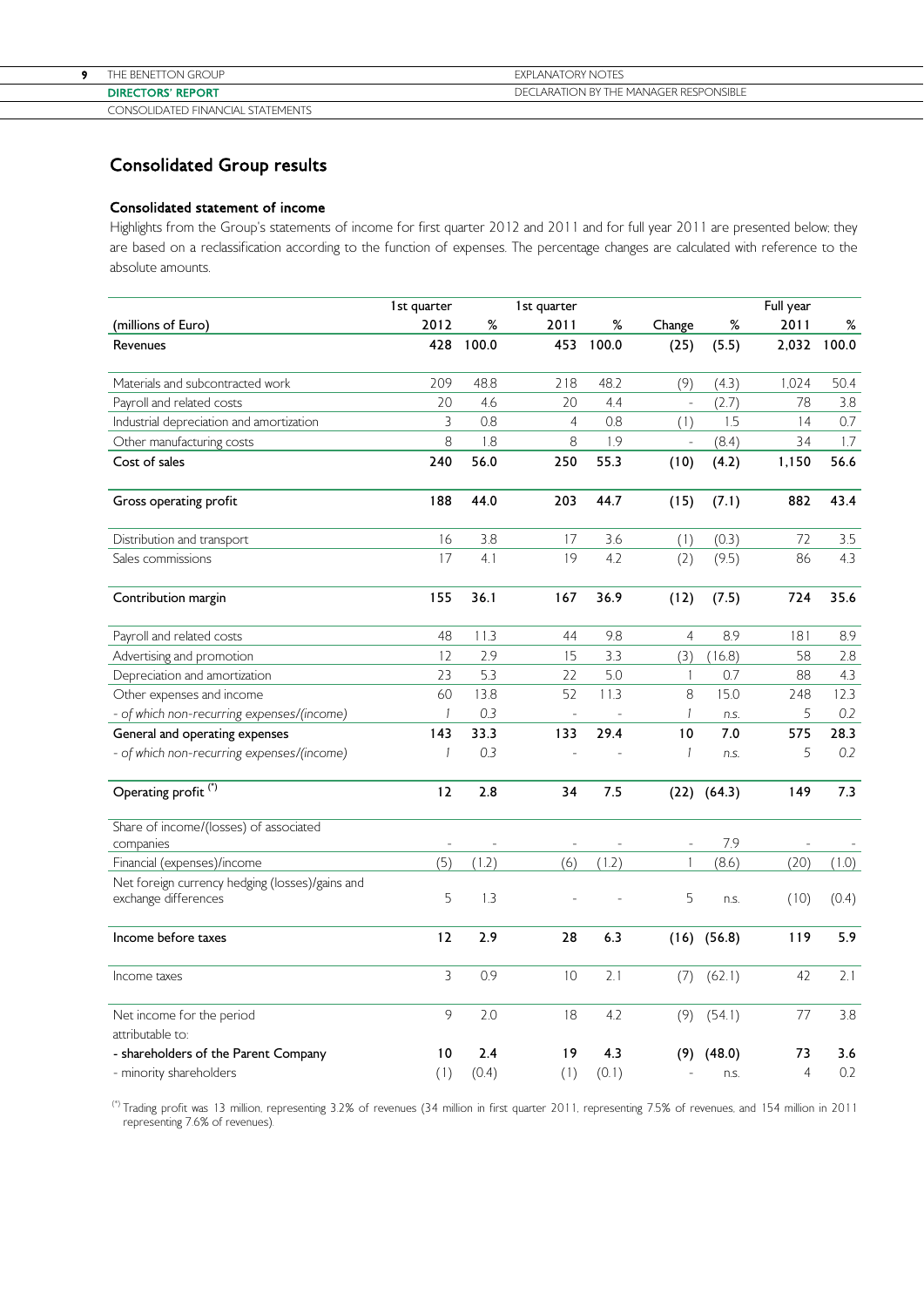| <b>BENETTON GROUP</b><br><b>DIRECTORS' REPORT</b> | <b>EXPLANATORY NOTES</b><br>DECLARATION BY THE MANAGER RESPONSIBLE |
|---------------------------------------------------|--------------------------------------------------------------------|
|                                                   |                                                                    |
| CONCOURATER ENIMAL CLAIR CTATEMENTS               |                                                                    |

## CONSOLIDATED FINANCIAL STATEMENTS

# Consolidated Group results

# Consolidated statement of income

Highlights from the Group's statements of income for first quarter 2012 and 2011 and for full year 2011 are presented below; they are based on a reclassification according to the function of expenses. The percentage changes are calculated with reference to the absolute amounts.

|                                                                         | 1st quarter  |              | 1st quarter              |              |                |                 | Full year            |            |
|-------------------------------------------------------------------------|--------------|--------------|--------------------------|--------------|----------------|-----------------|----------------------|------------|
| (millions of Euro)                                                      | 2012         | %            | 2011                     | %            | Change         | $\%$            | 2011                 | %          |
| Revenues                                                                | 428          | 100.0        | 453                      | 100.0        | (25)           | (5.5)           | 2,032                | 100.0      |
| Materials and subcontracted work                                        | 209          | 48.8         | 218                      | 48.2         | (9)            | (4.3)           | 1,024                | 50.4       |
| Payroll and related costs                                               | 20           | 4.6          | 20                       | 4.4          | ÷,             | (2.7)           | 78                   | 3.8        |
| Industrial depreciation and amortization                                | 3            | 0.8          | $\overline{4}$           | 0.8          | (1)            | 1.5             | 14                   | 0.7        |
| Other manufacturing costs                                               | 8            | 1.8          | 8                        | 1.9          |                | (8.4)           | 34                   | 1.7        |
| Cost of sales                                                           | 240          | 56.0         | 250                      | 55.3         | (10)           | (4.2)           | 1,150                | 56.6       |
| Gross operating profit                                                  | 188          | 44.0         | 203                      | 44.7         | (15)           | (7.1)           | 882                  | 43.4       |
| Distribution and transport                                              | 16           | 3.8          | 17                       | 3.6          | (1)            | (0.3)           | 72                   | 3.5        |
| Sales commissions                                                       | 17           | 4.1          | 19                       | 4.2          | (2)            | (9.5)           | 86                   | 4.3        |
| Contribution margin                                                     | 155          | 36.1         | 167                      | 36.9         | (12)           | (7.5)           | 724                  | 35.6       |
| Payroll and related costs                                               | 48           | 11.3         | 44                       | 9.8          | $\overline{4}$ | 8.9             | 181                  | 8.9        |
| Advertising and promotion                                               | 12           | 2.9          | 15                       | 3.3          | (3)            | (16.8)          | 58                   | 2.8        |
| Depreciation and amortization                                           | 23           | 5.3          | 22                       | 5.0          | $\mathbf{1}$   | 0.7             | 88                   | 4.3        |
| Other expenses and income                                               | 60           | 13.8         | 52                       | 11.3         | 8              | 15.0            | 248                  | 12.3       |
| - of which non-recurring expenses/(income)                              | 1            | 0.3          | $\overline{\phantom{a}}$ |              | 1              | n.s.            | 5                    | 0.2        |
| General and operating expenses                                          | 143          | 33.3         | 133                      | 29.4         | 10             | 7.0             | 575                  | 28.3       |
| - of which non-recurring expenses/(income)                              | $\mathbf{1}$ | 0.3          |                          |              | $\mathbf{1}$   | n.S.            | 5                    | 0.2        |
| Operating profit <sup>(*)</sup>                                         | 12           | 2.8          | 34                       | 7.5          | (22)           | (64.3)          | 149                  | 7.3        |
| Share of income/(losses) of associated<br>companies                     |              |              |                          |              |                | 7.9             |                      |            |
| Financial (expenses)/income                                             | (5)          | (1.2)        | (6)                      | (1.2)        | $\mathbf{1}$   | (8.6)           | (20)                 | (1.0)      |
| Net foreign currency hedging (losses)/gains and<br>exchange differences | 5            | 1.3          |                          |              | 5              | n.s.            | (10)                 | (0.4)      |
| Income before taxes                                                     | 12           | 2.9          | 28                       | 6.3          |                | $(16)$ $(56.8)$ | 119                  | 5.9        |
| Income taxes                                                            | 3            | 0.9          | 10                       | 2.1          | (7)            | (62.1)          | 42                   | 2.1        |
| Net income for the period                                               | 9            | 2.0          | 18                       | 4.2          | (9)            | (54.1)          | 77                   | 3.8        |
| attributable to:                                                        |              |              |                          |              |                |                 |                      |            |
| - shareholders of the Parent Company<br>- minority shareholders         | 10<br>(1)    | 2.4<br>(0.4) | 19<br>(1)                | 4.3<br>(0.1) | (9)            | (48.0)<br>n.S.  | 73<br>$\overline{4}$ | 3.6<br>0.2 |

 (\*) Trading profit was 13 million, representing 3.2% of revenues (34 million in first quarter 2011, representing 7.5% of revenues, and 154 million in 2011 representing 7.6% of revenues).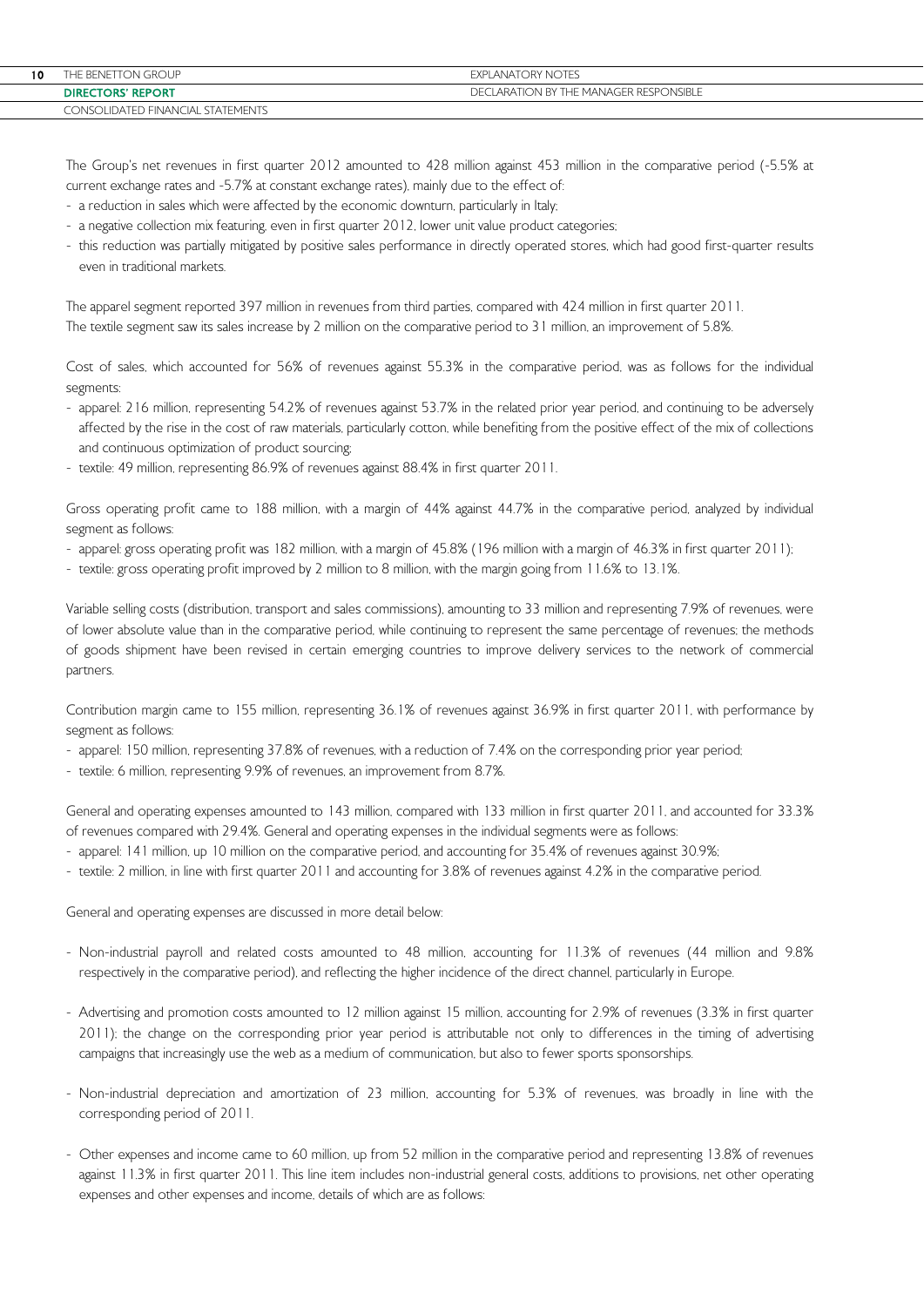| 10 | THE BENETTON GROUP                | <b>EXPLANATORY NOTES</b>               |
|----|-----------------------------------|----------------------------------------|
|    | <b>DIRECTORS' REPORT</b>          | DECLARATION BY THE MANAGER RESPONSIBLE |
|    | CONSOLIDATED FINANCIAL STATEMENTS |                                        |

The Group's net revenues in first quarter 2012 amounted to 428 million against 453 million in the comparative period (-5.5% at current exchange rates and -5.7% at constant exchange rates), mainly due to the effect of:

- a reduction in sales which were affected by the economic downturn, particularly in Italy;
- a negative collection mix featuring, even in first quarter 2012, lower unit value product categories;
- this reduction was partially mitigated by positive sales performance in directly operated stores, which had good first-quarter results even in traditional markets.

The apparel segment reported 397 million in revenues from third parties, compared with 424 million in first quarter 2011. The textile segment saw its sales increase by 2 million on the comparative period to 31 million, an improvement of 5.8%.

Cost of sales, which accounted for 56% of revenues against 55.3% in the comparative period, was as follows for the individual segments:

- apparel: 216 million, representing 54.2% of revenues against 53.7% in the related prior year period, and continuing to be adversely affected by the rise in the cost of raw materials, particularly cotton, while benefiting from the positive effect of the mix of collections and continuous optimization of product sourcing;
- textile: 49 million, representing 86.9% of revenues against 88.4% in first quarter 2011.

Gross operating profit came to 188 million, with a margin of 44% against 44.7% in the comparative period, analyzed by individual segment as follows:

- apparel: gross operating profit was 182 million, with a margin of 45.8% (196 million with a margin of 46.3% in first quarter 2011);
- textile: gross operating profit improved by 2 million to 8 million, with the margin going from 11.6% to 13.1%.

Variable selling costs (distribution, transport and sales commissions), amounting to 33 million and representing 7.9% of revenues, were of lower absolute value than in the comparative period, while continuing to represent the same percentage of revenues; the methods of goods shipment have been revised in certain emerging countries to improve delivery services to the network of commercial partners.

Contribution margin came to 155 million, representing 36.1% of revenues against 36.9% in first quarter 2011, with performance by segment as follows:

- apparel: 150 million, representing 37.8% of revenues, with a reduction of 7.4% on the corresponding prior year period;
- textile: 6 million, representing 9.9% of revenues, an improvement from 8.7%.

General and operating expenses amounted to 143 million, compared with 133 million in first quarter 2011, and accounted for 33.3% of revenues compared with 29.4%. General and operating expenses in the individual segments were as follows:

- apparel: 141 million, up 10 million on the comparative period, and accounting for 35.4% of revenues against 30.9%;
- textile: 2 million, in line with first quarter 2011 and accounting for 3.8% of revenues against 4.2% in the comparative period.

General and operating expenses are discussed in more detail below:

- Non-industrial payroll and related costs amounted to 48 million, accounting for 11.3% of revenues (44 million and 9.8% respectively in the comparative period), and reflecting the higher incidence of the direct channel, particularly in Europe.
- Advertising and promotion costs amounted to 12 million against 15 million, accounting for 2.9% of revenues (3.3% in first quarter 2011); the change on the corresponding prior year period is attributable not only to differences in the timing of advertising campaigns that increasingly use the web as a medium of communication, but also to fewer sports sponsorships.
- Non-industrial depreciation and amortization of 23 million, accounting for 5.3% of revenues, was broadly in line with the corresponding period of 2011.
- Other expenses and income came to 60 million, up from 52 million in the comparative period and representing 13.8% of revenues against 11.3% in first quarter 2011. This line item includes non-industrial general costs, additions to provisions, net other operating expenses and other expenses and income, details of which are as follows: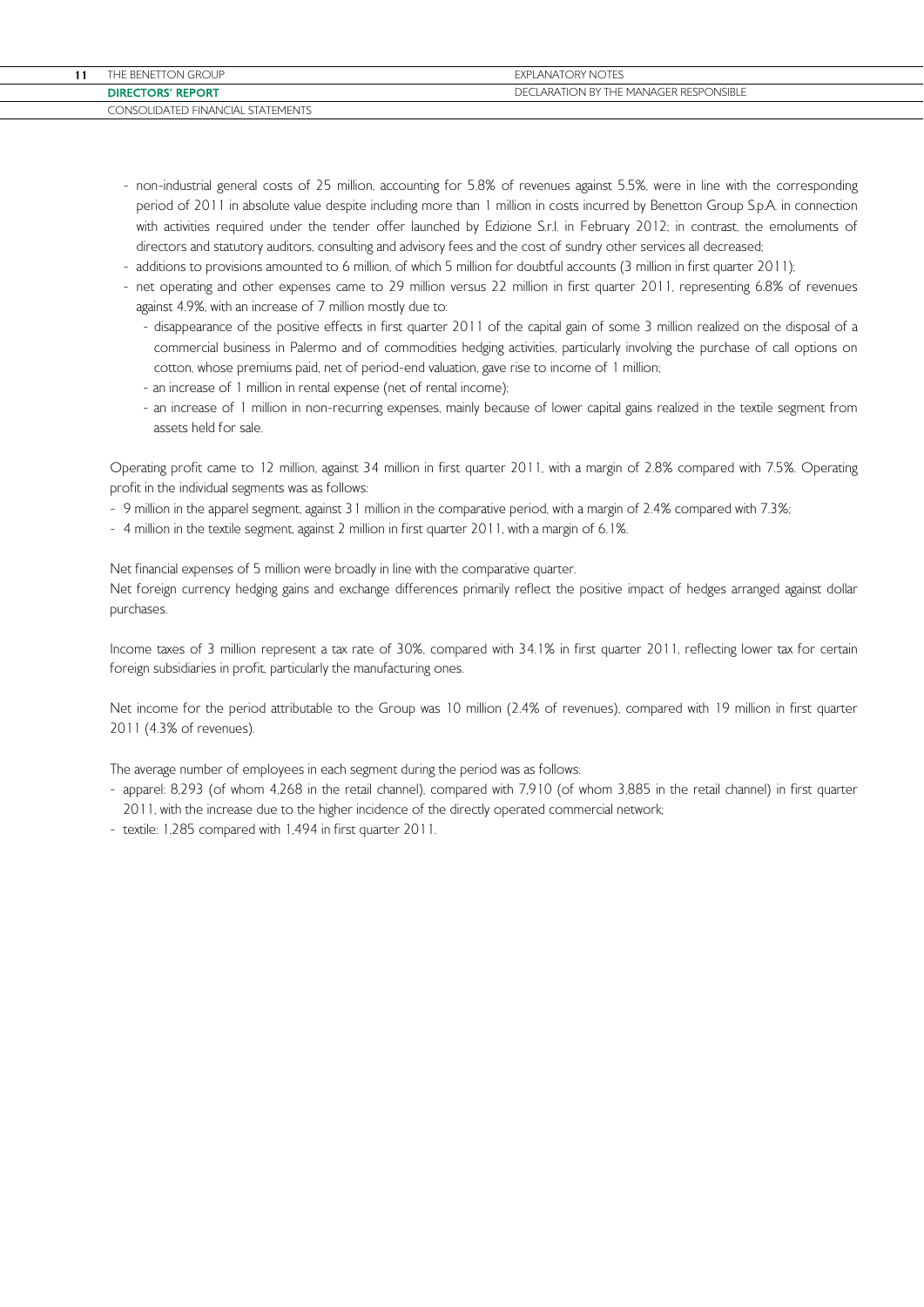| <b>EXPLANATORY NOTES</b><br>THE BENETTON GROUP                          |  |  |
|-------------------------------------------------------------------------|--|--|
|                                                                         |  |  |
| LARATION BY THE MANAGER RESPONSIBLE<br><b>DIRECTORS' REPORT</b><br>DECI |  |  |
| CONSOLIDATED FINANCIAL STATEMENTS                                       |  |  |

- non-industrial general costs of 25 million, accounting for 5.8% of revenues against 5.5%, were in line with the corresponding period of 2011 in absolute value despite including more than 1 million in costs incurred by Benetton Group S.p.A. in connection with activities required under the tender offer launched by Edizione S.r.l. in February 2012; in contrast, the emoluments of directors and statutory auditors, consulting and advisory fees and the cost of sundry other services all decreased;
- additions to provisions amounted to 6 million, of which 5 million for doubtful accounts (3 million in first quarter 2011);
- net operating and other expenses came to 29 million versus 22 million in first quarter 2011, representing 6.8% of revenues against 4.9%, with an increase of 7 million mostly due to:
	- disappearance of the positive effects in first quarter 2011 of the capital gain of some 3 million realized on the disposal of a commercial business in Palermo and of commodities hedging activities, particularly involving the purchase of call options on cotton, whose premiums paid, net of period-end valuation, gave rise to income of 1 million;
	- an increase of 1 million in rental expense (net of rental income);
	- an increase of 1 million in non-recurring expenses, mainly because of lower capital gains realized in the textile segment from assets held for sale.

Operating profit came to 12 million, against 34 million in first quarter 2011, with a margin of 2.8% compared with 7.5%. Operating profit in the individual segments was as follows:

- 9 million in the apparel segment, against 31 million in the comparative period, with a margin of 2.4% compared with 7.3%;
- 4 million in the textile segment, against 2 million in first quarter 2011, with a margin of 6.1%.

Net financial expenses of 5 million were broadly in line with the comparative quarter. Net foreign currency hedging gains and exchange differences primarily reflect the positive impact of hedges arranged against dollar purchases.

Income taxes of 3 million represent a tax rate of 30%, compared with 34.1% in first quarter 2011, reflecting lower tax for certain foreign subsidiaries in profit, particularly the manufacturing ones.

Net income for the period attributable to the Group was 10 million (2.4% of revenues), compared with 19 million in first quarter 2011 (4.3% of revenues).

The average number of employees in each segment during the period was as follows:

- apparel: 8,293 (of whom 4,268 in the retail channel), compared with 7,910 (of whom 3,885 in the retail channel) in first quarter 2011, with the increase due to the higher incidence of the directly operated commercial network;
- textile: 1,285 compared with 1,494 in first quarter 2011.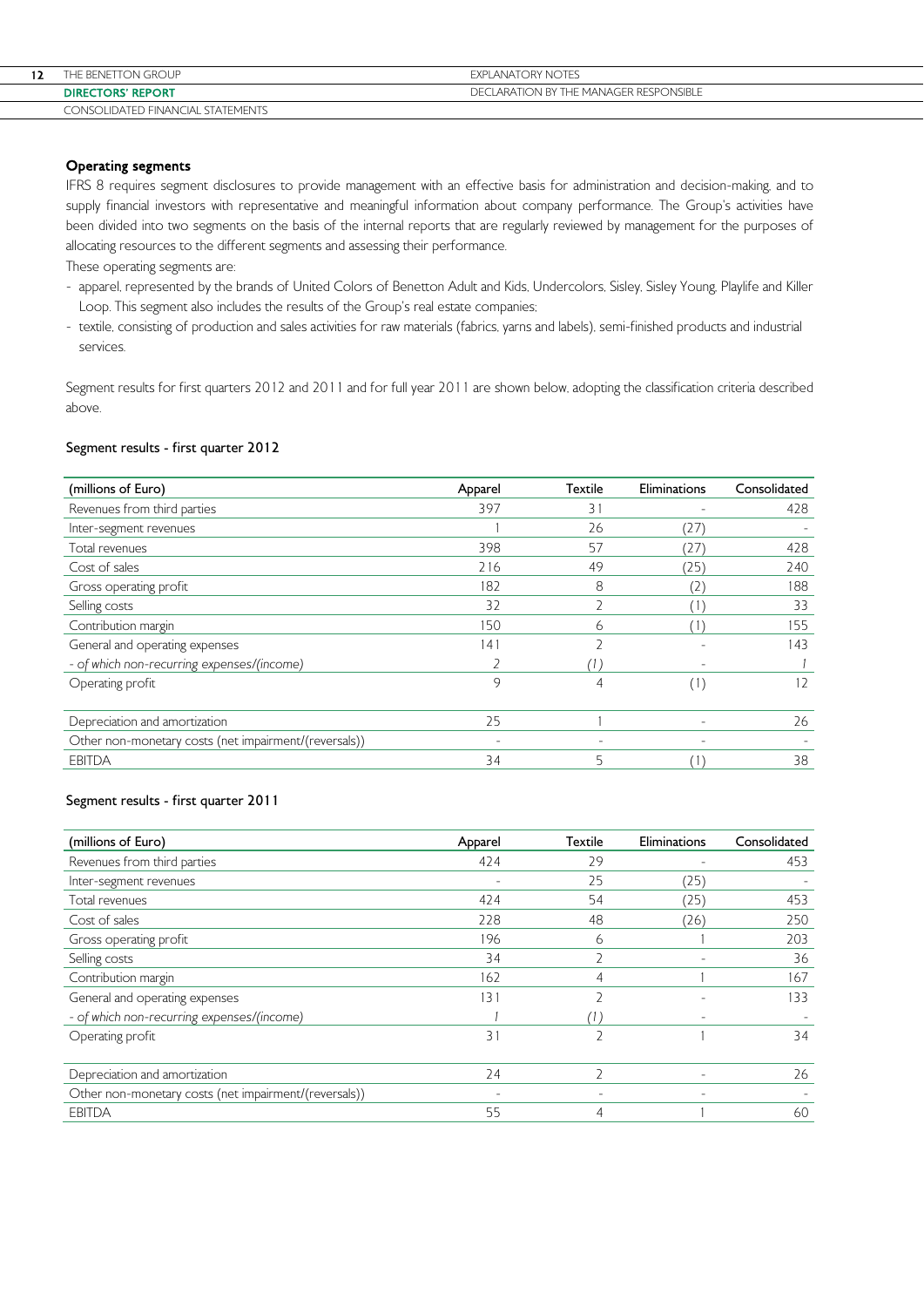| 12 | THE BENETTON GROUP                | <b>EXPLANATORY NOTES</b>               |
|----|-----------------------------------|----------------------------------------|
|    | <b>DIRECTORS' REPORT</b>          | DECLARATION BY THE MANAGER RESPONSIBLE |
|    | CONSOLIDATED FINANCIAL STATEMENTS |                                        |

# Operating segments

IFRS 8 requires segment disclosures to provide management with an effective basis for administration and decision-making, and to supply financial investors with representative and meaningful information about company performance. The Group's activities have been divided into two segments on the basis of the internal reports that are regularly reviewed by management for the purposes of allocating resources to the different segments and assessing their performance.

These operating segments are:

- apparel, represented by the brands of United Colors of Benetton Adult and Kids, Undercolors, Sisley, Sisley Young, Playlife and Killer Loop. This segment also includes the results of the Group's real estate companies;
- textile, consisting of production and sales activities for raw materials (fabrics, yarns and labels), semi-finished products and industrial services.

Segment results for first quarters 2012 and 2011 and for full year 2011 are shown below, adopting the classification criteria described above.

### Segment results - first quarter 2012

| (millions of Euro)                                    | Apparel | <b>Textile</b>  | Eliminations             | Consolidated |
|-------------------------------------------------------|---------|-----------------|--------------------------|--------------|
| Revenues from third parties                           | 397     | $\overline{3}1$ |                          | 428          |
| Inter-segment revenues                                |         | 26              | (27                      |              |
| Total revenues                                        | 398     | 57              | (27,                     | 428          |
| Cost of sales                                         | 216     | 49              | (25)                     | 240          |
| Gross operating profit                                | 182     | 8               | (2)                      | 188          |
| Selling costs                                         | 32      |                 |                          | 33           |
| Contribution margin                                   | 150     | ь               |                          | 155          |
| General and operating expenses                        | 141     |                 |                          | 143          |
| - of which non-recurring expenses/(income)            |         |                 |                          |              |
| Operating profit                                      | $\circ$ | 4               | (1)                      | 12           |
| Depreciation and amortization                         | 25      |                 | $\overline{\phantom{a}}$ | 26           |
| Other non-monetary costs (net impairment/(reversals)) |         |                 |                          |              |
| <b>EBITDA</b>                                         | 34      | 5               |                          | 38           |

### Segment results - first quarter 2011

| (millions of Euro)                                    | Apparel | <b>Textile</b>           | Eliminations             | Consolidated |
|-------------------------------------------------------|---------|--------------------------|--------------------------|--------------|
| Revenues from third parties                           | 424     | 29                       | $\overline{\phantom{a}}$ | 453          |
| Inter-segment revenues                                |         | 25                       | (25)                     |              |
| Total revenues                                        | 424     | 54                       | (25)                     | 453          |
| Cost of sales                                         | 228     | 48                       | (26)                     | 250          |
| Gross operating profit                                | 196     | 6                        |                          | 203          |
| Selling costs                                         | 34      |                          |                          | 36           |
| Contribution margin                                   | 162     | 4                        |                          | 167          |
| General and operating expenses                        | 131     |                          |                          | 133          |
| - of which non-recurring expenses/(income)            |         |                          | $\overline{\phantom{a}}$ |              |
| Operating profit                                      | 31      |                          |                          | 34           |
| Depreciation and amortization                         | 24      |                          |                          | 26           |
| Other non-monetary costs (net impairment/(reversals)) |         | $\overline{\phantom{a}}$ | $\overline{\phantom{a}}$ |              |
| <b>EBITDA</b>                                         | 55      |                          |                          | 60           |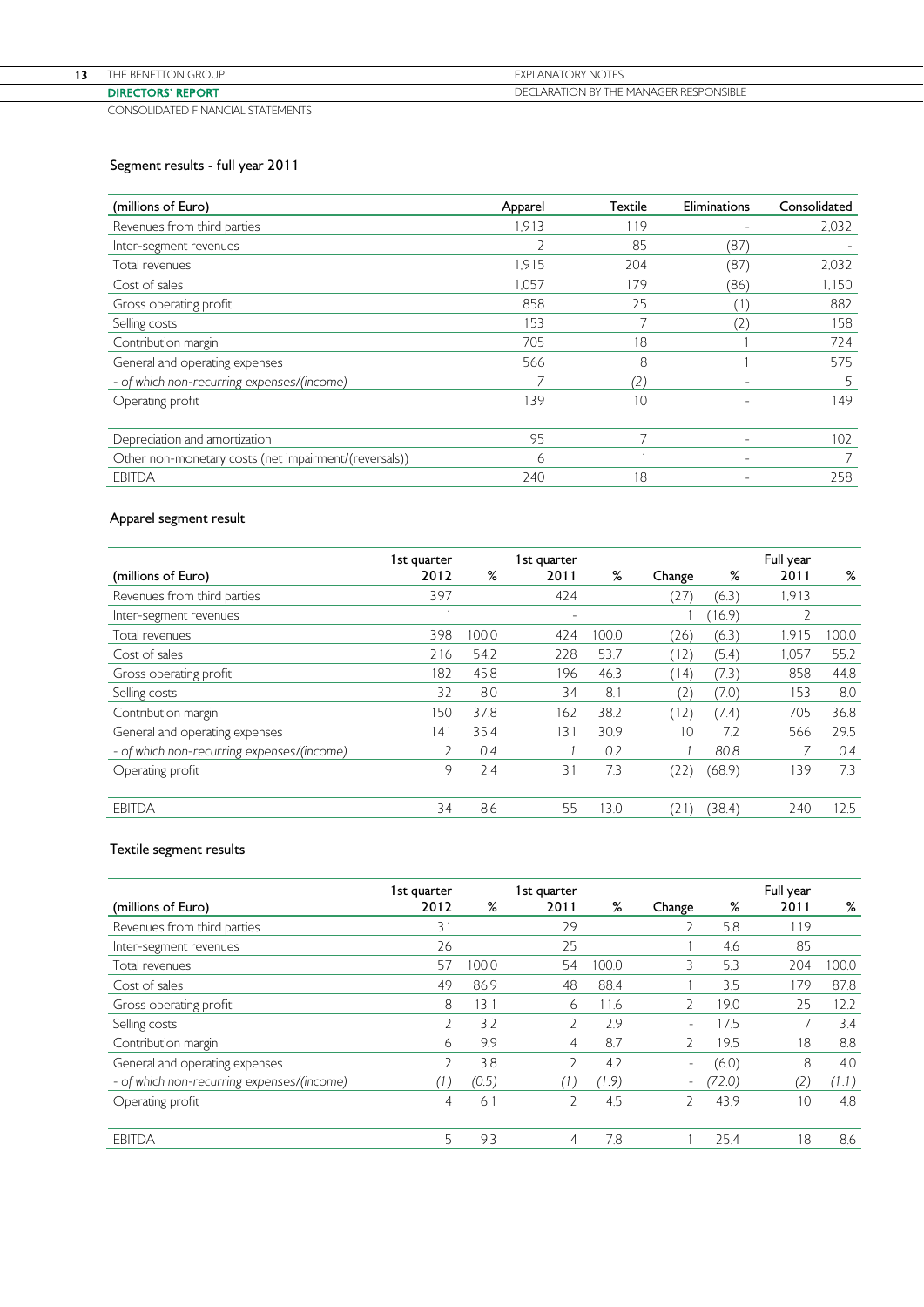| THE BENETTON GROUP                | <b>EXPLANATORY NOTES</b>               |
|-----------------------------------|----------------------------------------|
| <b>DIRECTORS' REPORT</b>          | DECLARATION BY THE MANAGER RESPONSIBLE |
| CONSOLIDATED FINANCIAL STATEMENTS |                                        |

# Segment results - full year 2011

| (millions of Euro)                                    | Apparel | Textile        | Eliminations             | Consolidated |
|-------------------------------------------------------|---------|----------------|--------------------------|--------------|
| Revenues from third parties                           | 1.913   | 119            |                          | 2.032        |
| Inter-segment revenues                                | ∠       | 85             | (87)                     |              |
| Total revenues                                        | 1.915   | 204            | (87                      | 2,032        |
| Cost of sales                                         | 1.057   | 179            | (86)                     | 1.150        |
| Gross operating profit                                | 858     | 25             |                          | 882          |
| Selling costs                                         | 153     |                | $^{\prime}$ 2            | 158          |
| Contribution margin                                   | 705     | 18             |                          | 724          |
| General and operating expenses                        | 566     | 8              |                          | 575          |
| - of which non-recurring expenses/(income)            |         | (2.            | ٠                        | 5            |
| Operating profit                                      | 139     | 10             |                          | 149          |
| Depreciation and amortization                         | 95      | $\overline{7}$ |                          | 102          |
| Other non-monetary costs (net impairment/(reversals)) | 6       |                | $\overline{\phantom{a}}$ |              |
| <b>EBITDA</b>                                         | 240     | 18             |                          | 258          |

# Apparel segment result

|                                            | 1st quarter |       | 1st quarter              |       |        |        | Full year |      |
|--------------------------------------------|-------------|-------|--------------------------|-------|--------|--------|-----------|------|
| (millions of Euro)                         | 2012        | %     | 2011                     | %     | Change | %      | 2011      | %    |
| Revenues from third parties                | 397         |       | 424                      |       | (27)   | (6.3)  | 1,913     |      |
| Inter-segment revenues                     |             |       | $\overline{\phantom{a}}$ |       |        | 16.9   |           |      |
| Total revenues                             | 398         | 100.0 | 424                      | 100.0 | (26)   | (6.3)  | 1.915     | 00.0 |
| Cost of sales                              | 216         | 54.2  | 228                      | 53.7  | (12)   | (5.4)  | 1.057     | 55.2 |
| Gross operating profit                     | 82          | 45.8  | 196                      | 46.3  | (14)   | (7.3)  | 858       | 44.8 |
| Selling costs                              | 32          | 8.0   | 34                       | 8.1   | 2)     | (7.0)  | 153       | 8.0  |
| Contribution margin                        | 150         | 37.8  | 162                      | 38.2  | (12)   | (7.4)  | 705       | 36.8 |
| General and operating expenses             | 41          | 35.4  | 131                      | 30.9  | 10     | 72     | 566       | 29.5 |
| - of which non-recurring expenses/(income) |             | 0.4   |                          | 0.2   |        | 80.8   |           | 0.4  |
| Operating profit                           | 9           | 2.4   | 31                       | 7.3   | (22)   | (68.9) | 139       | 7.3  |
| <b>EBITDA</b>                              | 34          | 8.6   | 55                       | 13.0  | (2)    | (38.4) | 240       | 12.5 |

# Textile segment results

|                                            | 1st quarter |       | 1st quarter |       |                          |        | Full year |       |
|--------------------------------------------|-------------|-------|-------------|-------|--------------------------|--------|-----------|-------|
| (millions of Euro)                         | 2012        | %     | 2011        | %     | Change                   | %      | 2011      | %     |
| Revenues from third parties                | 31          |       | 29          |       |                          | 5.8    | 119       |       |
| Inter-segment revenues                     | 26          |       | 25          |       |                          | 4.6    | 85        |       |
| Total revenues                             | 57          | 100.0 | 54          | 100.0 | 3                        | 5.3    | 204       | 00.0  |
| Cost of sales                              | 49          | 86.9  | 48          | 88.4  |                          | 3.5    | 179       | 87.8  |
| Gross operating profit                     | 8           | 3.1   | 6           | 11.6  | $\mathcal{P}$            | 9.0    | 25        | 12.2  |
| Selling costs                              |             | 3.2   |             | 2.9   | $\sim$                   | 75     |           | 3.4   |
| Contribution margin                        | 6           | 9.9   | 4           | 8.7   | C,                       | 9.5    | 8         | 8.8   |
| General and operating expenses             |             | 3.8   | っ           | 4.2   | $\overline{\phantom{0}}$ | (6.0)  | 8         | 4.0   |
| - of which non-recurring expenses/(income) |             | (0.5) | 7 I         | 7.9)  | ۰.                       | (72.0) | (2)       | (1.1) |
| Operating profit                           | 4           | 6.1   | V           | 4.5   |                          | 43.9   | 10        | 4.8   |
| <b>EBITDA</b>                              | 5           | 9.3   | 4           | 7.8   |                          | 25.4   | 8         | 8.6   |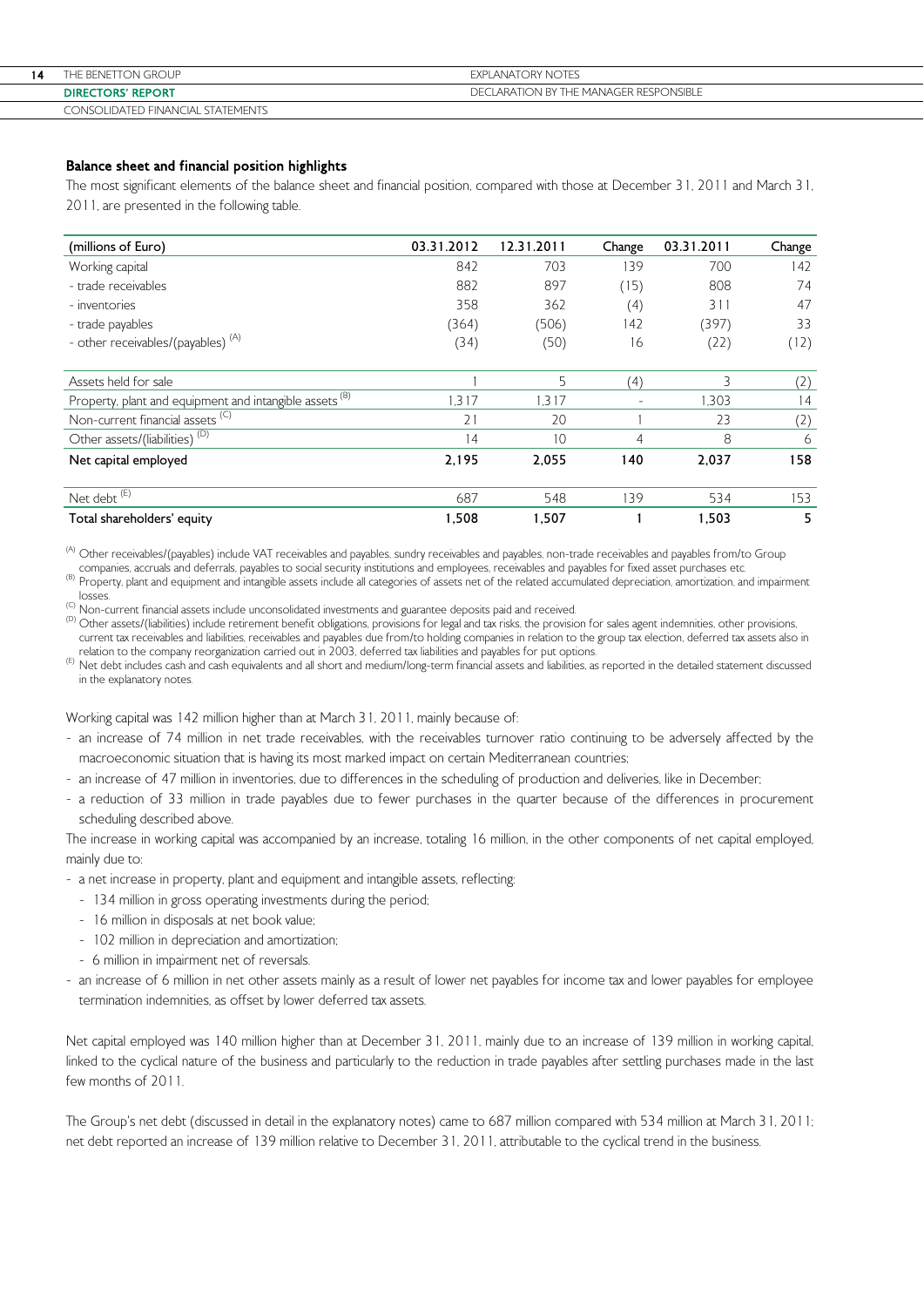| 14 | THE BENETTON GROUP                | <b>EXPLANATORY NOTES</b>               |
|----|-----------------------------------|----------------------------------------|
|    | <b>DIRECTORS' REPORT</b>          | DECLARATION BY THE MANAGER RESPONSIBLE |
|    | CONSOLIDATED FINANCIAL STATEMENTS |                                        |

# Balance sheet and financial position highlights

The most significant elements of the balance sheet and financial position, compared with those at December 31, 2011 and March 31, 2011, are presented in the following table.

| (millions of Euro)                                                 | 03.31.2012 | 12.31.2011 | Change                   | 03.31.2011 | Change |
|--------------------------------------------------------------------|------------|------------|--------------------------|------------|--------|
| Working capital                                                    | 842        | 703        | 139                      | 700        | 142    |
| - trade receivables                                                | 882        | 897        | (15)                     | 808        | 74     |
| - inventories                                                      | 358        | 362        | (4)                      | 311        | 47     |
| - trade payables                                                   | (364)      | (506)      | 142                      | (397)      | 33     |
| - other receivables/(payables) <sup>(A)</sup>                      | (34)       | (50)       | 16                       | (22)       | (12)   |
|                                                                    |            |            |                          |            |        |
| Assets held for sale                                               |            | 5          | (4)                      | 3          | (2)    |
| Property, plant and equipment and intangible assets <sup>(B)</sup> | .317       | 1.317      | $\overline{\phantom{a}}$ | 1.303      | 14     |
| Non-current financial assets <sup>(C)</sup>                        | 21         | 20         |                          | 23         | (2)    |
| Other assets/(liabilities) <sup>(D)</sup>                          | 14         | 10         | 4                        | 8          | 6      |
| Net capital employed                                               | 2,195      | 2,055      | 140                      | 2,037      | 158    |
| Net debt <sup>(E)</sup>                                            | 687        | 548        | 139                      | 534        | 153    |
| Total shareholders' equity                                         | 1,508      | 1,507      |                          | 1,503      | 5      |

<sup>(A)</sup> Other receivables/(payables) include VAT receivables and payables, sundry receivables and payables, non-trade receivables and payables from/to Group companies, accruals and deferrals, payables to social security inst

(B) Property, plant and equipment and intangible assets include all categories of assets net of the related accumulated depreciation, amortization, and impairment

losses.<br><sup>(C)</sup> Non-current financial assets include unconsolidated investments and guarantee deposits paid and received.

(b) Other assets/(liabilities) include retirement benefit obligations, provisions for legal and tax risks, the provision for sales agent indemnities, other provisions, current tax receivables and liabilities, receivables and payables due from/to holding companies in relation to the group tax election, deferred tax assets also in

(E) Net debt includes cash and cash equivalents and all short and medium/long-term financial assets and liabilities, as reported in the detailed statement discussed in the explanatory notes.

Working capital was 142 million higher than at March 31, 2011, mainly because of:

- an increase of 74 million in net trade receivables, with the receivables turnover ratio continuing to be adversely affected by the macroeconomic situation that is having its most marked impact on certain Mediterranean countries;
- an increase of 47 million in inventories, due to differences in the scheduling of production and deliveries, like in December;
- a reduction of 33 million in trade payables due to fewer purchases in the quarter because of the differences in procurement scheduling described above.

The increase in working capital was accompanied by an increase, totaling 16 million, in the other components of net capital employed, mainly due to:

- a net increase in property, plant and equipment and intangible assets, reflecting:
	- 134 million in gross operating investments during the period;
	- 16 million in disposals at net book value;
	- 102 million in depreciation and amortization;
	- 6 million in impairment net of reversals.
- an increase of 6 million in net other assets mainly as a result of lower net payables for income tax and lower payables for employee termination indemnities, as offset by lower deferred tax assets.

Net capital employed was 140 million higher than at December 31, 2011, mainly due to an increase of 139 million in working capital, linked to the cyclical nature of the business and particularly to the reduction in trade payables after settling purchases made in the last few months of 2011.

The Group's net debt (discussed in detail in the explanatory notes) came to 687 million compared with 534 million at March 31, 2011; net debt reported an increase of 139 million relative to December 31, 2011, attributable to the cyclical trend in the business.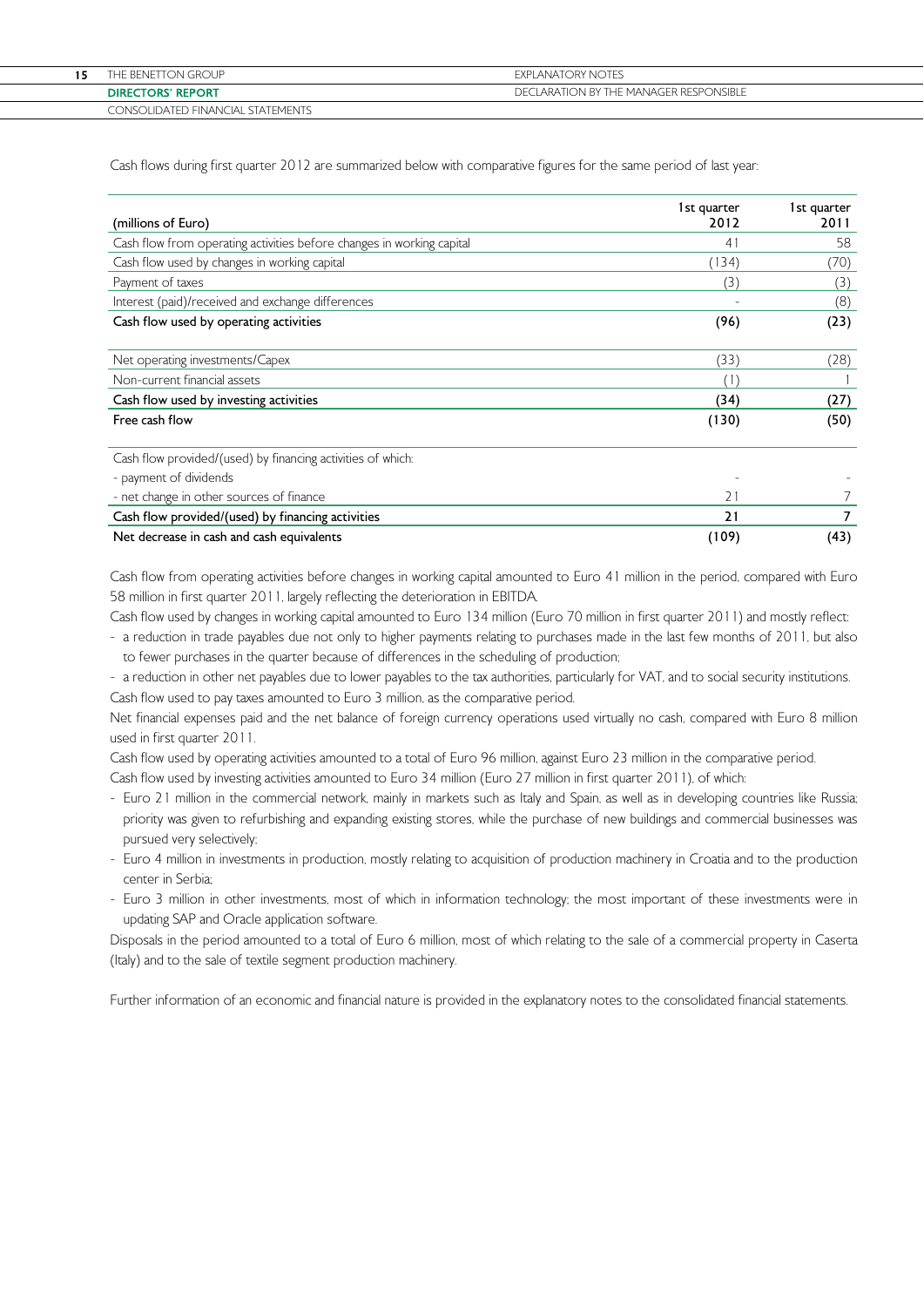| THE BENETTON GROUP                | EXPLANATORY NOTES                      |
|-----------------------------------|----------------------------------------|
| <b>DIRECTORS' REPORT</b>          | DECLARATION BY THE MANAGER RESPONSIBLE |
| CONSOLIDATED FINANCIAL STATEMENTS |                                        |

Cash flows during first quarter 2012 are summarized below with comparative figures for the same period of last year:

| (millions of Euro)                                                    | 1st quarter<br>2012 | 1st quarter<br>2011 |
|-----------------------------------------------------------------------|---------------------|---------------------|
| Cash flow from operating activities before changes in working capital | 41                  | 58                  |
| Cash flow used by changes in working capital                          | (134)               | (70)                |
| Payment of taxes                                                      | (3)                 | (3)                 |
| Interest (paid)/received and exchange differences                     |                     | (8)                 |
| Cash flow used by operating activities                                | (96)                | (23)                |
| Net operating investments/Capex                                       | (33)                | (28)                |
| Non-current financial assets                                          | (1)                 |                     |
| Cash flow used by investing activities                                | (34)                | (27)                |
| Free cash flow                                                        | (130)               | (50)                |
| Cash flow provided/(used) by financing activities of which:           |                     |                     |
| - payment of dividends                                                |                     |                     |
| - net change in other sources of finance                              | 71                  |                     |
| Cash flow provided/(used) by financing activities                     | 21                  |                     |
| Net decrease in cash and cash equivalents                             | (109)               | (43)                |

Cash flow from operating activities before changes in working capital amounted to Euro 41 million in the period, compared with Euro 58 million in first quarter 2011, largely reflecting the deterioration in EBITDA.

Cash flow used by changes in working capital amounted to Euro 134 million (Euro 70 million in first quarter 2011) and mostly reflect:

- a reduction in trade payables due not only to higher payments relating to purchases made in the last few months of 2011, but also to fewer purchases in the quarter because of differences in the scheduling of production;

- a reduction in other net payables due to lower payables to the tax authorities, particularly for VAT, and to social security institutions. Cash flow used to pay taxes amounted to Euro 3 million, as the comparative period.

Net financial expenses paid and the net balance of foreign currency operations used virtually no cash, compared with Euro 8 million used in first quarter 2011.

Cash flow used by operating activities amounted to a total of Euro 96 million, against Euro 23 million in the comparative period. Cash flow used by investing activities amounted to Euro 34 million (Euro 27 million in first quarter 2011), of which:

- Euro 21 million in the commercial network, mainly in markets such as Italy and Spain, as well as in developing countries like Russia; priority was given to refurbishing and expanding existing stores, while the purchase of new buildings and commercial businesses was pursued very selectively;
- Euro 4 million in investments in production, mostly relating to acquisition of production machinery in Croatia and to the production center in Serbia;
- Euro 3 million in other investments, most of which in information technology; the most important of these investments were in updating SAP and Oracle application software.

Disposals in the period amounted to a total of Euro 6 million, most of which relating to the sale of a commercial property in Caserta (Italy) and to the sale of textile segment production machinery.

Further information of an economic and financial nature is provided in the explanatory notes to the consolidated financial statements.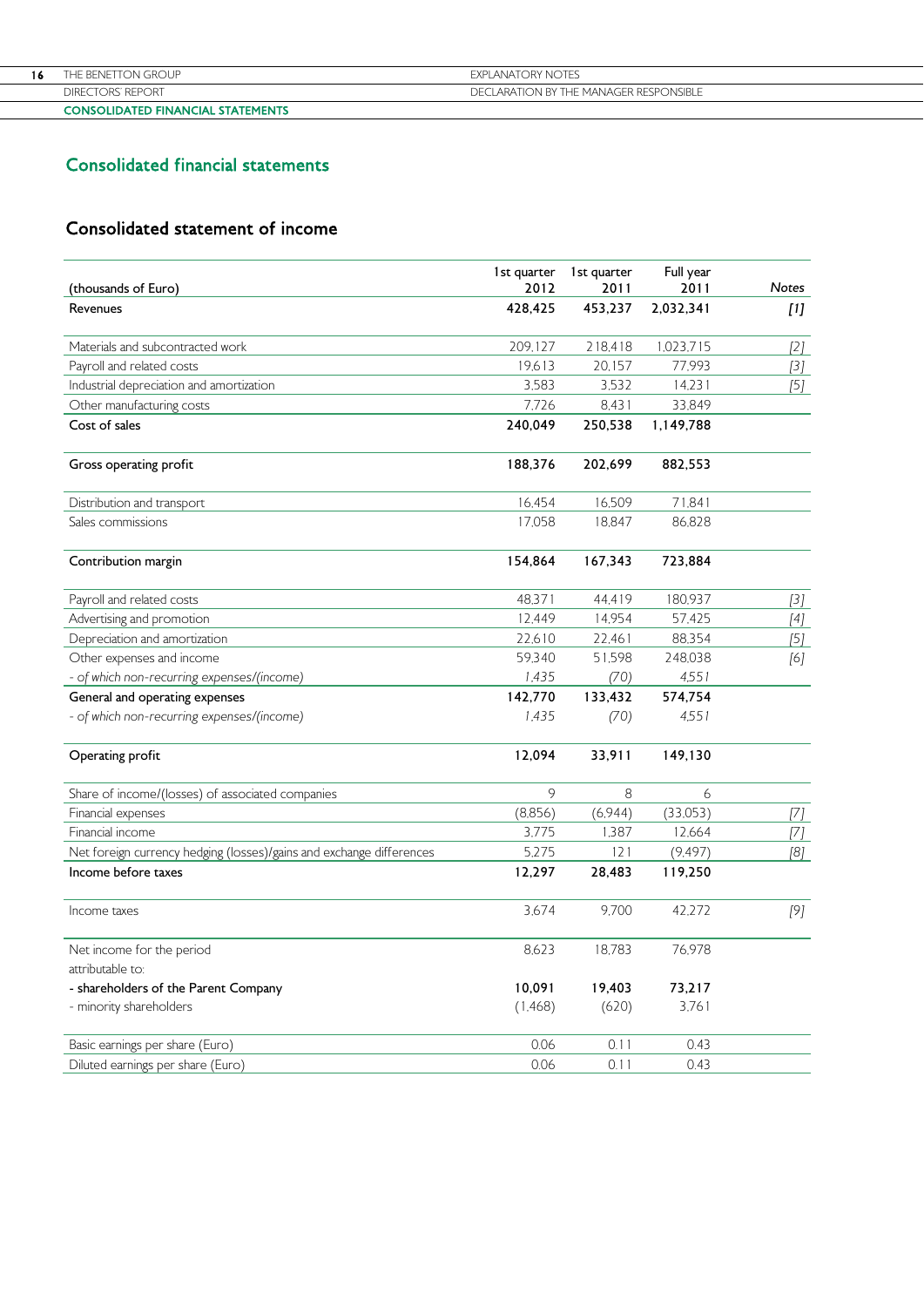| <b>CONSOLIDATED FINANCIAL STATEMENTS</b> |                                        |
|------------------------------------------|----------------------------------------|
| DIRECTORS' REPORT                        | DECLARATION BY THE MANAGER RESPONSIBLE |
| THE BENETTON GROUP                       | <b>FXPI ANATORY NOTES</b>              |
|                                          |                                        |

# Consolidated financial statements

# Consolidated statement of income

| (thousands of Euro)                                                  | 1st quarter<br>2012 | 1st quarter<br>2011 | Full year<br>2011 | <b>Notes</b>                                                                                                                                                                                                                                                                                                                                                                                                                                                                                                                                                                                 |
|----------------------------------------------------------------------|---------------------|---------------------|-------------------|----------------------------------------------------------------------------------------------------------------------------------------------------------------------------------------------------------------------------------------------------------------------------------------------------------------------------------------------------------------------------------------------------------------------------------------------------------------------------------------------------------------------------------------------------------------------------------------------|
| Revenues                                                             | 428,425             | 453,237             | 2,032,341         | [1]                                                                                                                                                                                                                                                                                                                                                                                                                                                                                                                                                                                          |
| Materials and subcontracted work                                     | 209,127             | 218,418             | 1,023,715         | [2]                                                                                                                                                                                                                                                                                                                                                                                                                                                                                                                                                                                          |
| Payroll and related costs                                            | 19,613              | 20,157              | 77,993            | $[3]$                                                                                                                                                                                                                                                                                                                                                                                                                                                                                                                                                                                        |
| Industrial depreciation and amortization                             | 3,583               | 3,532               | 14,231            |                                                                                                                                                                                                                                                                                                                                                                                                                                                                                                                                                                                              |
| Other manufacturing costs                                            | 7,726               | 8,431               | 33,849            |                                                                                                                                                                                                                                                                                                                                                                                                                                                                                                                                                                                              |
| Cost of sales                                                        | 240,049             | 250,538             | 1,149,788         |                                                                                                                                                                                                                                                                                                                                                                                                                                                                                                                                                                                              |
| Gross operating profit                                               | 188,376             | 202,699             | 882,553           |                                                                                                                                                                                                                                                                                                                                                                                                                                                                                                                                                                                              |
| Distribution and transport                                           | 16,454              | 16,509              | 71,841            |                                                                                                                                                                                                                                                                                                                                                                                                                                                                                                                                                                                              |
| Sales commissions                                                    | 17,058              | 18,847              | 86,828            |                                                                                                                                                                                                                                                                                                                                                                                                                                                                                                                                                                                              |
| Contribution margin                                                  | 154,864             | 167,343             | 723,884           |                                                                                                                                                                                                                                                                                                                                                                                                                                                                                                                                                                                              |
| Payroll and related costs                                            | 48,371              | 44,419              | 180,937           | $[3]$                                                                                                                                                                                                                                                                                                                                                                                                                                                                                                                                                                                        |
| Advertising and promotion                                            | 12,449              | 14,954              | 57,425            | $[4]$                                                                                                                                                                                                                                                                                                                                                                                                                                                                                                                                                                                        |
| Depreciation and amortization                                        | 22,610              | 22,461              | 88,354            | [5]                                                                                                                                                                                                                                                                                                                                                                                                                                                                                                                                                                                          |
| Other expenses and income                                            | 59,340              | 51,598              | 248,038           | [6]                                                                                                                                                                                                                                                                                                                                                                                                                                                                                                                                                                                          |
| - of which non-recurring expenses/(income)                           | 1,435               | (70)                | 4,551             |                                                                                                                                                                                                                                                                                                                                                                                                                                                                                                                                                                                              |
| General and operating expenses                                       | 142,770             | 133,432             | 574,754           |                                                                                                                                                                                                                                                                                                                                                                                                                                                                                                                                                                                              |
| - of which non-recurring expenses/(income)                           | 1,435               | (70)                | 4,551             |                                                                                                                                                                                                                                                                                                                                                                                                                                                                                                                                                                                              |
| Operating profit                                                     | 12,094              | 33,911              | 149,130           |                                                                                                                                                                                                                                                                                                                                                                                                                                                                                                                                                                                              |
| Share of income/(losses) of associated companies                     | 9                   | 8                   | 6                 |                                                                                                                                                                                                                                                                                                                                                                                                                                                                                                                                                                                              |
| Financial expenses                                                   | (8,856)             | (6,944)             | (33,053)          | [7]                                                                                                                                                                                                                                                                                                                                                                                                                                                                                                                                                                                          |
| Financial income                                                     | 3,775               | 1,387               | 12,664            | $[7] % \begin{minipage}[b]{0.5\linewidth} \centering \includegraphics[width=\textwidth]{figs/fig_4.pdf} \caption{The figure shows the \textit{Stab} model.} \label{fig:Stab} \end{minipage} \vspace{0.05in} \begin{minipage}[b]{0.5\linewidth} \centering \includegraphics[width=\textwidth]{figs/fig_4.pdf} \caption{The figure shows the \textit{Stab} model.} \label{fig:Stab} \end{minipage} \vspace{0.05in} \begin{minipage}[b]{0.5\linewidth} \centering \includegraphics[width=\textwidth]{figs/fig_4.pdf} \caption{The figure shows the \textit{Stab} model.} \label{fig:Stab} \end$ |
| Net foreign currency hedging (losses)/gains and exchange differences | 5,275               | 121                 | (9.497)           | [8]                                                                                                                                                                                                                                                                                                                                                                                                                                                                                                                                                                                          |
| Income before taxes                                                  | 12,297              | 28,483              | 119,250           |                                                                                                                                                                                                                                                                                                                                                                                                                                                                                                                                                                                              |
| Income taxes                                                         | 3,674               | 9,700               | 42,272            | [9]                                                                                                                                                                                                                                                                                                                                                                                                                                                                                                                                                                                          |
| Net income for the period                                            | 8,623               | 18,783              | 76,978            |                                                                                                                                                                                                                                                                                                                                                                                                                                                                                                                                                                                              |
| attributable to:                                                     |                     |                     |                   |                                                                                                                                                                                                                                                                                                                                                                                                                                                                                                                                                                                              |
| - shareholders of the Parent Company<br>- minority shareholders      | 10,091<br>(1,468)   | 19,403<br>(620)     | 73,217<br>3,761   |                                                                                                                                                                                                                                                                                                                                                                                                                                                                                                                                                                                              |
|                                                                      |                     |                     |                   |                                                                                                                                                                                                                                                                                                                                                                                                                                                                                                                                                                                              |
| Basic earnings per share (Euro)                                      | 0.06                | 0.11                | 0.43              |                                                                                                                                                                                                                                                                                                                                                                                                                                                                                                                                                                                              |
| Diluted earnings per share (Euro)                                    | 0.06                | 0.11                | 0.43              |                                                                                                                                                                                                                                                                                                                                                                                                                                                                                                                                                                                              |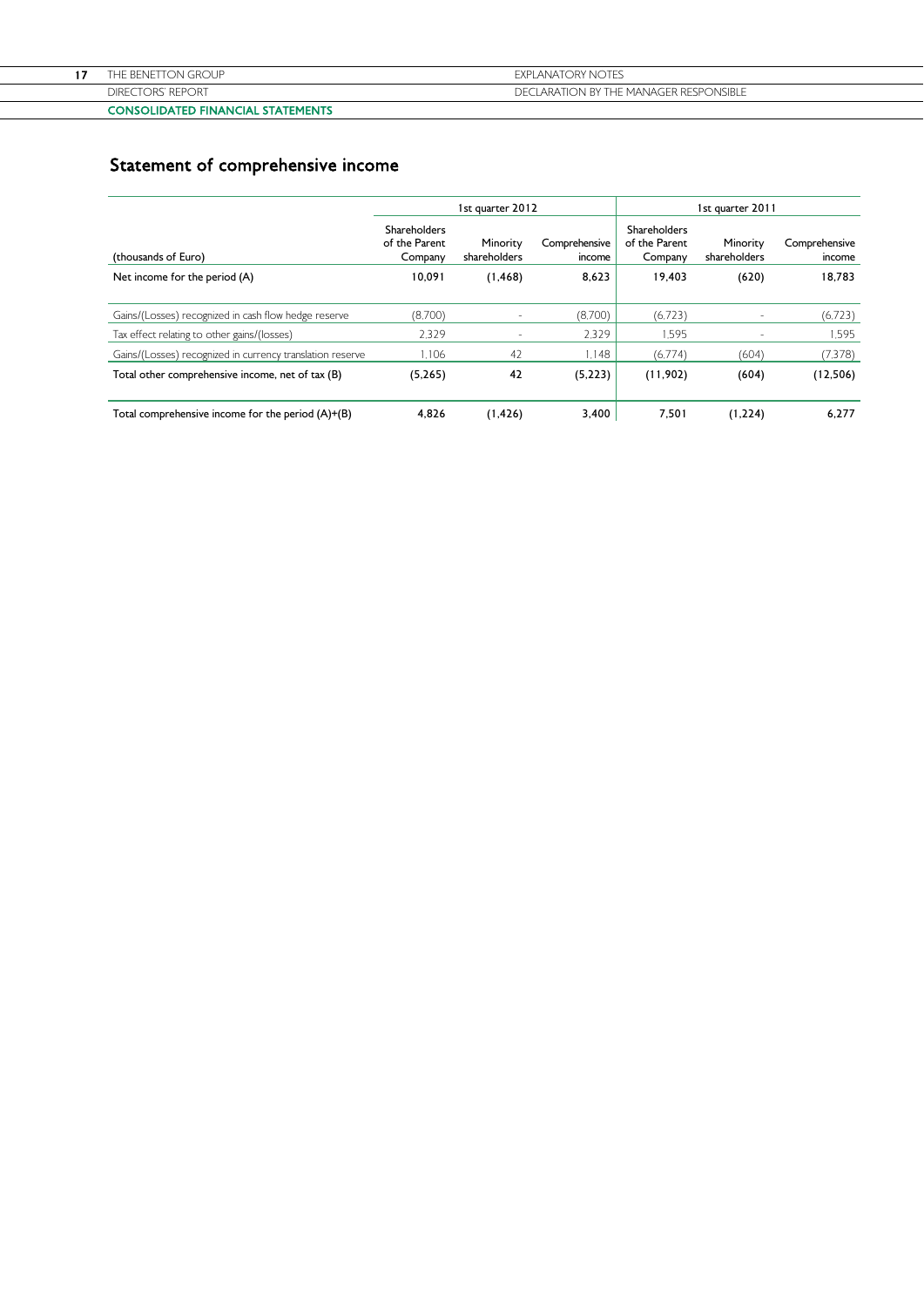| CONCOURATED FINIANCIAL CTATEMENTS. |                                        |
|------------------------------------|----------------------------------------|
| <b>DIRECTORS' REPORT</b>           | DECLARATION BY THE MANAGER RESPONSIBLE |
| THE BENETTON GROUP                 | <b>EXPLANATORY NOTES</b>               |
|                                    |                                        |

# CONSOLIDATED FINANCIAL STATEMENTS

# Statement of comprehensive income

|                                                           |                                          | 1st quarter 2012         |                         | 1st quarter 2011                         |                          |                         |
|-----------------------------------------------------------|------------------------------------------|--------------------------|-------------------------|------------------------------------------|--------------------------|-------------------------|
| (thousands of Euro)                                       | Shareholders<br>of the Parent<br>Company | Minority<br>shareholders | Comprehensive<br>income | Shareholders<br>of the Parent<br>Company | Minority<br>shareholders | Comprehensive<br>income |
| Net income for the period (A)                             | 10.091                                   | (1, 468)                 | 8,623                   | 19.403                                   | (620)                    | 18,783                  |
| Gains/(Losses) recognized in cash flow hedge reserve      | (8,700)                                  | $\sim$                   | (8,700)                 | (6.723)                                  |                          | (6,723)                 |
| Tax effect relating to other gains/(losses)               | 2.329                                    | $\sim$                   | 2.329                   | 1.595                                    | ٠                        | 1.595                   |
| Gains/(Losses) recognized in currency translation reserve | 1.106                                    | 42                       | 1.148                   | (6.774)                                  | (604)                    | (7,378)                 |
| Total other comprehensive income, net of tax (B)          | (5,265)                                  | 42                       | (5,223)                 | (11,902)                                 | (604)                    | (12,506)                |
| Total comprehensive income for the period (A)+(B)         | 4.826                                    | (1, 426)                 | 3,400                   | 7,501                                    | (1,224)                  | 6,277                   |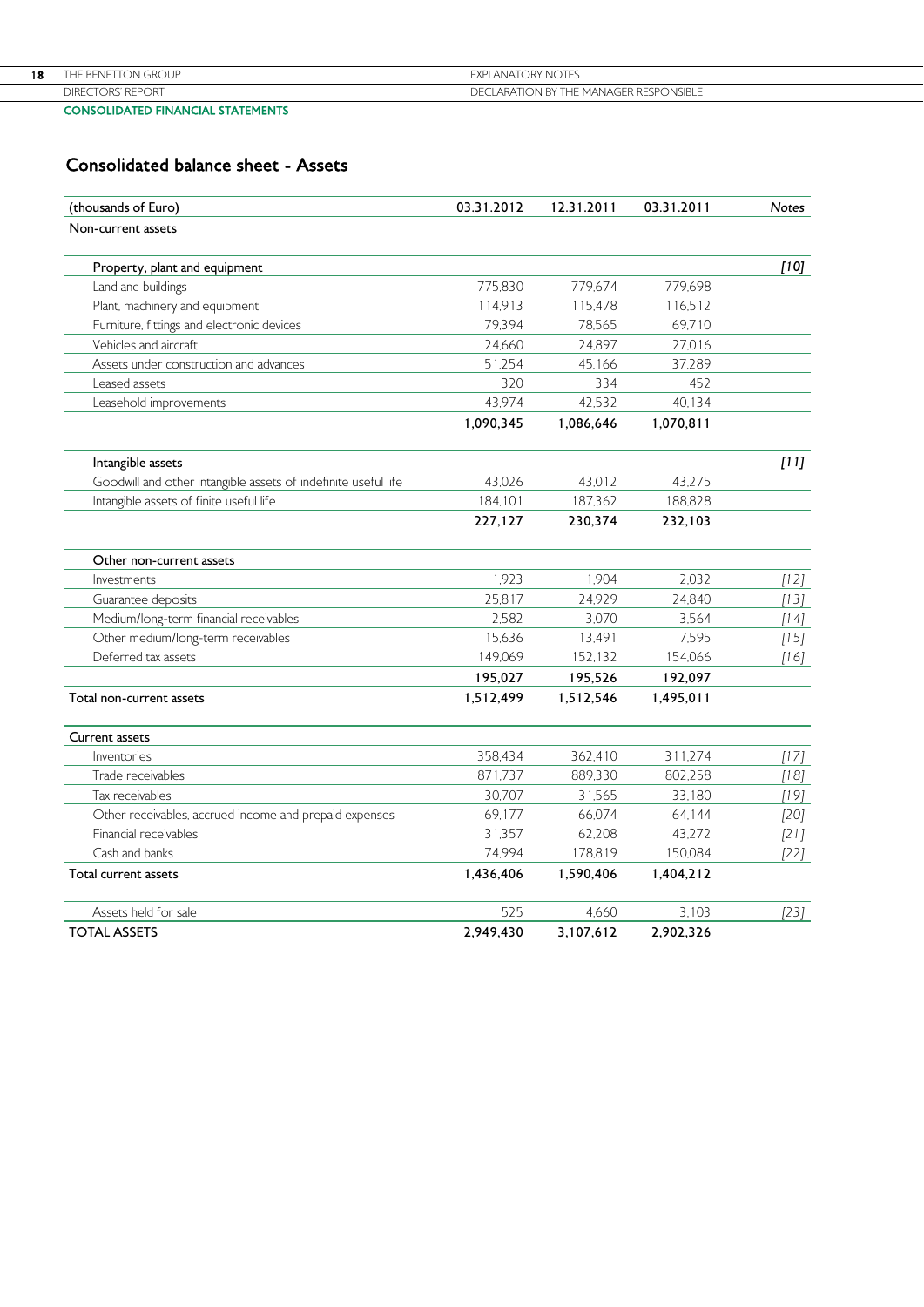|    | <b>CONSOLIDATED FINANCIAL STATEMENTS</b> |                                        |
|----|------------------------------------------|----------------------------------------|
|    | DIRECTORS' REPORT                        | DECLARATION BY THE MANAGER RESPONSIBLE |
| 18 | THE BENETTON GROUP.                      | <b>EXPLANATORY NOTES</b>               |
|    |                                          |                                        |

# Consolidated balance sheet - Assets

| (thousands of Euro)                                            | 03.31.2012 | 12.31.2011 | 03.31.2011 | Notes  |
|----------------------------------------------------------------|------------|------------|------------|--------|
| Non-current assets                                             |            |            |            |        |
| Property, plant and equipment                                  |            |            |            | [10]   |
| Land and buildings                                             | 775,830    | 779.674    | 779,698    |        |
| Plant, machinery and equipment                                 | 114,913    | 115,478    | 116,512    |        |
| Furniture, fittings and electronic devices                     | 79,394     | 78,565     | 69,710     |        |
| Vehicles and aircraft                                          | 24,660     | 24,897     | 27,016     |        |
| Assets under construction and advances                         | 51,254     | 45,166     | 37,289     |        |
| Leased assets                                                  | 320        | 334        | 452        |        |
| Leasehold improvements                                         | 43,974     | 42,532     | 40,134     |        |
|                                                                | 1,090,345  | 1,086,646  | 1,070,811  |        |
| Intangible assets                                              |            |            |            | [11]   |
| Goodwill and other intangible assets of indefinite useful life | 43,026     | 43,012     | 43,275     |        |
| Intangible assets of finite useful life                        | 184,101    | 187,362    | 188,828    |        |
|                                                                | 227,127    | 230,374    | 232,103    |        |
| Other non-current assets                                       |            |            |            |        |
| Investments                                                    | 1,923      | 1.904      | 2.032      | $[12]$ |
| Guarantee deposits                                             | 25,817     | 24,929     | 24,840     | $[13]$ |
| Medium/long-term financial receivables                         | 2,582      | 3,070      | 3,564      | $[14]$ |
| Other medium/long-term receivables                             | 15,636     | 13,491     | 7,595      | $[15]$ |
| Deferred tax assets                                            | 149,069    | 152,132    | 154,066    | [16]   |
|                                                                | 195,027    | 195,526    | 192,097    |        |
| Total non-current assets                                       | 1,512,499  | 1,512,546  | 1,495,011  |        |
| Current assets                                                 |            |            |            |        |
| Inventories                                                    | 358,434    | 362,410    | 311,274    | [17]   |
| Trade receivables                                              | 871,737    | 889,330    | 802,258    | $[18]$ |
| Tax receivables                                                | 30,707     | 31,565     | 33,180     | [19]   |
| Other receivables, accrued income and prepaid expenses         | 69,177     | 66,074     | 64,144     | $[20]$ |
| Financial receivables                                          | 31,357     | 62,208     | 43,272     | $[21]$ |
| Cash and banks                                                 | 74,994     | 178,819    | 150,084    | $[22]$ |
| Total current assets                                           | 1,436,406  | 1,590,406  | 1,404,212  |        |
| Assets held for sale                                           | 525        | 4,660      | 3,103      | [23]   |
| <b>TOTAL ASSETS</b>                                            | 2,949,430  | 3,107,612  | 2,902,326  |        |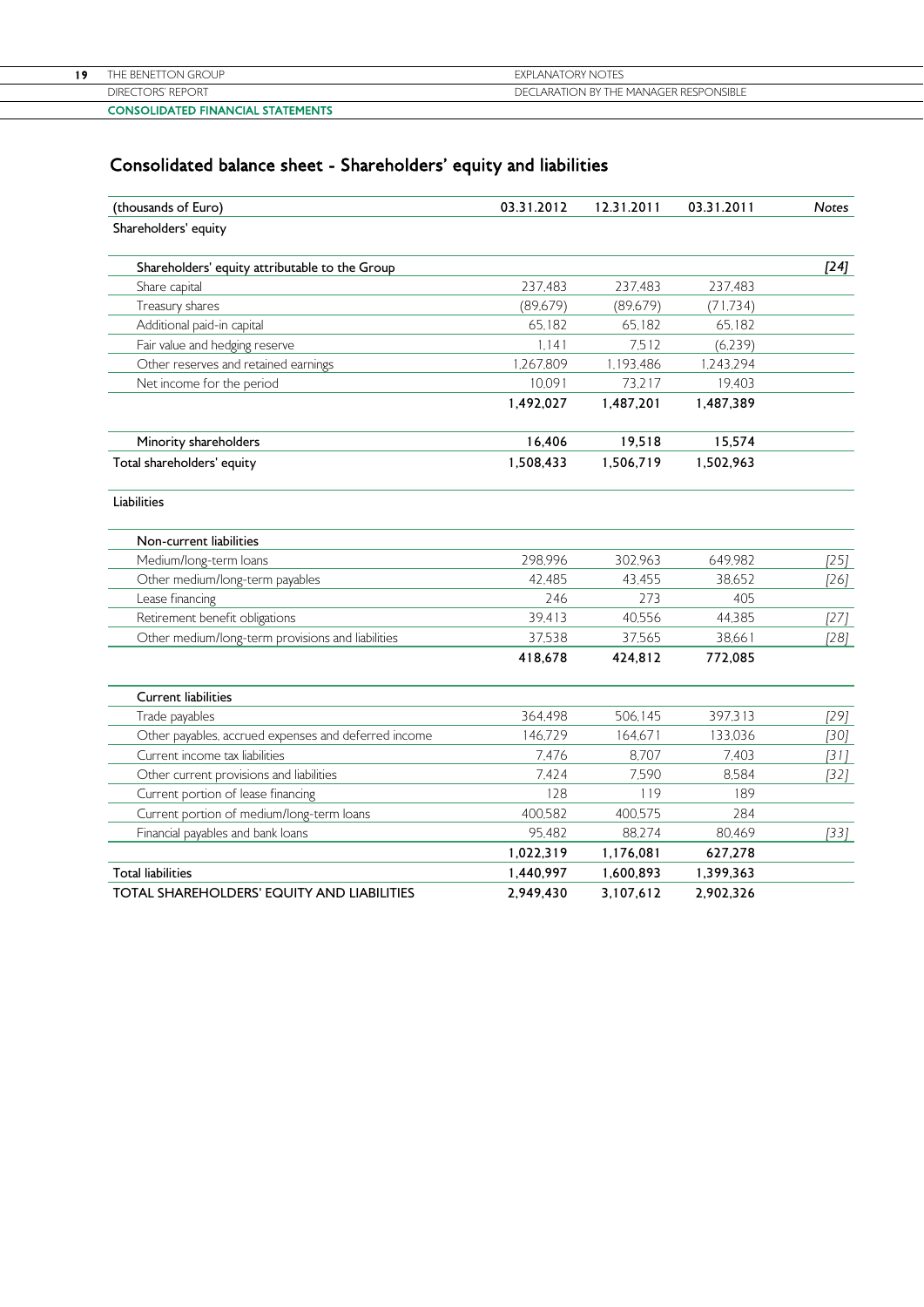|     | <b>CONSOLIDATED FINANCIAL STATEMENTS</b> |                                        |
|-----|------------------------------------------|----------------------------------------|
|     | DIRECTORS' REPORT                        | DECLARATION BY THE MANAGER RESPONSIBLE |
| 1 0 | THE BENETTON GROUP                       | <b>EXPLANATORY NOTES</b>               |
|     |                                          |                                        |

# Consolidated balance sheet - Shareholders' equity and liabilities

| (thousands of Euro)                                  | 03.31.2012 | 12.31.2011 | 03.31.2011 | <b>Notes</b> |
|------------------------------------------------------|------------|------------|------------|--------------|
| Shareholders' equity                                 |            |            |            |              |
| Shareholders' equity attributable to the Group       |            |            |            | $[24]$       |
| Share capital                                        | 237,483    | 237,483    | 237,483    |              |
| Treasury shares                                      | (89,679)   | (89,679)   | (71, 734)  |              |
| Additional paid-in capital                           | 65,182     | 65,182     | 65,182     |              |
| Fair value and hedging reserve                       | 1.141      | 7,512      | (6.239)    |              |
| Other reserves and retained earnings                 | 1,267,809  | 1,193,486  | 1,243,294  |              |
| Net income for the period                            | 10,091     | 73,217     | 19,403     |              |
|                                                      | 1,492,027  | 1,487,201  | 1,487,389  |              |
| Minority shareholders                                | 16,406     | 19,518     | 15,574     |              |
| Total shareholders' equity                           | 1,508,433  | 1,506,719  | 1,502,963  |              |
| Liabilities                                          |            |            |            |              |
| Non-current liabilities                              |            |            |            |              |
| Medium/long-term loans                               | 298,996    | 302,963    | 649,982    | $[25]$       |
| Other medium/long-term payables                      | 42,485     | 43,455     | 38.652     | [26]         |
| Lease financing                                      | 246        | 273        | 405        |              |
| Retirement benefit obligations                       | 39,413     | 40,556     | 44,385     | $[27]$       |
| Other medium/long-term provisions and liabilities    | 37,538     | 37,565     | 38,661     | $[28]$       |
|                                                      | 418,678    | 424,812    | 772,085    |              |
| <b>Current liabilities</b>                           |            |            |            |              |
| Trade payables                                       | 364,498    | 506.145    | 397,313    | [29]         |
| Other payables, accrued expenses and deferred income | 146,729    | 164,671    | 133,036    | $[30]$       |
| Current income tax liabilities                       | 7,476      | 8,707      | 7.403      | $[31]$       |
| Other current provisions and liabilities             | 7,424      | 7,590      | 8,584      | $[32]$       |
| Current portion of lease financing                   | 128        | 119        | 189        |              |
| Current portion of medium/long-term loans            | 400,582    | 400,575    | 284        |              |
| Financial payables and bank loans                    | 95,482     | 88,274     | 80,469     | $[33]$       |
|                                                      | 1,022,319  | 1,176,081  | 627,278    |              |
| <b>Total liabilities</b>                             | 1,440,997  | 1,600,893  | 1,399,363  |              |
| <b>TOTAL SHAREHOLDERS' EQUITY AND LIABILITIES</b>    | 2,949,430  | 3,107,612  | 2,902,326  |              |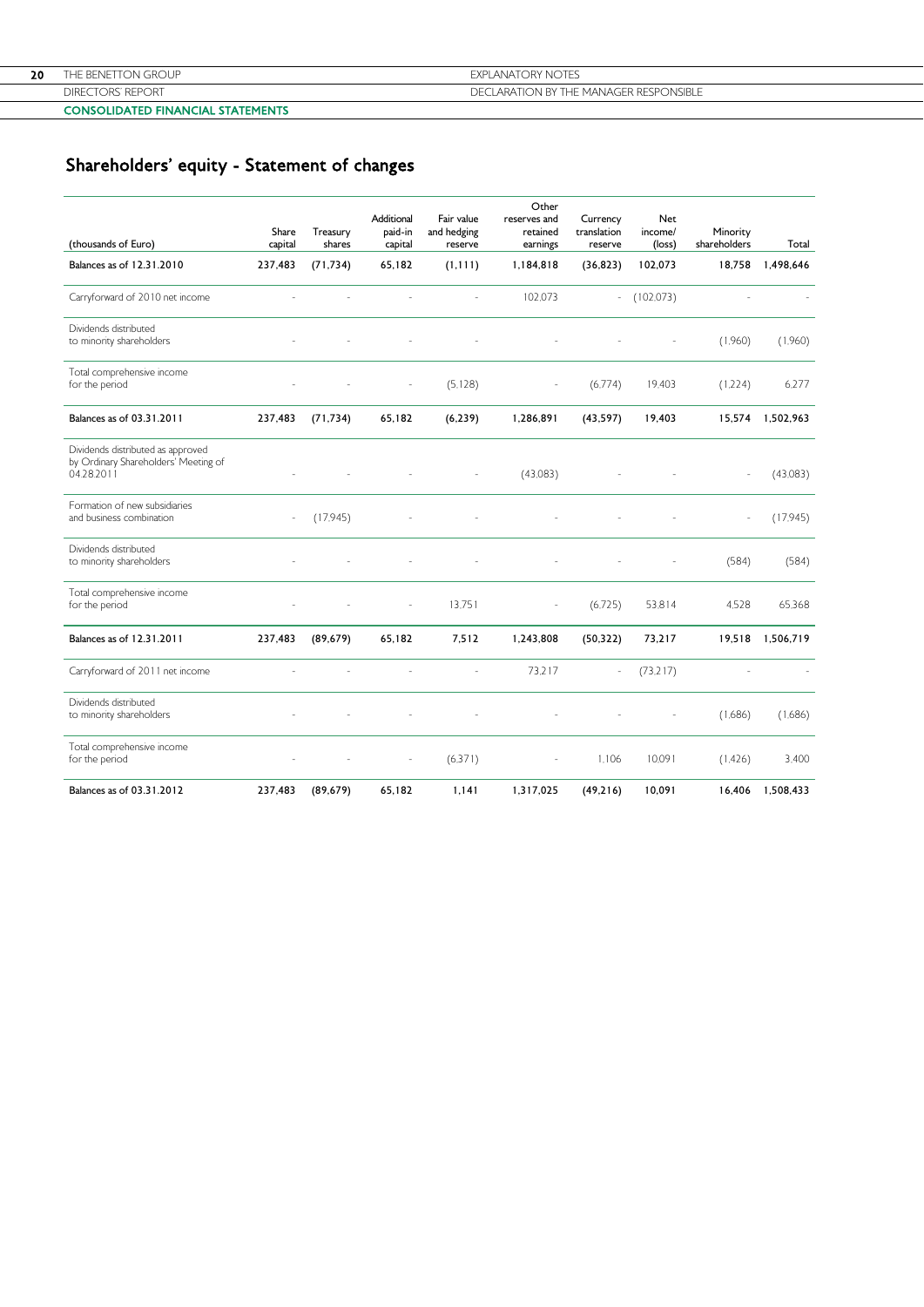|    | <b>REPORT</b><br>DIREC<br>ORS' | DECLARATION BY THE MANAGER RESPONSIBLE |
|----|--------------------------------|----------------------------------------|
| 20 | ON GROUP<br>BENETT(            | EXPI ANATORY NOTES                     |
|    |                                |                                        |

#### CONSOLIDATED FINANCIAL STATEMENTS

# Shareholders' equity - Statement of changes

| (thousands of Euro)                                                                     | Share<br>capital         | Treasury<br>shares | Additional<br>paid-in<br>capital | Fair value<br>and hedging<br>reserve | Other<br>reserves and<br>retained<br>earnings | Currency<br>translation<br>reserve | Net<br>income/<br>(loss) | Minority<br>shareholders | Total     |
|-----------------------------------------------------------------------------------------|--------------------------|--------------------|----------------------------------|--------------------------------------|-----------------------------------------------|------------------------------------|--------------------------|--------------------------|-----------|
| Balances as of 12.31.2010                                                               | 237,483                  | (71, 734)          | 65,182                           | (1, 111)                             | 1,184,818                                     | (36, 823)                          | 102,073                  | 18,758                   | 1,498,646 |
| Carryforward of 2010 net income                                                         |                          |                    |                                  | $\sim$                               | 102.073                                       | $\overline{\phantom{a}}$           | (102,073)                |                          |           |
| Dividends distributed<br>to minority shareholders                                       |                          |                    |                                  |                                      |                                               |                                    |                          | (1,960)                  | (1,960)   |
| Total comprehensive income<br>for the period                                            |                          |                    | $\overline{a}$                   | (5, 128)                             |                                               | (6.774)                            | 19,403                   | (1,224)                  | 6,277     |
| Balances as of 03.31.2011                                                               | 237,483                  | (71, 734)          | 65,182                           | (6, 239)                             | 1,286,891                                     | (43, 597)                          | 19,403                   | 15,574                   | 1,502,963 |
| Dividends distributed as approved<br>by Ordinary Shareholders' Meeting of<br>04.28.2011 |                          |                    |                                  |                                      | (43,083)                                      |                                    |                          |                          | (43,083)  |
| Formation of new subsidiaries<br>and business combination                               | $\overline{\phantom{a}}$ | (17,945)           |                                  |                                      |                                               |                                    |                          |                          | (17,945)  |
| Dividends distributed<br>to minority shareholders                                       |                          |                    |                                  |                                      |                                               |                                    |                          | (584)                    | (584)     |
| Total comprehensive income<br>for the period                                            |                          |                    | $\overline{a}$                   | 13,751                               | ٠                                             | (6.725)                            | 53,814                   | 4,528                    | 65.368    |
| Balances as of 12.31.2011                                                               | 237,483                  | (89, 679)          | 65,182                           | 7,512                                | 1,243,808                                     | (50, 322)                          | 73,217                   | 19,518                   | 1,506,719 |
| Carryforward of 2011 net income                                                         |                          |                    |                                  |                                      | 73,217                                        | $\overline{a}$                     | (73.217)                 |                          |           |
| Dividends distributed<br>to minority shareholders                                       |                          |                    |                                  |                                      |                                               |                                    |                          | (1,686)                  | (1,686)   |
| Total comprehensive income<br>for the period                                            |                          |                    |                                  | (6,371)                              |                                               | 1.106                              | 10,091                   | (1.426)                  | 3.400     |
| Balances as of 03.31.2012                                                               | 237,483                  | (89, 679)          | 65,182                           | 1,141                                | 1,317,025                                     | (49, 216)                          | 10,091                   | 16,406                   | 1,508,433 |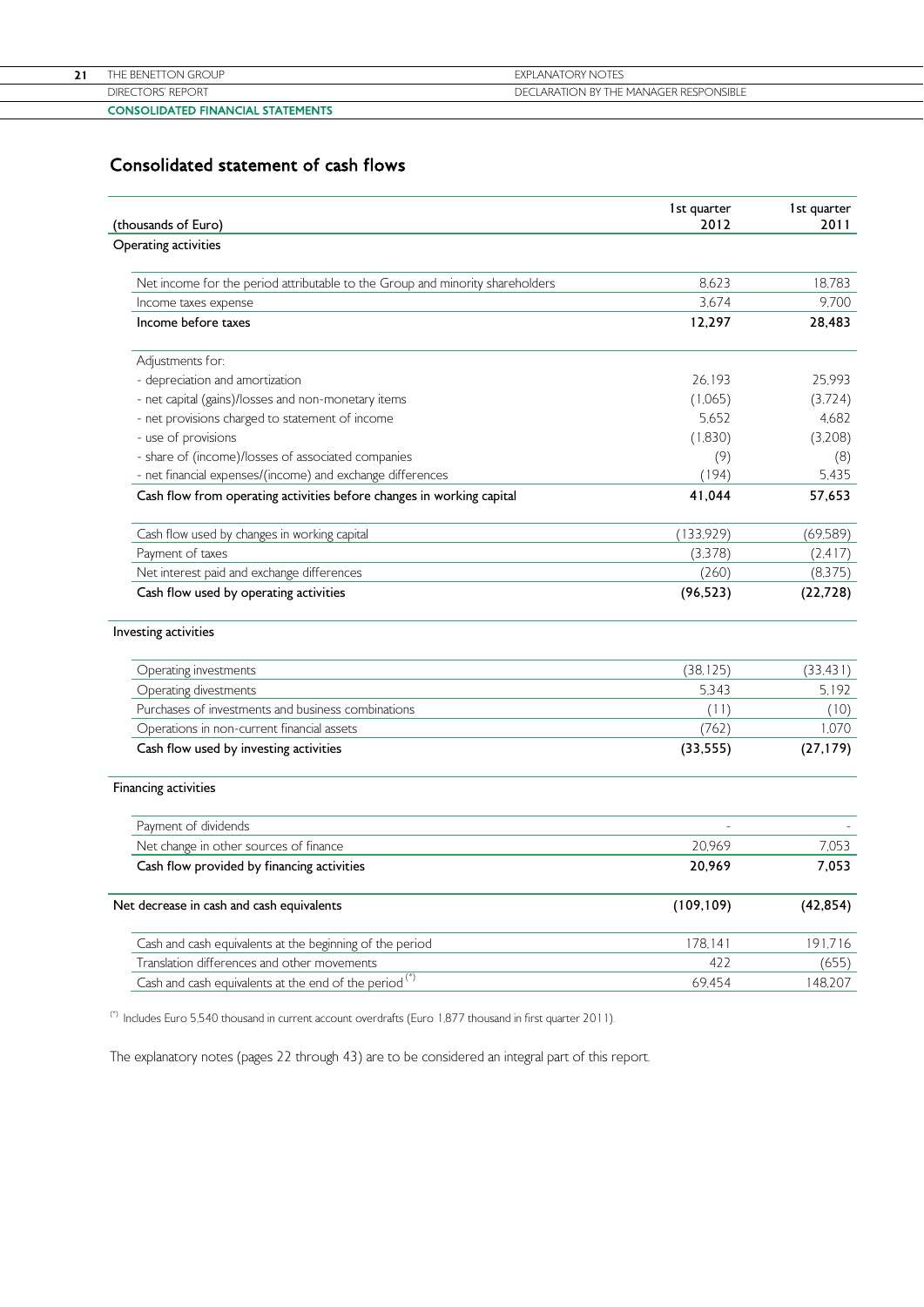| CONTRACTOR FEED PILLANTAL CENTER FEEDS |                                        |
|----------------------------------------|----------------------------------------|
| <b>CTORS' REPORT</b><br><b>DIRF</b>    | DECLARATION BY THE MANAGER RESPONSIBLE |
| TON GROUP-<br>-nftik                   | <b>EXPLANATORY NOTES</b>               |
|                                        |                                        |

## CONSOLIDATED FINANCIAL STATEMENTS

# Consolidated statement of cash flows

| (thousands of Euro)                                                           | 1st quarter<br>2012 | 1st quarter<br>2011 |
|-------------------------------------------------------------------------------|---------------------|---------------------|
| Operating activities                                                          |                     |                     |
| Net income for the period attributable to the Group and minority shareholders | 8.623               | 18.783              |
| Income taxes expense                                                          | 3,674               | 9,700               |
| Income before taxes                                                           | 12,297              | 28,483              |
| Adjustments for:                                                              |                     |                     |
| - depreciation and amortization                                               | 26.193              | 25.993              |
| - net capital (gains)/losses and non-monetary items                           | (1,065)             | (3,724)             |
| - net provisions charged to statement of income                               | 5.652               | 4,682               |
| - use of provisions                                                           | (1,830)             | (3,208)             |
| - share of (income)/losses of associated companies                            | (9)                 | (8)                 |
| - net financial expenses/(income) and exchange differences                    | (194)               | 5.435               |
| Cash flow from operating activities before changes in working capital         | 41,044              | 57,653              |
| Cash flow used by changes in working capital                                  | (133, 929)          | (69, 589)           |
| Payment of taxes                                                              | (3,378)             | (2.417)             |
| Net interest paid and exchange differences                                    | (260)               | (8,375)             |
| Cash flow used by operating activities                                        | (96, 523)           | (22, 728)           |
| Investing activities                                                          |                     |                     |
| Operating investments                                                         | (38, 125)           | (33, 431)           |
| Operating divestments                                                         | 5.343               | 5.192               |
| Purchases of investments and business combinations                            | (11)                | (10)                |
| Operations in non-current financial assets                                    | (762)               | 1,070               |
| Cash flow used by investing activities                                        | (33, 555)           | (27, 179)           |
| Financing activities                                                          |                     |                     |
| Payment of dividends                                                          |                     |                     |
| Net change in other sources of finance                                        | 20,969              | 7,053               |
| Cash flow provided by financing activities                                    | 20,969              | 7,053               |
| Net decrease in cash and cash equivalents                                     | (109, 109)          | (42, 854)           |
| Cash and cash equivalents at the beginning of the period                      | 178,141             | 191,716             |
| Translation differences and other movements                                   | 422                 | (655)               |
| Cash and cash equivalents at the end of the period <sup>(*)</sup>             | 69,454              | 148,207             |

(\*) Includes Euro 5,540 thousand in current account overdrafts (Euro 1,877 thousand in first quarter 2011).

The explanatory notes (pages 22 through 43) are to be considered an integral part of this report.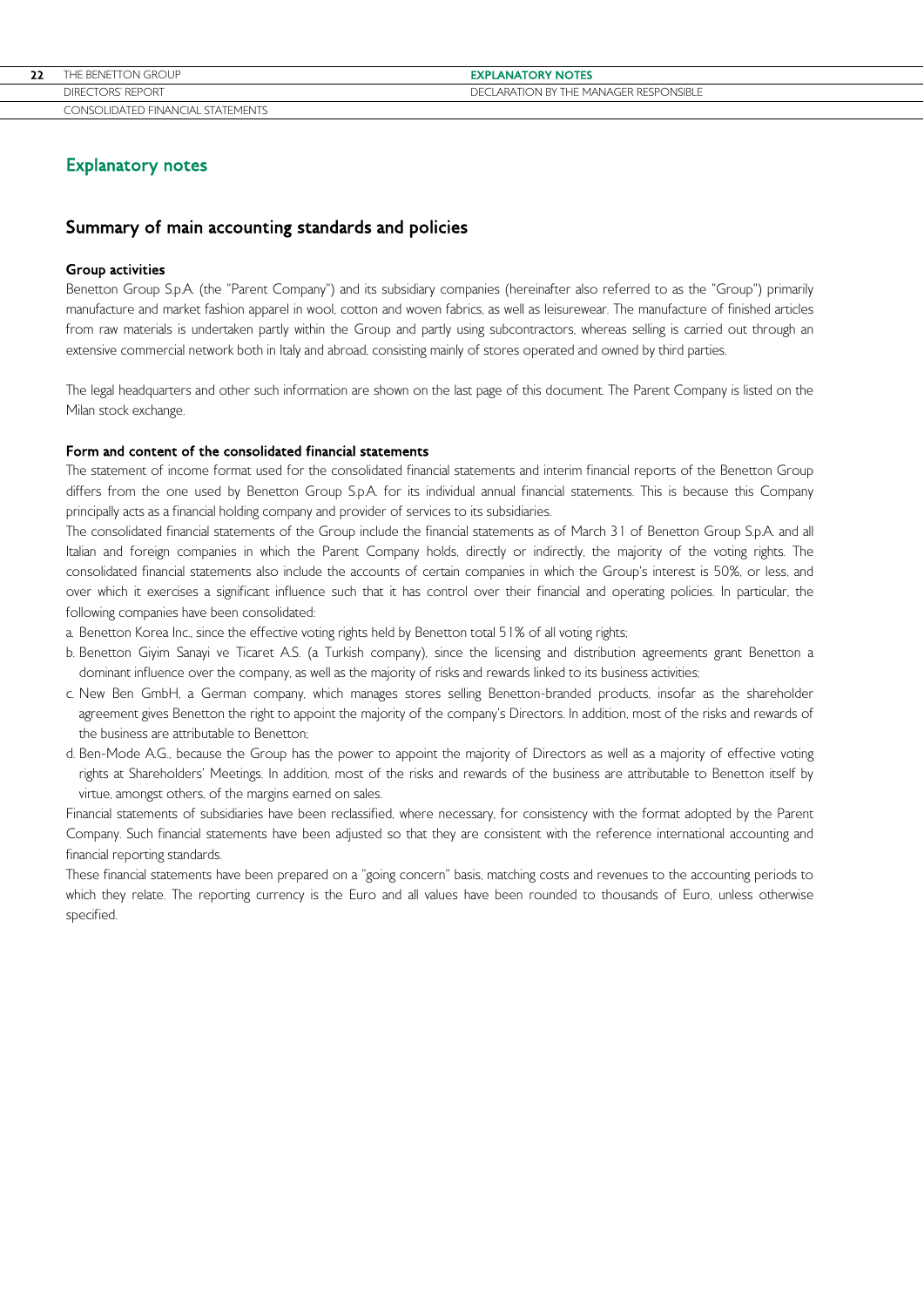# Explanatory notes

# Summary of main accounting standards and policies

## Group activities

Benetton Group S.p.A. (the "Parent Company") and its subsidiary companies (hereinafter also referred to as the "Group") primarily manufacture and market fashion apparel in wool, cotton and woven fabrics, as well as leisurewear. The manufacture of finished articles from raw materials is undertaken partly within the Group and partly using subcontractors, whereas selling is carried out through an extensive commercial network both in Italy and abroad, consisting mainly of stores operated and owned by third parties.

The legal headquarters and other such information are shown on the last page of this document. The Parent Company is listed on the Milan stock exchange.

### Form and content of the consolidated financial statements

The statement of income format used for the consolidated financial statements and interim financial reports of the Benetton Group differs from the one used by Benetton Group S.p.A. for its individual annual financial statements. This is because this Company principally acts as a financial holding company and provider of services to its subsidiaries.

The consolidated financial statements of the Group include the financial statements as of March 31 of Benetton Group S.p.A. and all Italian and foreign companies in which the Parent Company holds, directly or indirectly, the majority of the voting rights. The consolidated financial statements also include the accounts of certain companies in which the Group's interest is 50%, or less, and over which it exercises a significant influence such that it has control over their financial and operating policies. In particular, the following companies have been consolidated:

- a. Benetton Korea Inc., since the effective voting rights held by Benetton total 51% of all voting rights;
- b. Benetton Giyim Sanayi ve Ticaret A.S. (a Turkish company), since the licensing and distribution agreements grant Benetton a dominant influence over the company, as well as the majority of risks and rewards linked to its business activities;
- c. New Ben GmbH, a German company, which manages stores selling Benetton-branded products, insofar as the shareholder agreement gives Benetton the right to appoint the majority of the company's Directors. In addition, most of the risks and rewards of the business are attributable to Benetton;
- d. Ben-Mode A.G., because the Group has the power to appoint the majority of Directors as well as a majority of effective voting rights at Shareholders' Meetings. In addition, most of the risks and rewards of the business are attributable to Benetton itself by virtue, amongst others, of the margins earned on sales.

Financial statements of subsidiaries have been reclassified, where necessary, for consistency with the format adopted by the Parent Company. Such financial statements have been adjusted so that they are consistent with the reference international accounting and financial reporting standards.

These financial statements have been prepared on a "going concern" basis, matching costs and revenues to the accounting periods to which they relate. The reporting currency is the Euro and all values have been rounded to thousands of Euro, unless otherwise specified.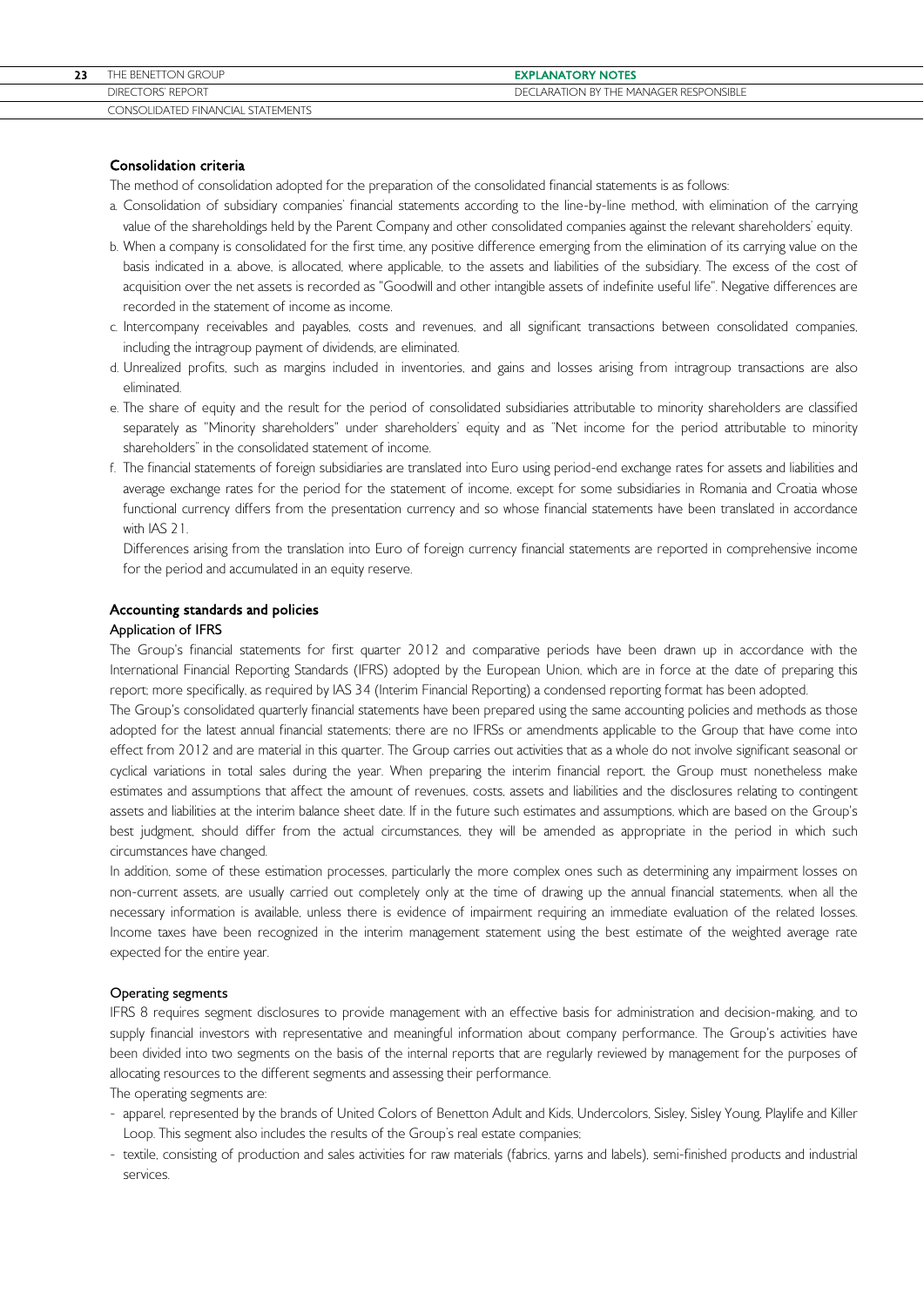# Consolidation criteria

The method of consolidation adopted for the preparation of the consolidated financial statements is as follows:

- a. Consolidation of subsidiary companies' financial statements according to the line-by-line method, with elimination of the carrying value of the shareholdings held by the Parent Company and other consolidated companies against the relevant shareholders' equity.
- b. When a company is consolidated for the first time, any positive difference emerging from the elimination of its carrying value on the basis indicated in a. above, is allocated, where applicable, to the assets and liabilities of the subsidiary. The excess of the cost of acquisition over the net assets is recorded as "Goodwill and other intangible assets of indefinite useful life". Negative differences are recorded in the statement of income as income.
- c. Intercompany receivables and payables, costs and revenues, and all significant transactions between consolidated companies, including the intragroup payment of dividends, are eliminated.
- d. Unrealized profits, such as margins included in inventories, and gains and losses arising from intragroup transactions are also eliminated.
- e. The share of equity and the result for the period of consolidated subsidiaries attributable to minority shareholders are classified separately as "Minority shareholders" under shareholders' equity and as "Net income for the period attributable to minority shareholders" in the consolidated statement of income.
- f. The financial statements of foreign subsidiaries are translated into Euro using period-end exchange rates for assets and liabilities and average exchange rates for the period for the statement of income, except for some subsidiaries in Romania and Croatia whose functional currency differs from the presentation currency and so whose financial statements have been translated in accordance with IAS 21.

Differences arising from the translation into Euro of foreign currency financial statements are reported in comprehensive income for the period and accumulated in an equity reserve.

### Accounting standards and policies

### Application of IFRS

The Group's financial statements for first quarter 2012 and comparative periods have been drawn up in accordance with the International Financial Reporting Standards (IFRS) adopted by the European Union, which are in force at the date of preparing this report; more specifically, as required by IAS 34 (Interim Financial Reporting) a condensed reporting format has been adopted.

The Group's consolidated quarterly financial statements have been prepared using the same accounting policies and methods as those adopted for the latest annual financial statements; there are no IFRSs or amendments applicable to the Group that have come into effect from 2012 and are material in this quarter. The Group carries out activities that as a whole do not involve significant seasonal or cyclical variations in total sales during the year. When preparing the interim financial report, the Group must nonetheless make estimates and assumptions that affect the amount of revenues, costs, assets and liabilities and the disclosures relating to contingent assets and liabilities at the interim balance sheet date. If in the future such estimates and assumptions, which are based on the Group's best judgment, should differ from the actual circumstances, they will be amended as appropriate in the period in which such circumstances have changed.

In addition, some of these estimation processes, particularly the more complex ones such as determining any impairment losses on non-current assets, are usually carried out completely only at the time of drawing up the annual financial statements, when all the necessary information is available, unless there is evidence of impairment requiring an immediate evaluation of the related losses. Income taxes have been recognized in the interim management statement using the best estimate of the weighted average rate expected for the entire year.

### Operating segments

IFRS 8 requires segment disclosures to provide management with an effective basis for administration and decision-making, and to supply financial investors with representative and meaningful information about company performance. The Group's activities have been divided into two segments on the basis of the internal reports that are regularly reviewed by management for the purposes of allocating resources to the different segments and assessing their performance.

The operating segments are:

- apparel, represented by the brands of United Colors of Benetton Adult and Kids, Undercolors, Sisley, Sisley Young, Playlife and Killer Loop. This segment also includes the results of the Group's real estate companies;
- textile, consisting of production and sales activities for raw materials (fabrics, yarns and labels), semi-finished products and industrial services.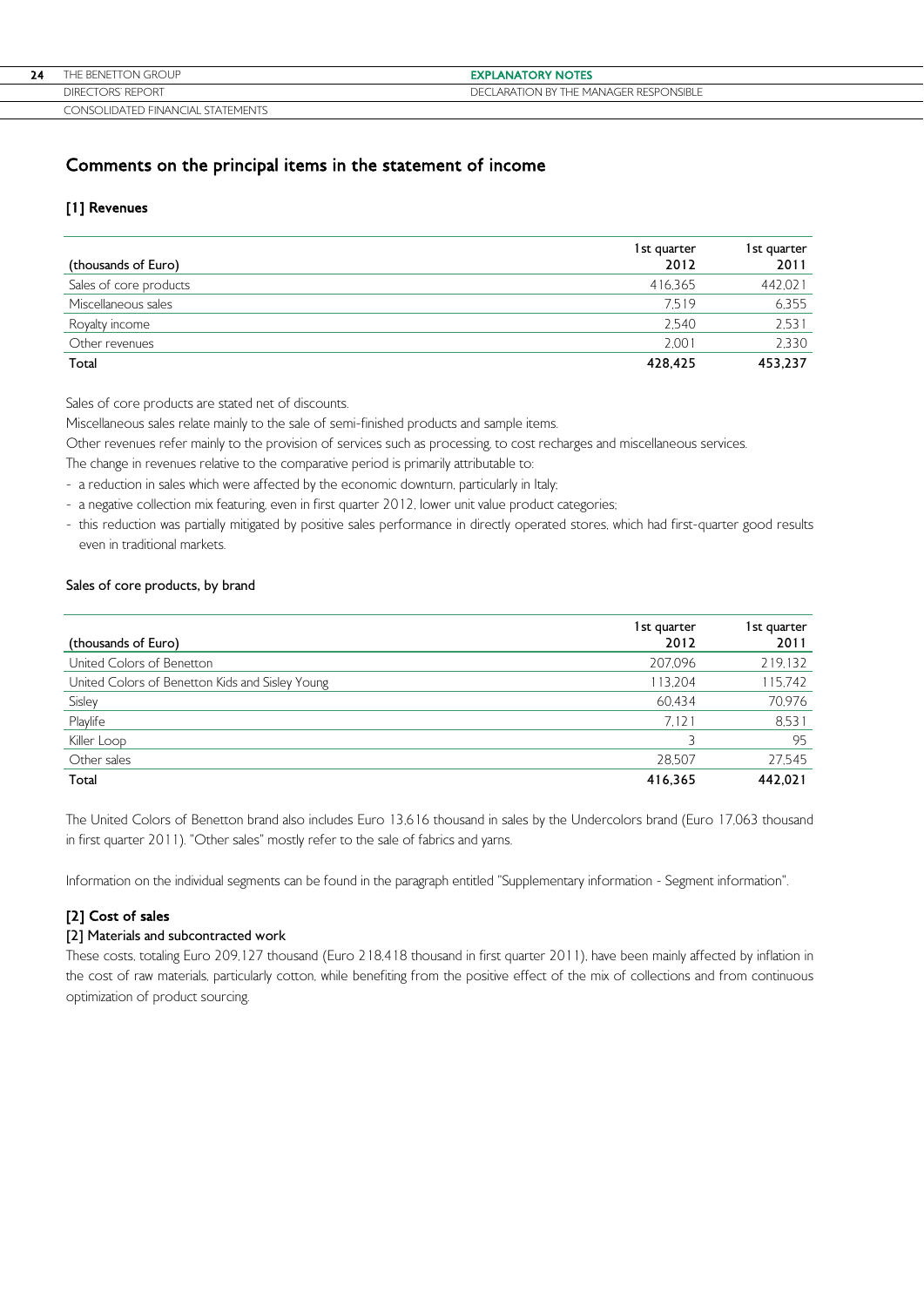| 24 | THE BENETTON GROUP                     | <b>EXPLANATORY NOTES</b>                    |
|----|----------------------------------------|---------------------------------------------|
|    | DIRECTORS' REPORT                      | CLARATION BY THE MANAGER RESPONSIBLE<br>DFC |
|    | LIDATED FINANCIAL STATEMENTS<br>TONSOL |                                             |

# Comments on the principal items in the statement of income

# [1] Revenues

| (thousands of Euro)    | 1st quarter<br>2012 | 1st quarter<br>2011 |
|------------------------|---------------------|---------------------|
| Sales of core products | 416.365             | 442,021             |
| Miscellaneous sales    | 7.519               | 6.355               |
| Royalty income         | 2.540               | 2,531               |
| Other revenues         | 2.001               | 2,330               |
| Total                  | 428,425             | 453,237             |

Sales of core products are stated net of discounts.

Miscellaneous sales relate mainly to the sale of semi-finished products and sample items.

Other revenues refer mainly to the provision of services such as processing, to cost recharges and miscellaneous services.

The change in revenues relative to the comparative period is primarily attributable to:

- a reduction in sales which were affected by the economic downturn, particularly in Italy;
- a negative collection mix featuring, even in first quarter 2012, lower unit value product categories;
- this reduction was partially mitigated by positive sales performance in directly operated stores, which had first-quarter good results even in traditional markets.

# Sales of core products, by brand

| (thousands of Euro)                             | 1st quarter<br>2012 | 1st quarter<br>2011 |
|-------------------------------------------------|---------------------|---------------------|
| United Colors of Benetton                       | 207,096             | 219,132             |
| United Colors of Benetton Kids and Sisley Young | 113,204             | 115,742             |
| Sisley                                          | 60.434              | 70,976              |
| Playlife                                        | 7.121               | 8.531               |
| Killer Loop                                     |                     | 95                  |
| Other sales                                     | 28.507              | 27,545              |
| Total                                           | 416.365             | 442.021             |

The United Colors of Benetton brand also includes Euro 13,616 thousand in sales by the Undercolors brand (Euro 17,063 thousand in first quarter 2011). "Other sales" mostly refer to the sale of fabrics and yarns.

Information on the individual segments can be found in the paragraph entitled "Supplementary information - Segment information".

# [2] Cost of sales

# [2] Materials and subcontracted work

These costs, totaling Euro 209,127 thousand (Euro 218,418 thousand in first quarter 2011), have been mainly affected by inflation in the cost of raw materials, particularly cotton, while benefiting from the positive effect of the mix of collections and from continuous optimization of product sourcing.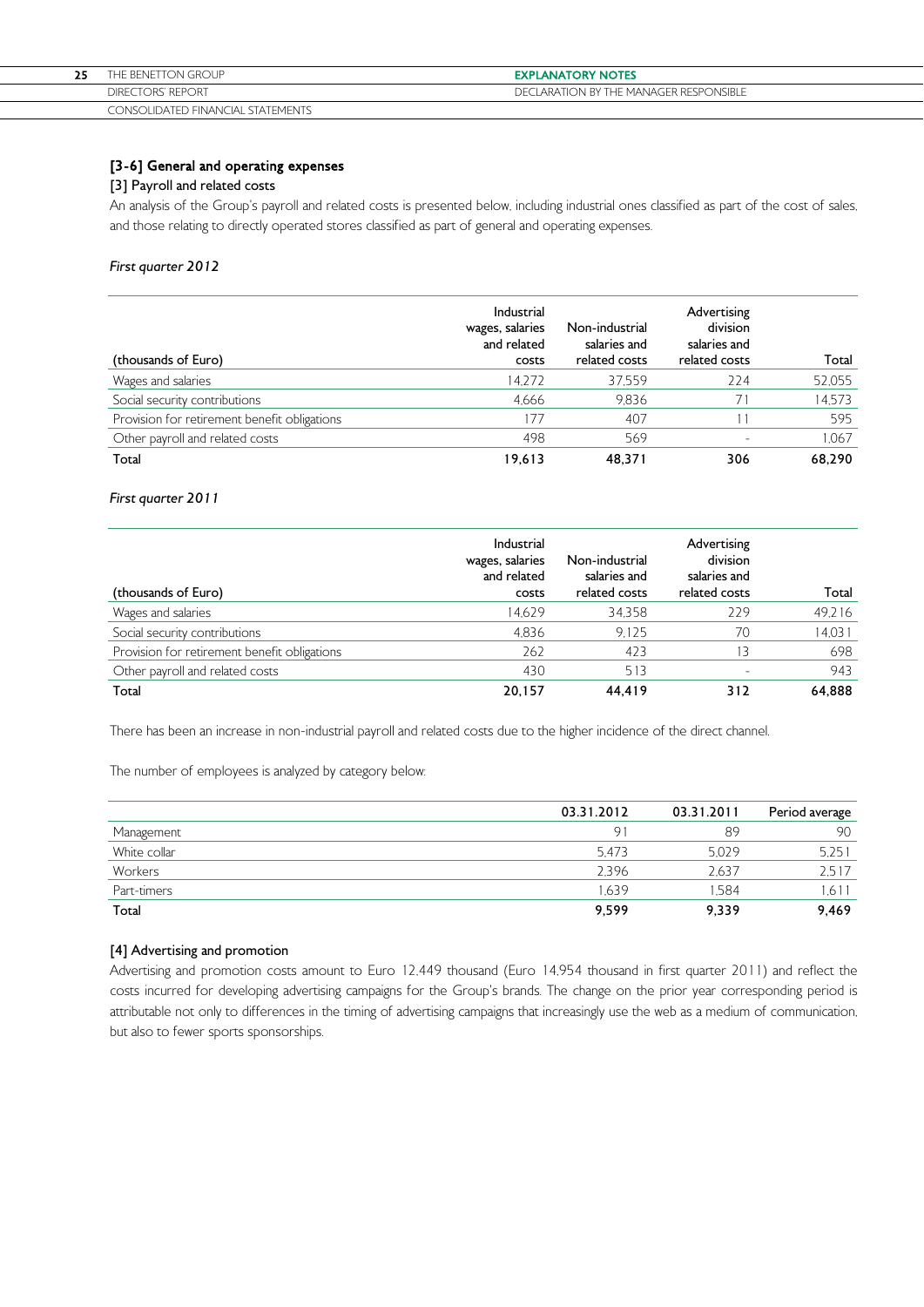| THE BENETTON GROUP                | <b>EXPLANATORY NOTES</b>                      |
|-----------------------------------|-----------------------------------------------|
| DIRECTORS' REPORT                 | <b>DECLARATION BY THE MANAGER RESPONSIBLE</b> |
| CONSOLIDATED FINANCIAL STATEMENTS |                                               |

# [3-6] General and operating expenses

### [3] Payroll and related costs

An analysis of the Group's payroll and related costs is presented below, including industrial ones classified as part of the cost of sales, and those relating to directly operated stores classified as part of general and operating expenses.

### First quarter 2012

| (thousands of Euro)                          | Industrial<br>wages, salaries<br>and related<br>costs | Non-industrial<br>salaries and<br>related costs | Advertising<br>division<br>salaries and<br>related costs | Total  |
|----------------------------------------------|-------------------------------------------------------|-------------------------------------------------|----------------------------------------------------------|--------|
| Wages and salaries                           | 14.272                                                | 37.559                                          | 224                                                      | 52,055 |
| Social security contributions                | 4,666                                                 | 9.836                                           |                                                          | 14,573 |
| Provision for retirement benefit obligations | 177                                                   | 407                                             |                                                          | 595    |
| Other payroll and related costs              | 498                                                   | 569                                             |                                                          | 1,067  |
| Total                                        | 19.613                                                | 48.371                                          | 306                                                      | 68.290 |

## First quarter 2011

| (thousands of Euro)                          | <b>Industrial</b><br>wages, salaries<br>and related<br>costs | Non-industrial<br>salaries and<br>related costs | Advertising<br>division<br>salaries and<br>related costs | Total  |
|----------------------------------------------|--------------------------------------------------------------|-------------------------------------------------|----------------------------------------------------------|--------|
| Wages and salaries                           | 14.629                                                       | 34.358                                          | 229                                                      | 49,216 |
| Social security contributions                | 4.836                                                        | 9.125                                           | 70                                                       | 14,031 |
| Provision for retirement benefit obligations | 262                                                          | 423                                             | 13                                                       | 698    |
| Other payroll and related costs              | 430                                                          | 513                                             |                                                          | 943    |
| Total                                        | 20.157                                                       | 44.419                                          | 312                                                      | 64.888 |

There has been an increase in non-industrial payroll and related costs due to the higher incidence of the direct channel.

The number of employees is analyzed by category below:

|              | 03.31.2012 | 03.31.2011 | Period average |
|--------------|------------|------------|----------------|
| Management   | $\Theta$ . | 89         | 90             |
| White collar | 5.473      | 5.029      | 5.251          |
| Workers      | 2,396      | 2.637      | 2.517          |
| Part-timers  | .639       | .584       | 1.611          |
| Total        | 9,599      | 9,339      | 9.469          |

## [4] Advertising and promotion

Advertising and promotion costs amount to Euro 12,449 thousand (Euro 14,954 thousand in first quarter 2011) and reflect the costs incurred for developing advertising campaigns for the Group's brands. The change on the prior year corresponding period is attributable not only to differences in the timing of advertising campaigns that increasingly use the web as a medium of communication, but also to fewer sports sponsorships.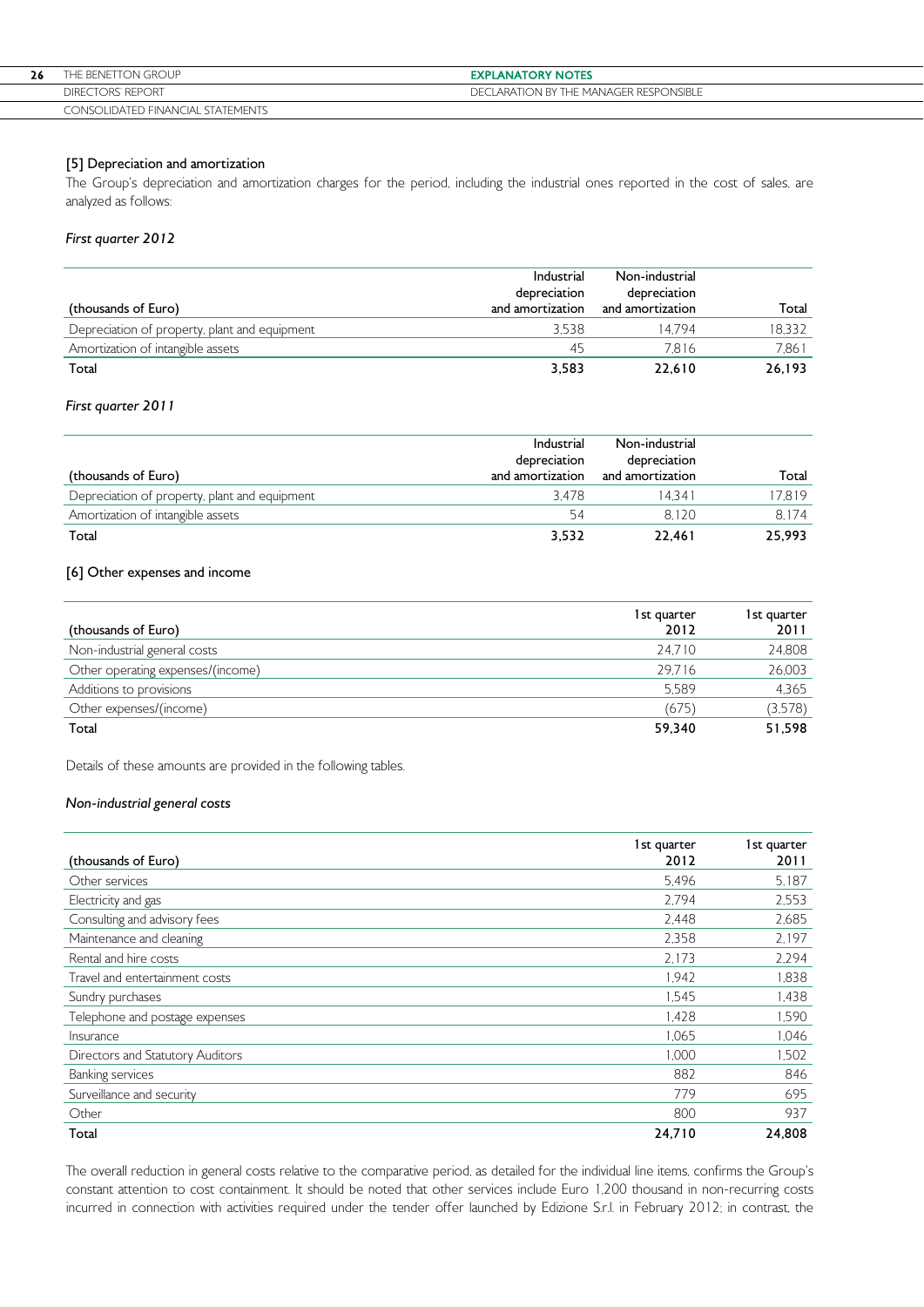| 26 | THE BENETTON GROUP                | <b>EXPLANATORY NOTES</b>               |
|----|-----------------------------------|----------------------------------------|
|    | DIRECTORS' REPORT                 | DECLARATION BY THE MANAGER RESPONSIBLE |
|    | CONSOLIDATED FINANCIAL STATEMENTS |                                        |

# [5] Depreciation and amortization

The Group's depreciation and amortization charges for the period, including the industrial ones reported in the cost of sales, are analyzed as follows:

# First quarter 2012

| (thousands of Euro)                           | Industrial<br>depreciation<br>and amortization | Non-industrial<br>depreciation<br>and amortization | Total  |
|-----------------------------------------------|------------------------------------------------|----------------------------------------------------|--------|
| Depreciation of property, plant and equipment | 3.538                                          | 14794                                              | 18,332 |
| Amortization of intangible assets             | 45                                             | 7.816                                              | 7,861  |
| Total                                         | 3,583                                          | 22.610                                             | 26,193 |

## First quarter 2011

| (thousands of Euro)                           | Industrial<br>depreciation<br>and amortization | Non-industrial<br>depreciation<br>and amortization | Total  |
|-----------------------------------------------|------------------------------------------------|----------------------------------------------------|--------|
| Depreciation of property, plant and equipment | 3.478                                          | 14.341                                             | 17.819 |
| Amortization of intangible assets             | 54                                             | 8.120                                              | 8.174  |
| Total                                         | 3,532                                          | 22.461                                             | 25.993 |

## [6] Other expenses and income

| (thousands of Euro)               | 1st quarter<br>2012 | 1st quarter<br>2011 |
|-----------------------------------|---------------------|---------------------|
| Non-industrial general costs      | 24.710              | 24,808              |
| Other operating expenses/(income) | 29.716              | 26,003              |
| Additions to provisions           | 5.589               | 4.365               |
| Other expenses/(income)           | (675)               | (3,578)             |
| Total                             | 59,340              | 51,598              |

Details of these amounts are provided in the following tables.

## Non-industrial general costs

| (thousands of Euro)              | 1st quarter<br>2012 | 1st quarter<br>2011 |
|----------------------------------|---------------------|---------------------|
|                                  |                     |                     |
| Other services                   | 5.496               | 5,187               |
| Electricity and gas              | 2.794               | 2,553               |
| Consulting and advisory fees     | 2.448               | 2,685               |
| Maintenance and cleaning         | 2.358               | 2.197               |
| Rental and hire costs            | 2.173               | 2,294               |
| Travel and entertainment costs   | 1.942               | 1.838               |
| Sundry purchases                 | 1.545               | 1,438               |
| Telephone and postage expenses   | 1.428               | 1,590               |
| Insurance                        | 1.065               | 1,046               |
| Directors and Statutory Auditors | 1.000               | 1,502               |
| <b>Banking services</b>          | 882                 | 846                 |
| Surveillance and security        | 779                 | 695                 |
| Other                            | 800                 | 937                 |
| Total                            | 24,710              | 24,808              |

The overall reduction in general costs relative to the comparative period, as detailed for the individual line items, confirms the Group's constant attention to cost containment. It should be noted that other services include Euro 1,200 thousand in non-recurring costs incurred in connection with activities required under the tender offer launched by Edizione S.r.l. in February 2012; in contrast, the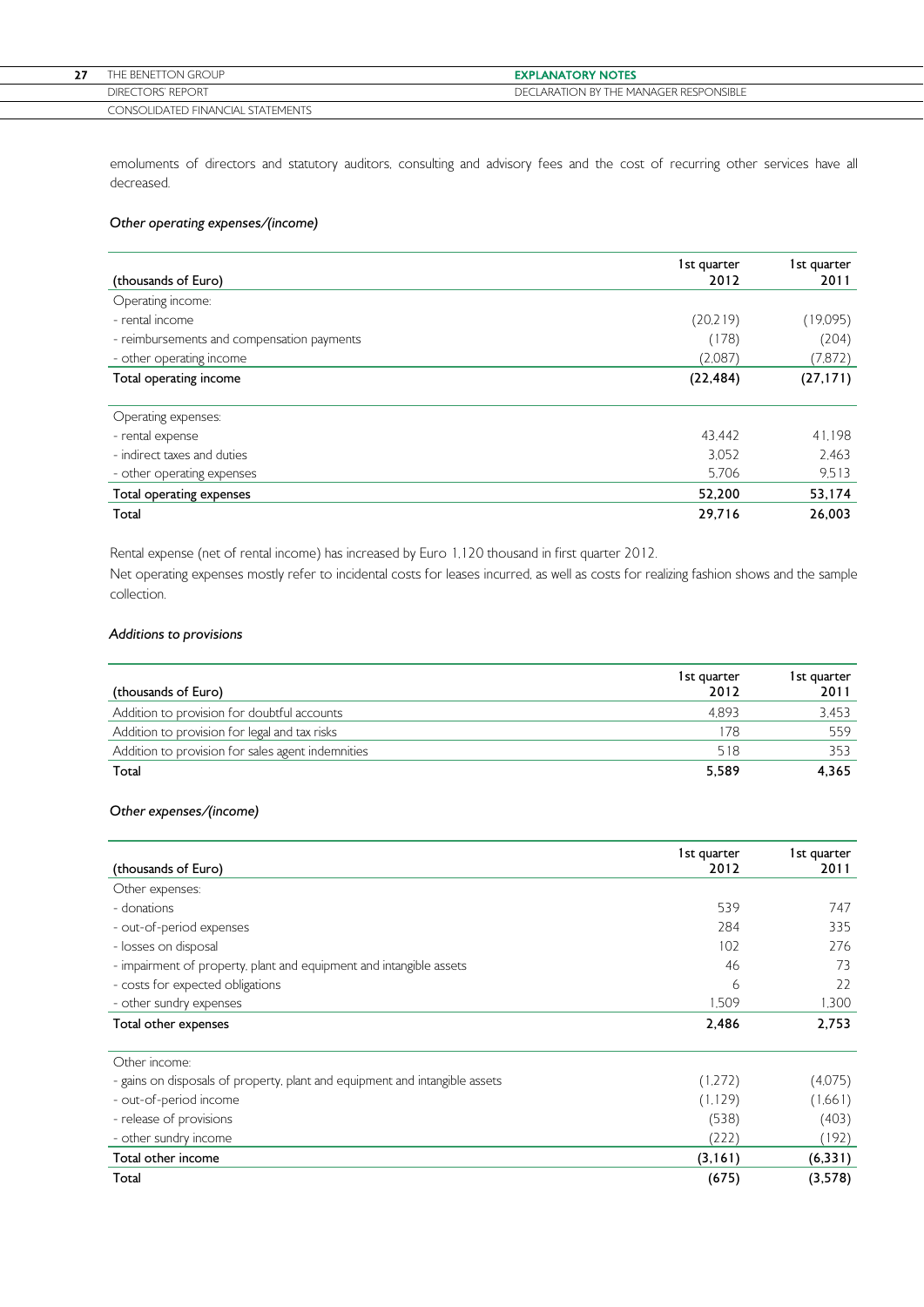| $- -$ | THE BENETTON GROUP                | <b>EXPLANATORY NOTES</b>               |
|-------|-----------------------------------|----------------------------------------|
|       | DIRECTORS' REPORT                 | DECLARATION BY THE MANAGER RESPONSIBLE |
|       | CONSOLIDATED FINANCIAL STATEMENTS |                                        |

emoluments of directors and statutory auditors, consulting and advisory fees and the cost of recurring other services have all decreased.

# Other operating expenses/(income)

| (thousands of Euro)                        | 1st quarter<br>2012 | 1st quarter<br>2011 |
|--------------------------------------------|---------------------|---------------------|
| Operating income:                          |                     |                     |
| - rental income                            | (20.219)            | (19,095)            |
| - reimbursements and compensation payments | (178)               | (204)               |
| - other operating income                   | (2.087)             | (7,872)             |
| Total operating income                     | (22, 484)           | (27, 171)           |
| Operating expenses:                        |                     |                     |
| - rental expense                           | 43.442              | 41.198              |
| - indirect taxes and duties                | 3.052               | 2.463               |
| - other operating expenses                 | 5.706               | 9.513               |
| Total operating expenses                   | 52,200              | 53,174              |
| Total                                      | 29,716              | 26,003              |

Rental expense (net of rental income) has increased by Euro 1,120 thousand in first quarter 2012.

Net operating expenses mostly refer to incidental costs for leases incurred, as well as costs for realizing fashion shows and the sample collection.

### Additions to provisions

| (thousands of Euro)                               | 1st quarter<br>2012 | 1st quarter<br>2011 |
|---------------------------------------------------|---------------------|---------------------|
| Addition to provision for doubtful accounts       | 4893                | 3.453               |
| Addition to provision for legal and tax risks     | 178                 | 559                 |
| Addition to provision for sales agent indemnities | 518                 | 353                 |
| Total                                             | 5.589               | 4.365               |

## Other expenses/(income)

|                                                                             | 1st quarter | 1st quarter |
|-----------------------------------------------------------------------------|-------------|-------------|
| (thousands of Euro)                                                         | 2012        | 2011        |
| Other expenses:                                                             |             |             |
| - donations                                                                 | 539         | 747         |
| - out-of-period expenses                                                    | 284         | 335         |
| - losses on disposal                                                        | 102         | 276         |
| - impairment of property, plant and equipment and intangible assets         | 46          | 73          |
| - costs for expected obligations                                            | 6           | 22          |
| - other sundry expenses                                                     | 1,509       | 1.300       |
| Total other expenses                                                        | 2,486       | 2,753       |
| Other income:                                                               |             |             |
| - gains on disposals of property, plant and equipment and intangible assets | (1,272)     | (4.075)     |
| - out-of-period income                                                      | (1, 129)    | (1,661)     |
| - release of provisions                                                     | (538)       | (403)       |
| - other sundry income                                                       | (222)       | (192)       |
| Total other income                                                          | (3, 161)    | (6, 331)    |
| Total                                                                       | (675)       | (3,578)     |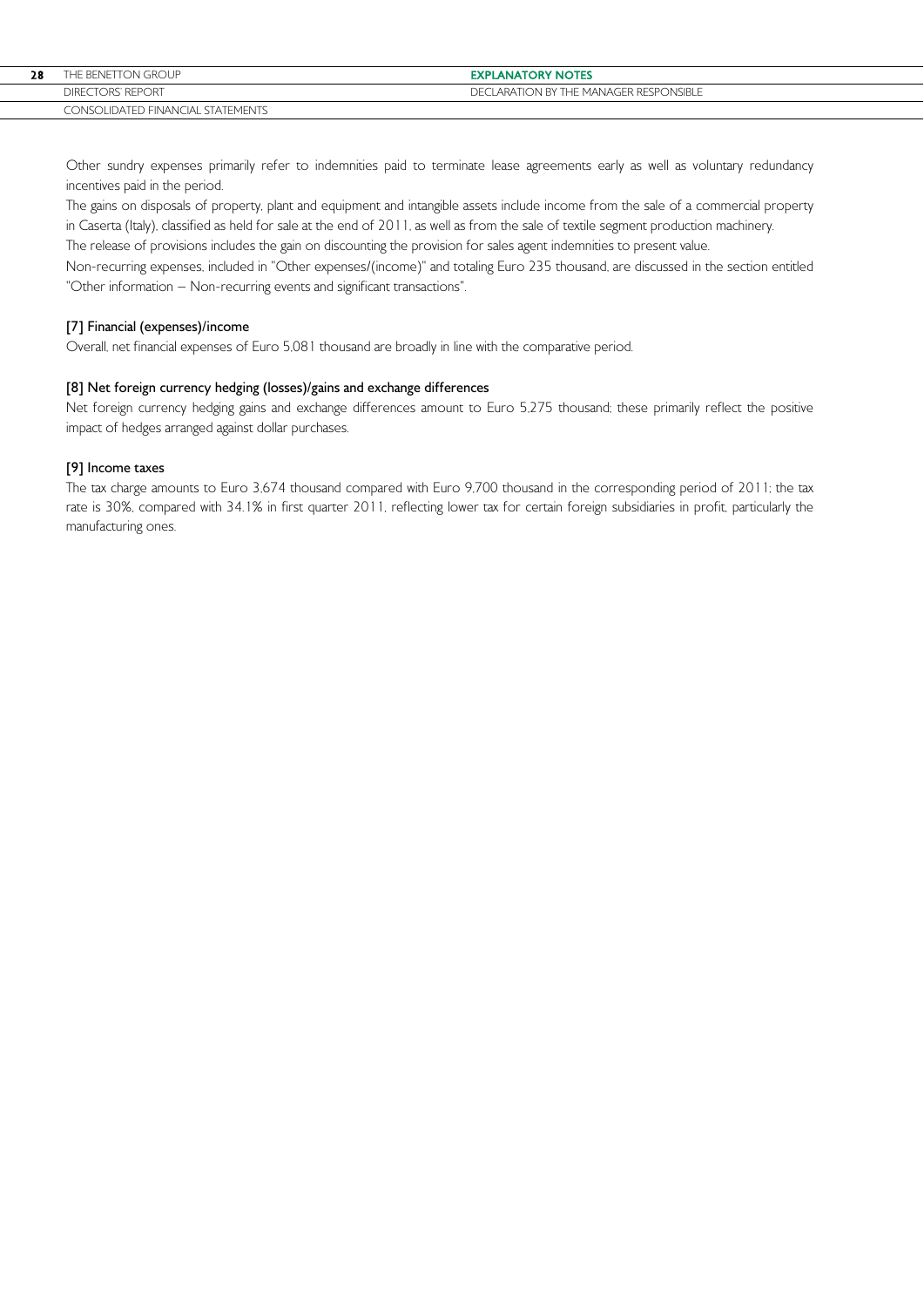| 28 | THE BENETTON GROUP                | <b>EXPLANATORY NOTES</b>            |
|----|-----------------------------------|-------------------------------------|
|    | DIRECTORS' REPORT                 | LARATION BY THE MANAGER RESPONSIBLE |
|    | CONSOLIDATED FINANCIAL STATEMENTS |                                     |

Other sundry expenses primarily refer to indemnities paid to terminate lease agreements early as well as voluntary redundancy incentives paid in the period.

The gains on disposals of property, plant and equipment and intangible assets include income from the sale of a commercial property in Caserta (Italy), classified as held for sale at the end of 2011, as well as from the sale of textile segment production machinery.

The release of provisions includes the gain on discounting the provision for sales agent indemnities to present value.

Non-recurring expenses, included in "Other expenses/(income)" and totaling Euro 235 thousand, are discussed in the section entitled "Other information – Non-recurring events and significant transactions".

# [7] Financial (expenses)/income

Overall, net financial expenses of Euro 5,081 thousand are broadly in line with the comparative period.

# [8] Net foreign currency hedging (losses)/gains and exchange differences

Net foreign currency hedging gains and exchange differences amount to Euro 5,275 thousand; these primarily reflect the positive impact of hedges arranged against dollar purchases.

## [9] Income taxes

The tax charge amounts to Euro 3,674 thousand compared with Euro 9,700 thousand in the corresponding period of 2011; the tax rate is 30%, compared with 34.1% in first quarter 2011, reflecting lower tax for certain foreign subsidiaries in profit, particularly the manufacturing ones.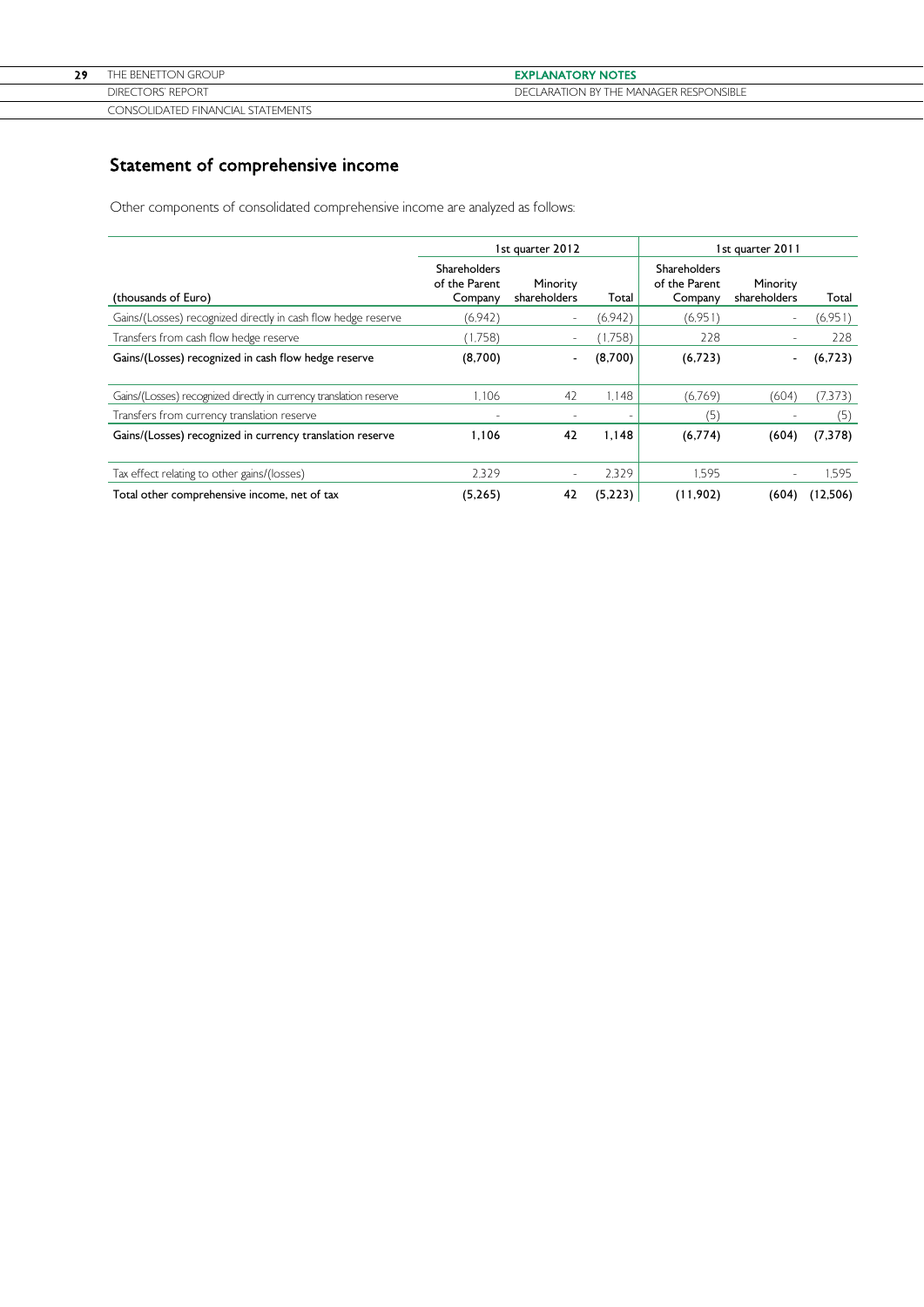| dо | THE BENETTON GROUP                | <b>EXPLANATORY NOTES</b>               |
|----|-----------------------------------|----------------------------------------|
|    | <b>DIRECTORS' REPORT</b>          | DECLARATION BY THE MANAGER RESPONSIBLE |
|    | CONSOLIDATED FINANCIAL STATEMENTS |                                        |

# Statement of comprehensive income

Other components of consolidated comprehensive income are analyzed as follows:

|                                                                    |                                          | 1st quarter 2012         |                          |                                          | 1st quarter 2011         |          |
|--------------------------------------------------------------------|------------------------------------------|--------------------------|--------------------------|------------------------------------------|--------------------------|----------|
| (thousands of Euro)                                                | Shareholders<br>of the Parent<br>Company | Minority<br>shareholders | Total                    | Shareholders<br>of the Parent<br>Company | Minority<br>shareholders | Total    |
| Gains/(Losses) recognized directly in cash flow hedge reserve      | (6.942)                                  | $\blacksquare$           | (6.942)                  | (6.951)                                  | $\overline{\phantom{a}}$ | (6,951)  |
| Transfers from cash flow hedge reserve                             | (1,758)                                  | $\sim$                   | (1,758)                  | 228                                      | $\overline{\phantom{a}}$ | 228      |
| Gains/(Losses) recognized in cash flow hedge reserve               | (8,700)                                  | ٠                        | (8,700)                  | (6,723)                                  | $\overline{\phantom{a}}$ | (6, 723) |
| Gains/(Losses) recognized directly in currency translation reserve | 1.106                                    | 42                       | 1.148                    | (6.769)                                  | (604)                    | (7,373)  |
| Transfers from currency translation reserve                        | $\equiv$                                 | $\overline{\phantom{a}}$ | $\overline{\phantom{a}}$ | (5)                                      | -                        | (5)      |
| Gains/(Losses) recognized in currency translation reserve          | 1.106                                    | 42                       | 1,148                    | (6,774)                                  | (604)                    | (7, 378) |
| Tax effect relating to other gains/(losses)                        | 2.329                                    | $\overline{\phantom{a}}$ | 2.329                    | 1.595                                    | ٠                        | 1.595    |
| Total other comprehensive income, net of tax                       | (5,265)                                  | 42                       | (5,223)                  | (11,902)                                 | (604)                    | (12,506) |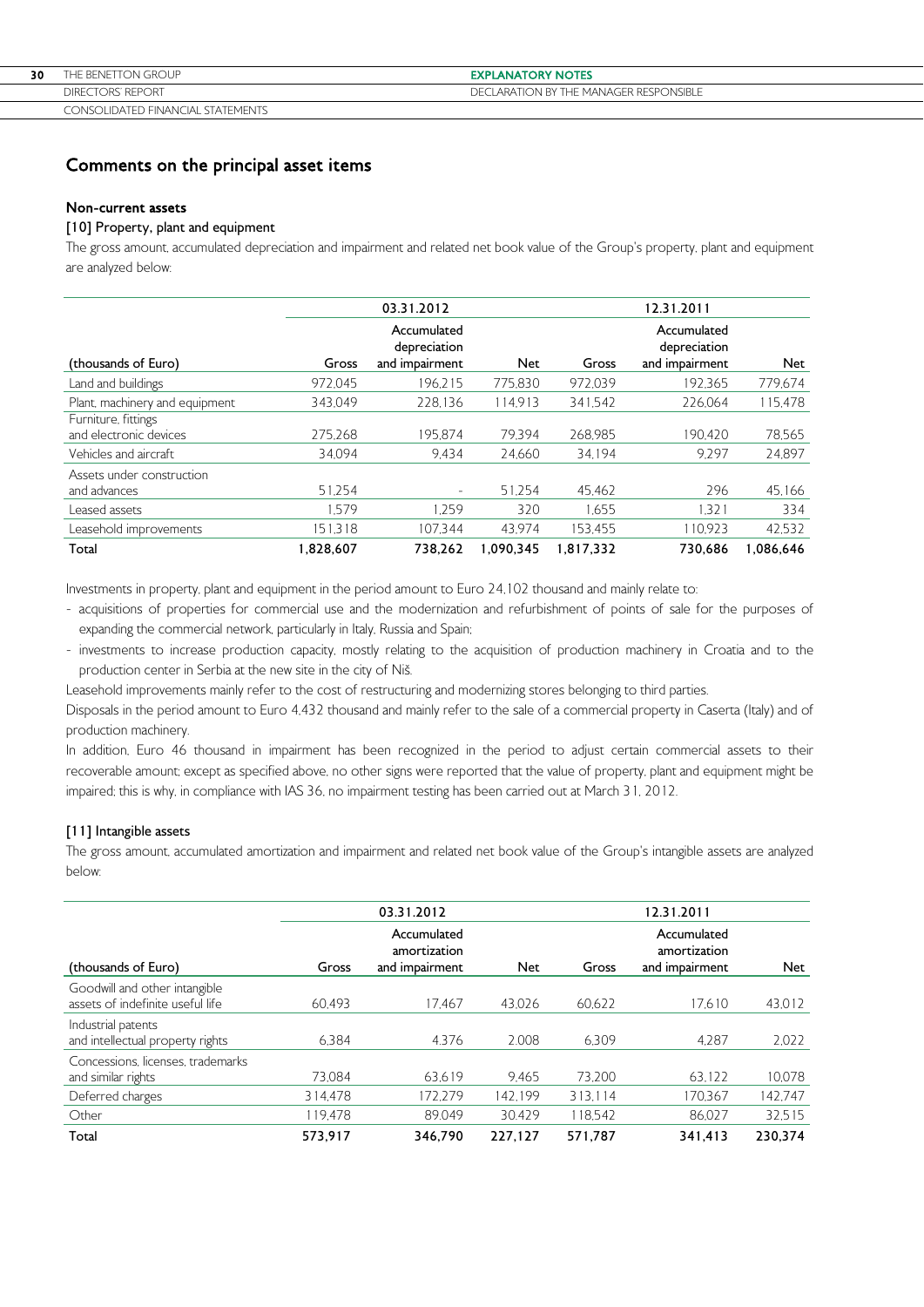| 30 | THE BENETTON GROUP                | <b>EXPLANATORY NOTES</b>               |
|----|-----------------------------------|----------------------------------------|
|    | <b>DIRECTORS' REPORT</b>          | DECLARATION BY THE MANAGER RESPONSIBLE |
|    | CONSOLIDATED FINANCIAL STATEMENTS |                                        |

# Comments on the principal asset items

### Non-current assets

# [10] Property, plant and equipment

The gross amount, accumulated depreciation and impairment and related net book value of the Group's property, plant and equipment are analyzed below:

|                                               |           | 03.31.2012                                    |            |           | 12.31.2011                                    |            |
|-----------------------------------------------|-----------|-----------------------------------------------|------------|-----------|-----------------------------------------------|------------|
| (thousands of Euro)                           | Gross     | Accumulated<br>depreciation<br>and impairment | <b>Net</b> | Gross     | Accumulated<br>depreciation<br>and impairment | <b>Net</b> |
| Land and buildings                            | 972.045   | 196.215                                       | 775.830    | 972.039   | 192.365                                       | 779,674    |
| Plant, machinery and equipment                | 343.049   | 228.136                                       | 114.913    | 341.542   | 226.064                                       | 115,478    |
| Furniture, fittings<br>and electronic devices | 275.268   | 195.874                                       | 79.394     | 268.985   | 190.420                                       | 78,565     |
| Vehicles and aircraft                         | 34.094    | 9.434                                         | 24.660     | 34.194    | 9.297                                         | 24,897     |
| Assets under construction<br>and advances     | 51,254    | $\overline{\phantom{0}}$                      | 51.254     | 45,462    | 296                                           | 45,166     |
| Leased assets                                 | 1.579     | 1.259                                         | 320        | 1.655     | .321                                          | 334        |
| Leasehold improvements                        | 151.318   | 107.344                                       | 43.974     | 153.455   | 110.923                                       | 42,532     |
| Total                                         | 1,828,607 | 738.262                                       | 1.090.345  | 1.817.332 | 730.686                                       | 1.086.646  |

Investments in property, plant and equipment in the period amount to Euro 24,102 thousand and mainly relate to:

- acquisitions of properties for commercial use and the modernization and refurbishment of points of sale for the purposes of expanding the commercial network, particularly in Italy, Russia and Spain;
- investments to increase production capacity, mostly relating to the acquisition of production machinery in Croatia and to the production center in Serbia at the new site in the city of Niš.

Leasehold improvements mainly refer to the cost of restructuring and modernizing stores belonging to third parties.

Disposals in the period amount to Euro 4,432 thousand and mainly refer to the sale of a commercial property in Caserta (Italy) and of production machinery.

In addition, Euro 46 thousand in impairment has been recognized in the period to adjust certain commercial assets to their recoverable amount; except as specified above, no other signs were reported that the value of property, plant and equipment might be impaired; this is why, in compliance with IAS 36, no impairment testing has been carried out at March 31, 2012.

# [11] Intangible assets

The gross amount, accumulated amortization and impairment and related net book value of the Group's intangible assets are analyzed below:

|                                                                   | 03.31.2012 |                                               |            |         | 12.31.2011                                    |            |  |
|-------------------------------------------------------------------|------------|-----------------------------------------------|------------|---------|-----------------------------------------------|------------|--|
| (thousands of Euro)                                               | Gross      | Accumulated<br>amortization<br>and impairment | <b>Net</b> | Gross   | Accumulated<br>amortization<br>and impairment | <b>Net</b> |  |
| Goodwill and other intangible<br>assets of indefinite useful life | 60.493     | 17.467                                        | 43.026     | 60.622  | 17.610                                        | 43,012     |  |
| Industrial patents<br>and intellectual property rights            | 6.384      | 4.376                                         | 2.008      | 6.309   | 4.287                                         | 2.022      |  |
| Concessions, licenses, trademarks<br>and similar rights           | 73.084     | 63.619                                        | 9.465      | 73.200  | 63.122                                        | 10.078     |  |
| Deferred charges                                                  | 314.478    | 172.279                                       | 142.199    | 313.114 | 170.367                                       | 142,747    |  |
| Other                                                             | 119.478    | 89.049                                        | 30.429     | 118.542 | 86.027                                        | 32,515     |  |
| Total                                                             | 573,917    | 346.790                                       | 227,127    | 571,787 | 341.413                                       | 230.374    |  |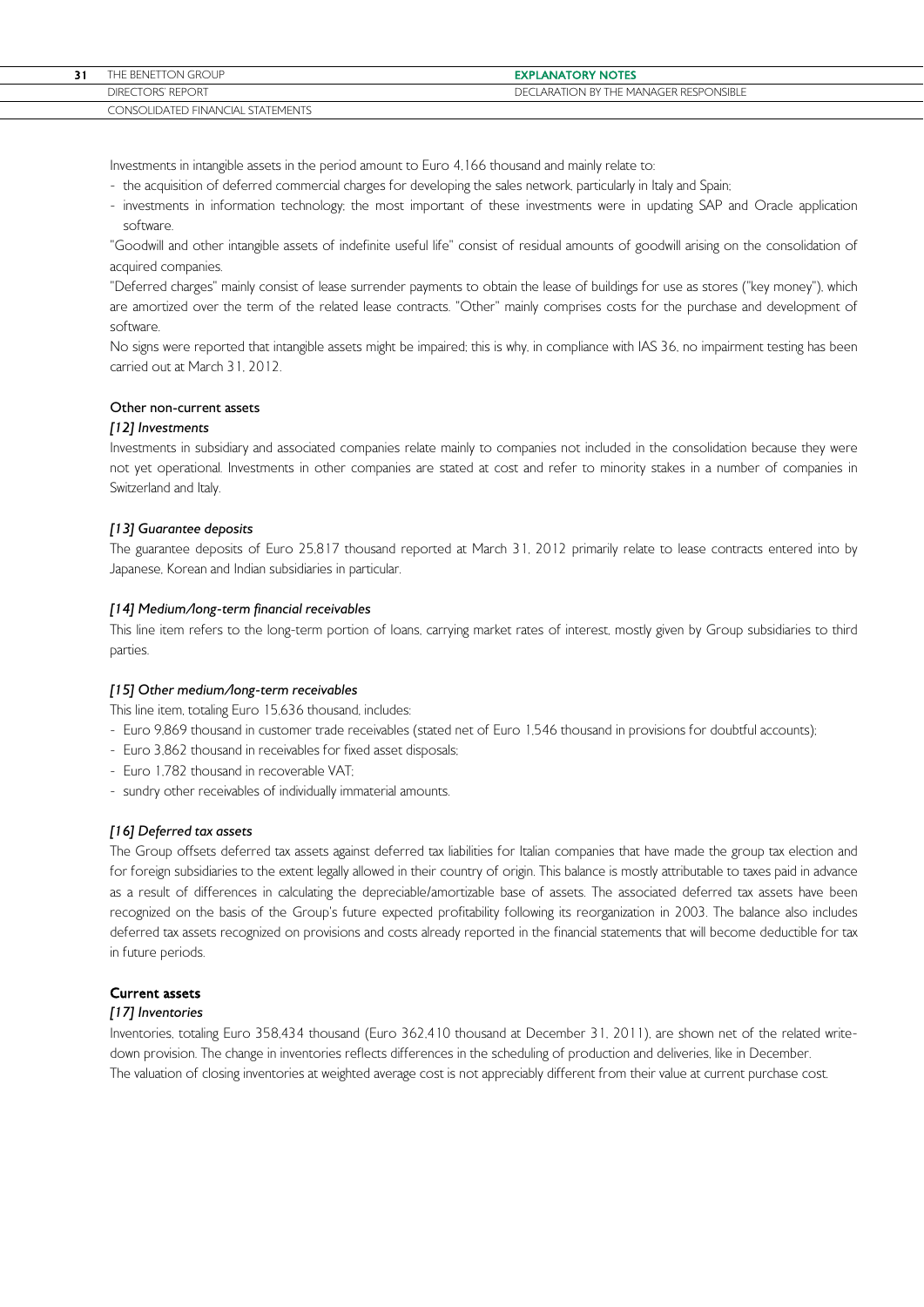| THE BENETTON GROUP                  | <b>EXPLANATORY NOTES</b>                    |
|-------------------------------------|---------------------------------------------|
| <b>TORS' REPORT</b><br><b>DIRFC</b> | CLARATION BY THE MANAGER RESPONSIBLE<br>DF( |
| CONSOLIDATED FINANCIAL STATEMENTS   |                                             |

Investments in intangible assets in the period amount to Euro 4,166 thousand and mainly relate to:

- the acquisition of deferred commercial charges for developing the sales network, particularly in Italy and Spain;
- investments in information technology; the most important of these investments were in updating SAP and Oracle application software.

"Goodwill and other intangible assets of indefinite useful life" consist of residual amounts of goodwill arising on the consolidation of acquired companies.

"Deferred charges" mainly consist of lease surrender payments to obtain the lease of buildings for use as stores ("key money"), which are amortized over the term of the related lease contracts. "Other" mainly comprises costs for the purchase and development of software.

No signs were reported that intangible assets might be impaired; this is why, in compliance with IAS 36, no impairment testing has been carried out at March 31, 2012.

### Other non-current assets

### [12] Investments

Investments in subsidiary and associated companies relate mainly to companies not included in the consolidation because they were not yet operational. Investments in other companies are stated at cost and refer to minority stakes in a number of companies in Switzerland and Italy.

### [13] Guarantee deposits

The guarantee deposits of Euro 25,817 thousand reported at March 31, 2012 primarily relate to lease contracts entered into by Japanese, Korean and Indian subsidiaries in particular.

### [14] Medium/long-term financial receivables

This line item refers to the long-term portion of loans, carrying market rates of interest, mostly given by Group subsidiaries to third parties.

#### [15] Other medium/long-term receivables

This line item, totaling Euro 15,636 thousand, includes:

- Euro 9,869 thousand in customer trade receivables (stated net of Euro 1,546 thousand in provisions for doubtful accounts);
- Euro 3,862 thousand in receivables for fixed asset disposals;
- Euro 1,782 thousand in recoverable VAT;
- sundry other receivables of individually immaterial amounts.

### [16] Deferred tax assets

The Group offsets deferred tax assets against deferred tax liabilities for Italian companies that have made the group tax election and for foreign subsidiaries to the extent legally allowed in their country of origin. This balance is mostly attributable to taxes paid in advance as a result of differences in calculating the depreciable/amortizable base of assets. The associated deferred tax assets have been recognized on the basis of the Group's future expected profitability following its reorganization in 2003. The balance also includes deferred tax assets recognized on provisions and costs already reported in the financial statements that will become deductible for tax in future periods.

## Current assets

#### [17] Inventories

Inventories, totaling Euro 358,434 thousand (Euro 362,410 thousand at December 31, 2011), are shown net of the related writedown provision. The change in inventories reflects differences in the scheduling of production and deliveries, like in December. The valuation of closing inventories at weighted average cost is not appreciably different from their value at current purchase cost.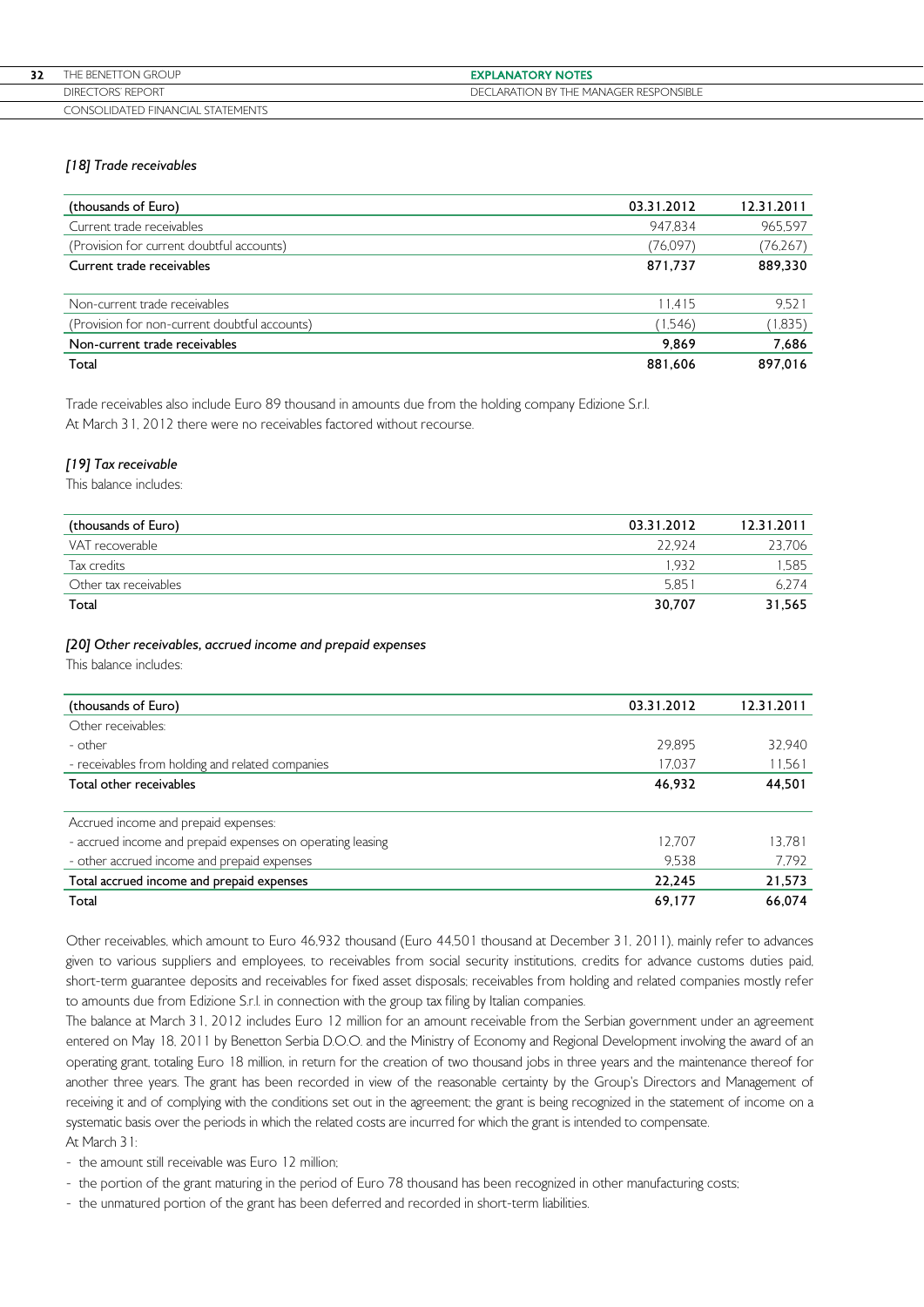| 32 | THE BENETTON GROUP.               | <b>EXPLANATORY NOTES</b>            |
|----|-----------------------------------|-------------------------------------|
|    | DIRECTORS' REPORT                 | LARATION BY THE MANAGER RESPONSIBLE |
|    | CONSOLIDATED FINANCIAL STATEMENTS |                                     |

## [18] Trade receivables

| (thousands of Euro)                           | 03.31.2012 | 12.31.2011 |
|-----------------------------------------------|------------|------------|
| Current trade receivables                     | 947.834    | 965.597    |
| (Provision for current doubtful accounts)     | (76.097)   | (76, 267)  |
| Current trade receivables                     | 871,737    | 889,330    |
|                                               |            |            |
| Non-current trade receivables                 | 11.415     | 9.521      |
| (Provision for non-current doubtful accounts) | (1.546)    | (1,835)    |
| Non-current trade receivables                 | 9,869      | 7,686      |
| Total                                         | 881.606    | 897.016    |

Trade receivables also include Euro 89 thousand in amounts due from the holding company Edizione S.r.l. At March 31, 2012 there were no receivables factored without recourse.

# [19] Tax receivable

This balance includes:

| (thousands of Euro)   | 03.31.2012 | 12.31.2011 |
|-----------------------|------------|------------|
| VAT recoverable       | 22.924     | 23.706     |
| Tax credits           | .932       | 1.585      |
| Other tax receivables | 5.851      | 6.274      |
| Total                 | 30,707     | 31.565     |

### [20] Other receivables, accrued income and prepaid expenses

This balance includes:

| (thousands of Euro)                                        | 03.31.2012 | 12.31.2011 |
|------------------------------------------------------------|------------|------------|
| Other receivables:                                         |            |            |
| - other                                                    | 29.895     | 32.940     |
| - receivables from holding and related companies           | 17.037     | 11.561     |
| Total other receivables                                    | 46,932     | 44,501     |
|                                                            |            |            |
| Accrued income and prepaid expenses:                       |            |            |
| - accrued income and prepaid expenses on operating leasing | 12.707     | 13.781     |
| - other accrued income and prepaid expenses                | 9.538      | 7.792      |
| Total accrued income and prepaid expenses                  | 22,245     | 21,573     |
| Total                                                      | 69,177     | 66.074     |

Other receivables, which amount to Euro 46,932 thousand (Euro 44,501 thousand at December 31, 2011), mainly refer to advances given to various suppliers and employees, to receivables from social security institutions, credits for advance customs duties paid, short-term guarantee deposits and receivables for fixed asset disposals; receivables from holding and related companies mostly refer to amounts due from Edizione S.r.l. in connection with the group tax filing by Italian companies.

The balance at March 31, 2012 includes Euro 12 million for an amount receivable from the Serbian government under an agreement entered on May 18, 2011 by Benetton Serbia D.O.O. and the Ministry of Economy and Regional Development involving the award of an operating grant, totaling Euro 18 million, in return for the creation of two thousand jobs in three years and the maintenance thereof for another three years. The grant has been recorded in view of the reasonable certainty by the Group's Directors and Management of receiving it and of complying with the conditions set out in the agreement; the grant is being recognized in the statement of income on a systematic basis over the periods in which the related costs are incurred for which the grant is intended to compensate. At March 31:

- the amount still receivable was Euro 12 million;

- the portion of the grant maturing in the period of Euro 78 thousand has been recognized in other manufacturing costs;

- the unmatured portion of the grant has been deferred and recorded in short-term liabilities.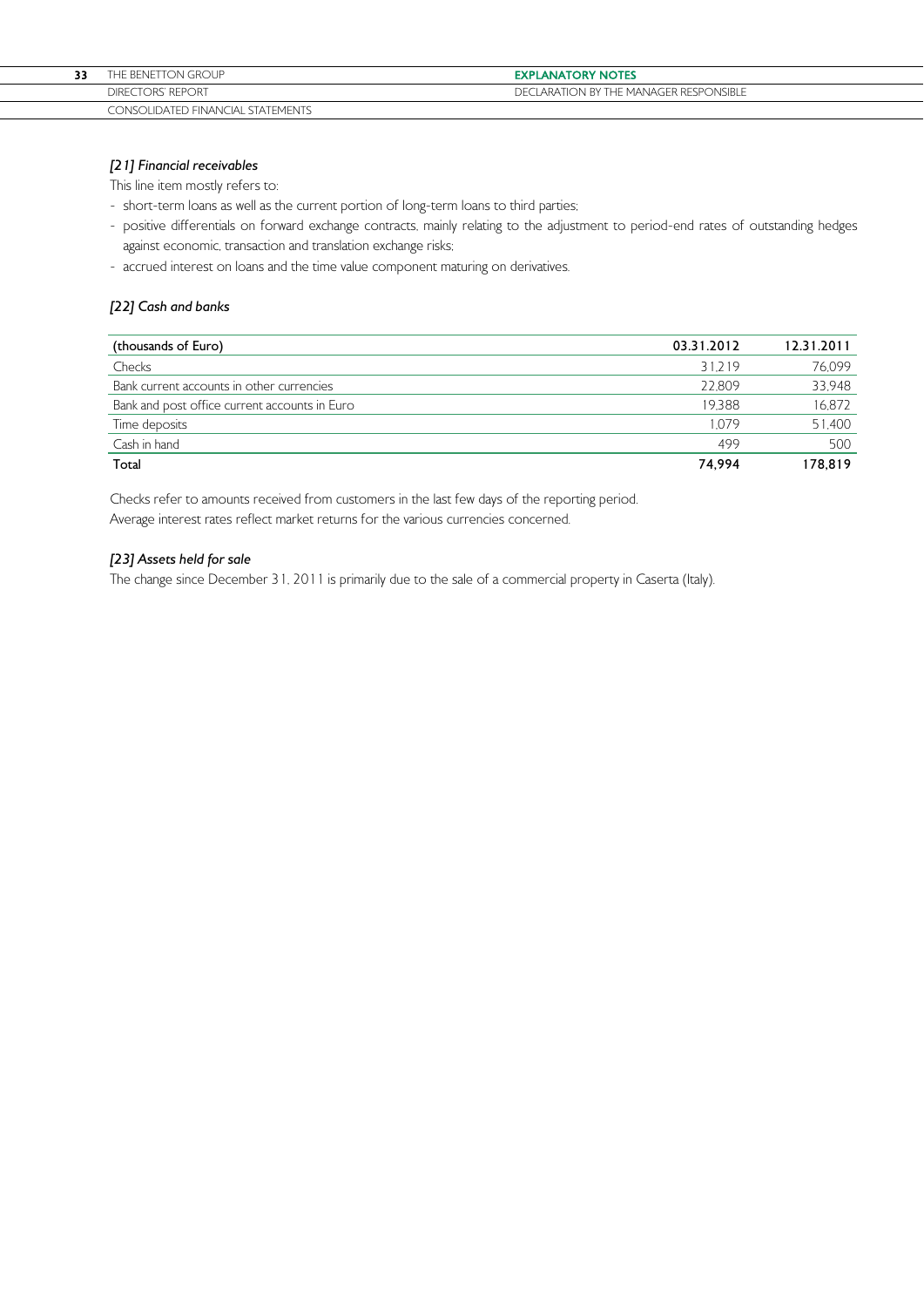# [21] Financial receivables

This line item mostly refers to:

- short-term loans as well as the current portion of long-term loans to third parties;
- positive differentials on forward exchange contracts, mainly relating to the adjustment to period-end rates of outstanding hedges against economic, transaction and translation exchange risks;
- accrued interest on loans and the time value component maturing on derivatives.

## [22] Cash and banks

| (thousands of Euro)                           | 03.31.2012 | 12.31.2011 |
|-----------------------------------------------|------------|------------|
| Checks                                        | 31.219     | 76,099     |
| Bank current accounts in other currencies     | 22.809     | 33,948     |
| Bank and post office current accounts in Euro | 19.388     | 16,872     |
| Time deposits                                 | 1.079      | 51,400     |
| Cash in hand                                  | 499        | 500        |
| Total                                         | 74.994     | 178,819    |

Checks refer to amounts received from customers in the last few days of the reporting period. Average interest rates reflect market returns for the various currencies concerned.

# [23] Assets held for sale

The change since December 31, 2011 is primarily due to the sale of a commercial property in Caserta (Italy).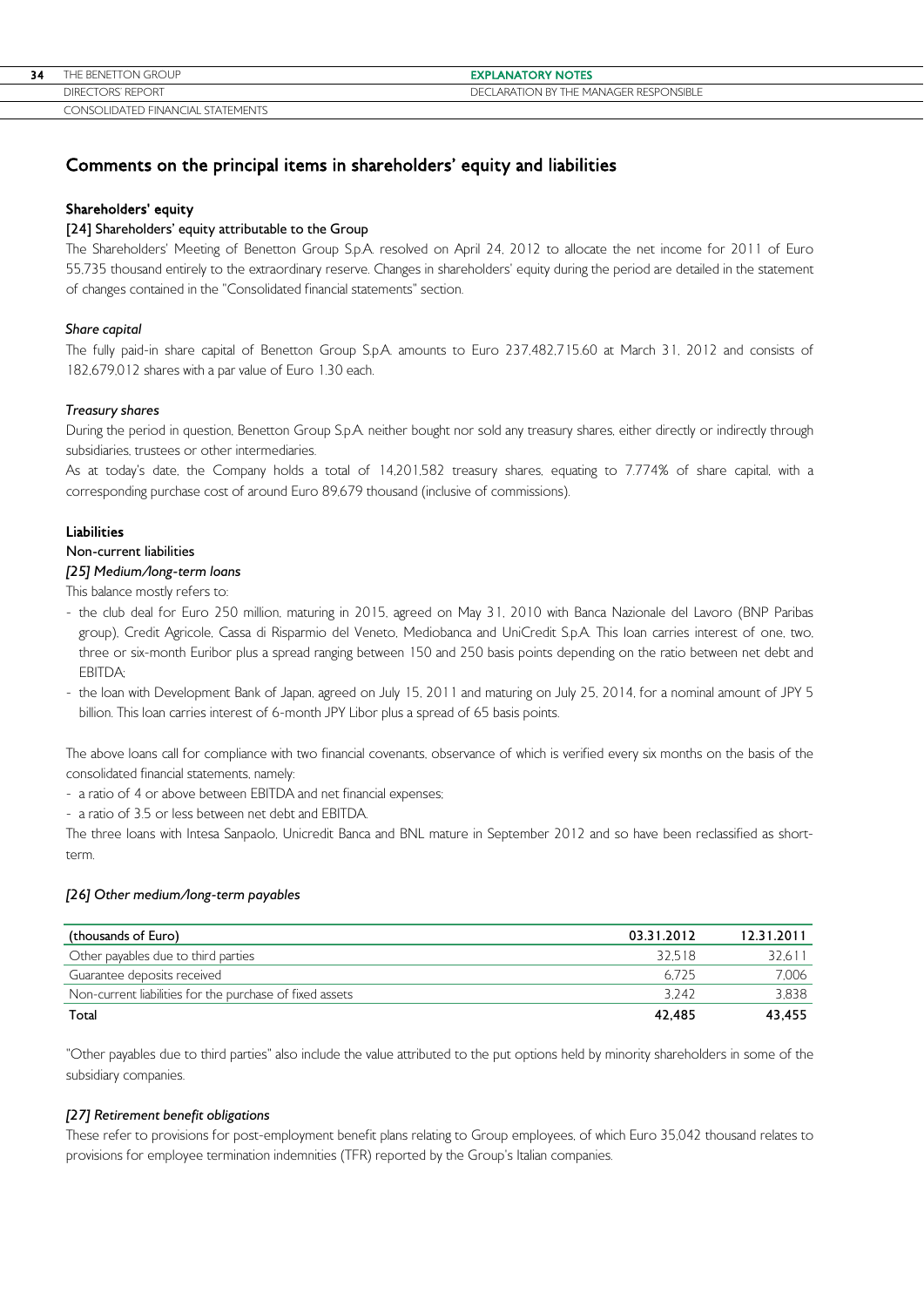| 34 | THE BENETTON GROUP                | <b>EXPLANATORY NOTES</b>               |
|----|-----------------------------------|----------------------------------------|
|    | DIRECTORS' REPORT                 | DECLARATION BY THE MANAGER RESPONSIBLE |
|    | CONSOLIDATED FINANCIAL STATEMENTS |                                        |

# Comments on the principal items in shareholders' equity and liabilities

### Shareholders' equity

# [24] Shareholders' equity attributable to the Group

The Shareholders' Meeting of Benetton Group S.p.A. resolved on April 24, 2012 to allocate the net income for 2011 of Euro 55,735 thousand entirely to the extraordinary reserve. Changes in shareholders' equity during the period are detailed in the statement of changes contained in the "Consolidated financial statements" section.

### Share capital

The fully paid-in share capital of Benetton Group S.p.A. amounts to Euro 237,482,715.60 at March 31, 2012 and consists of 182,679,012 shares with a par value of Euro 1.30 each.

### Treasury shares

During the period in question, Benetton Group S.p.A. neither bought nor sold any treasury shares, either directly or indirectly through subsidiaries, trustees or other intermediaries.

As at today's date, the Company holds a total of 14,201,582 treasury shares, equating to 7.774% of share capital, with a corresponding purchase cost of around Euro 89,679 thousand (inclusive of commissions).

### Liabilities

## Non-current liabilities

# [25] Medium/long-term loans

This balance mostly refers to:

- the club deal for Euro 250 million, maturing in 2015, agreed on May 31, 2010 with Banca Nazionale del Lavoro (BNP Paribas group), Credit Agricole, Cassa di Risparmio del Veneto, Mediobanca and UniCredit S.p.A. This loan carries interest of one, two, three or six-month Euribor plus a spread ranging between 150 and 250 basis points depending on the ratio between net debt and EBITDA;
- the loan with Development Bank of Japan, agreed on July 15, 2011 and maturing on July 25, 2014, for a nominal amount of JPY 5 billion. This loan carries interest of 6-month JPY Libor plus a spread of 65 basis points.

The above loans call for compliance with two financial covenants, observance of which is verified every six months on the basis of the consolidated financial statements, namely:

- a ratio of 4 or above between EBITDA and net financial expenses;
- a ratio of 3.5 or less between net debt and EBITDA.

The three loans with Intesa Sanpaolo, Unicredit Banca and BNL mature in September 2012 and so have been reclassified as shortterm.

# [26] Other medium/long-term payables

| (thousands of Euro)                                      | 03.31.2012 | 12.31.2011 |
|----------------------------------------------------------|------------|------------|
| Other payables due to third parties                      | 32.518     | 32,611     |
| Guarantee deposits received                              | 6.725      | 7.006      |
| Non-current liabilities for the purchase of fixed assets | 3242       | 3.838      |
| Total                                                    | 42.485     | 43.455     |

"Other payables due to third parties" also include the value attributed to the put options held by minority shareholders in some of the subsidiary companies.

### [27] Retirement benefit obligations

These refer to provisions for post-employment benefit plans relating to Group employees, of which Euro 35,042 thousand relates to provisions for employee termination indemnities (TFR) reported by the Group's Italian companies.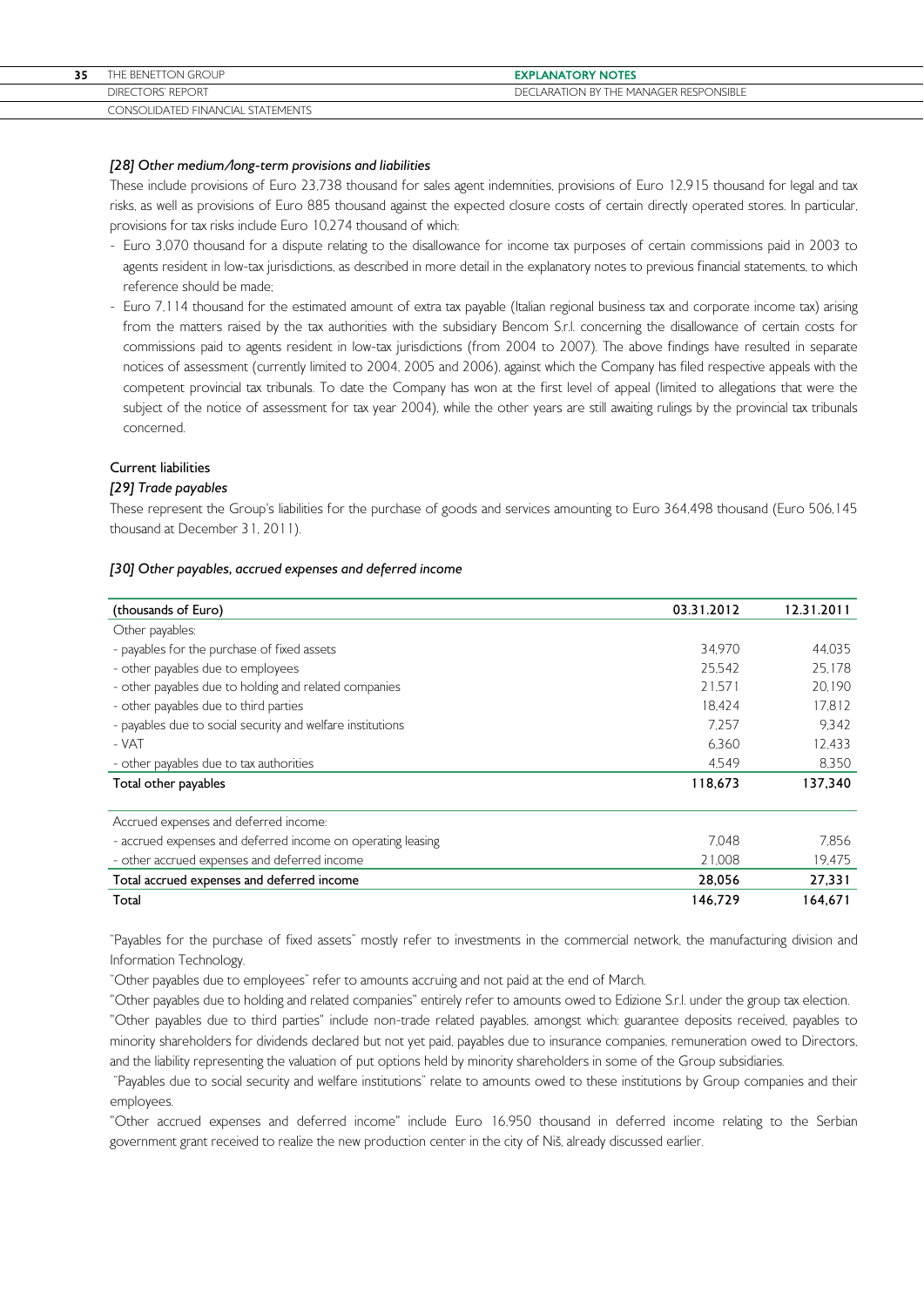# [28] Other medium/long-term provisions and liabilities

These include provisions of Euro 23,738 thousand for sales agent indemnities, provisions of Euro 12,915 thousand for legal and tax risks, as well as provisions of Euro 885 thousand against the expected closure costs of certain directly operated stores. In particular, provisions for tax risks include Euro 10,274 thousand of which:

- Euro 3,070 thousand for a dispute relating to the disallowance for income tax purposes of certain commissions paid in 2003 to agents resident in low-tax jurisdictions, as described in more detail in the explanatory notes to previous financial statements, to which reference should be made;
- Euro 7,114 thousand for the estimated amount of extra tax payable (Italian regional business tax and corporate income tax) arising from the matters raised by the tax authorities with the subsidiary Bencom S.r.l. concerning the disallowance of certain costs for commissions paid to agents resident in low-tax jurisdictions (from 2004 to 2007). The above findings have resulted in separate notices of assessment (currently limited to 2004, 2005 and 2006), against which the Company has filed respective appeals with the competent provincial tax tribunals. To date the Company has won at the first level of appeal (limited to allegations that were the subject of the notice of assessment for tax year 2004), while the other years are still awaiting rulings by the provincial tax tribunals concerned.

### Current liabilities

### [29] Trade payables

These represent the Group's liabilities for the purchase of goods and services amounting to Euro 364,498 thousand (Euro 506,145 thousand at December 31, 2011).

#### [30] Other payables, accrued expenses and deferred income

| (thousands of Euro)                                         | 03.31.2012 | 12.31.2011 |
|-------------------------------------------------------------|------------|------------|
| Other payables:                                             |            |            |
| - payables for the purchase of fixed assets                 | 34.970     | 44.035     |
| - other payables due to employees                           | 25.542     | 25.178     |
| - other payables due to holding and related companies       | 21.571     | 20.190     |
| - other payables due to third parties                       | 18.424     | 17.812     |
| - payables due to social security and welfare institutions  | 7.257      | 9.342      |
| - VAT                                                       | 6.360      | 12.433     |
| - other payables due to tax authorities                     | 4,549      | 8.350      |
| Total other payables                                        | 118,673    | 137,340    |
| Accrued expenses and deferred income:                       |            |            |
| - accrued expenses and deferred income on operating leasing | 7.048      | 7.856      |
| - other accrued expenses and deferred income                | 21.008     | 19.475     |
| Total accrued expenses and deferred income                  | 28,056     | 27,331     |
| Total                                                       | 146.729    | 164.671    |

"Payables for the purchase of fixed assets" mostly refer to investments in the commercial network, the manufacturing division and Information Technology.

"Other payables due to employees" refer to amounts accruing and not paid at the end of March.

"Other payables due to holding and related companies" entirely refer to amounts owed to Edizione S.r.l. under the group tax election. "Other payables due to third parties" include non-trade related payables, amongst which: guarantee deposits received, payables to minority shareholders for dividends declared but not yet paid, payables due to insurance companies, remuneration owed to Directors, and the liability representing the valuation of put options held by minority shareholders in some of the Group subsidiaries.

 "Payables due to social security and welfare institutions" relate to amounts owed to these institutions by Group companies and their employees.

"Other accrued expenses and deferred income" include Euro 16,950 thousand in deferred income relating to the Serbian government grant received to realize the new production center in the city of Niš, already discussed earlier.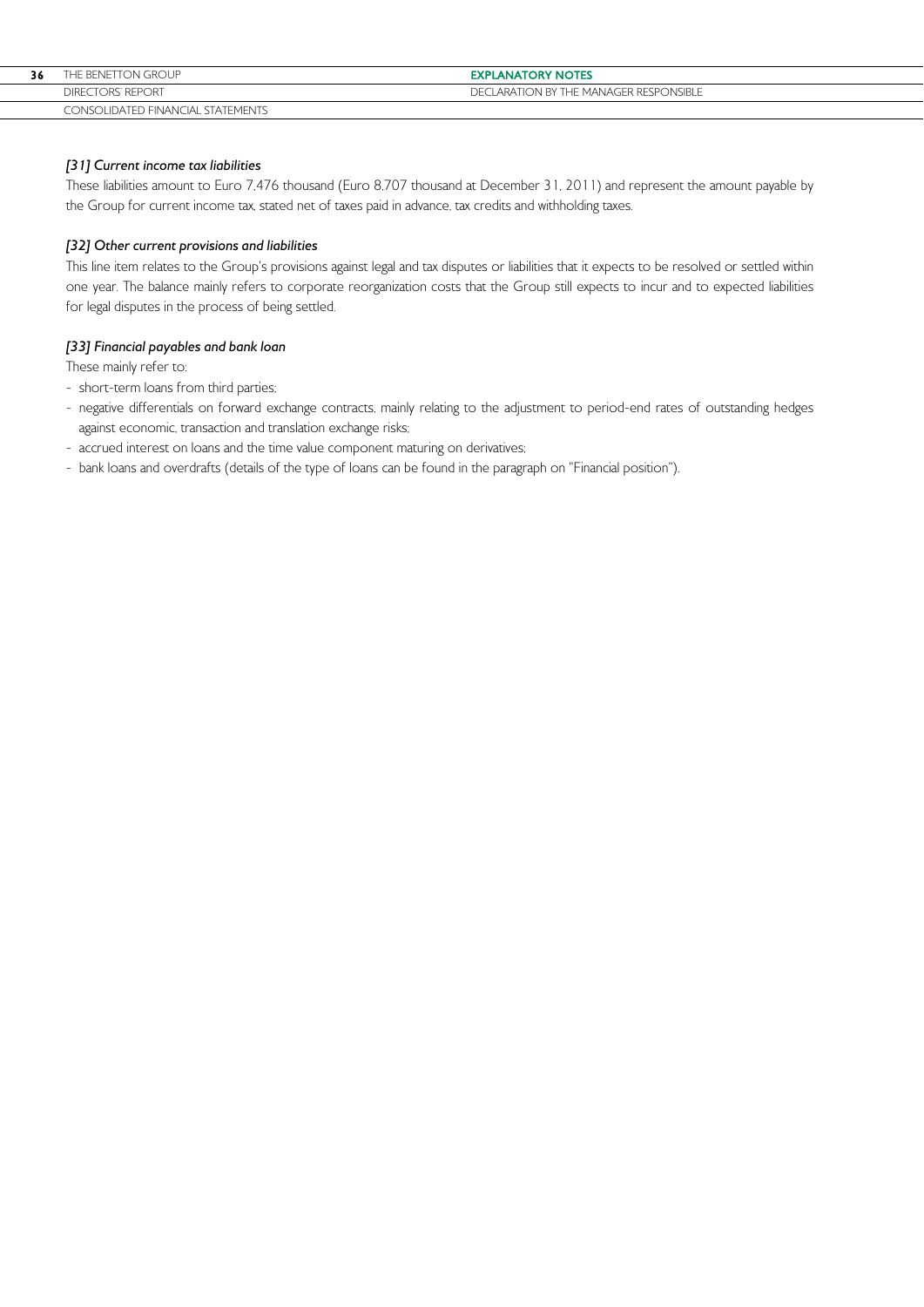| 36 | THE BENETTON GROUP                | <b>EXPLANATORY NOTES</b>               |
|----|-----------------------------------|----------------------------------------|
|    | DIRECTORS' REPORT                 | DECLARATION BY THE MANAGER RESPONSIBLE |
|    | CONSOLIDATED FINANCIAL STATEMENTS |                                        |

# [31] Current income tax liabilities

These liabilities amount to Euro 7,476 thousand (Euro 8,707 thousand at December 31, 2011) and represent the amount payable by the Group for current income tax, stated net of taxes paid in advance, tax credits and withholding taxes.

# [32] Other current provisions and liabilities

This line item relates to the Group's provisions against legal and tax disputes or liabilities that it expects to be resolved or settled within one year. The balance mainly refers to corporate reorganization costs that the Group still expects to incur and to expected liabilities for legal disputes in the process of being settled.

# [33] Financial payables and bank loan

These mainly refer to:

- short-term loans from third parties;
- negative differentials on forward exchange contracts, mainly relating to the adjustment to period-end rates of outstanding hedges against economic, transaction and translation exchange risks;
- accrued interest on loans and the time value component maturing on derivatives;
- bank loans and overdrafts (details of the type of loans can be found in the paragraph on "Financial position").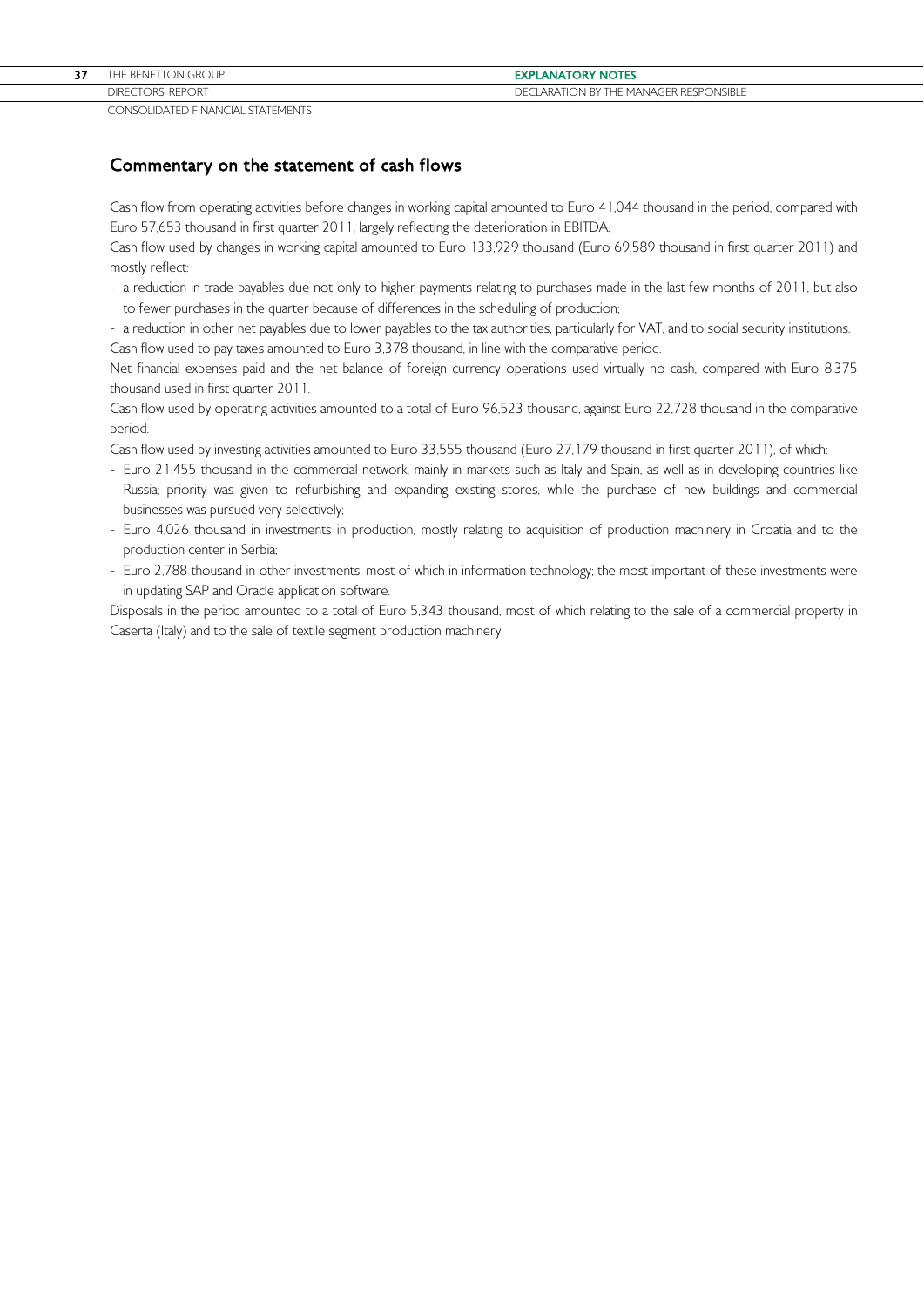# Commentary on the statement of cash flows

Cash flow from operating activities before changes in working capital amounted to Euro 41,044 thousand in the period, compared with Euro 57,653 thousand in first quarter 2011, largely reflecting the deterioration in EBITDA.

Cash flow used by changes in working capital amounted to Euro 133,929 thousand (Euro 69,589 thousand in first quarter 2011) and mostly reflect:

- a reduction in trade payables due not only to higher payments relating to purchases made in the last few months of 2011, but also to fewer purchases in the quarter because of differences in the scheduling of production;
- a reduction in other net payables due to lower payables to the tax authorities, particularly for VAT, and to social security institutions. Cash flow used to pay taxes amounted to Euro 3,378 thousand, in line with the comparative period.

Net financial expenses paid and the net balance of foreign currency operations used virtually no cash, compared with Euro 8,375 thousand used in first quarter 2011.

Cash flow used by operating activities amounted to a total of Euro 96,523 thousand, against Euro 22,728 thousand in the comparative period.

Cash flow used by investing activities amounted to Euro 33,555 thousand (Euro 27,179 thousand in first quarter 2011), of which:

- Euro 21,455 thousand in the commercial network, mainly in markets such as Italy and Spain, as well as in developing countries like Russia; priority was given to refurbishing and expanding existing stores, while the purchase of new buildings and commercial businesses was pursued very selectively;
- Euro 4,026 thousand in investments in production, mostly relating to acquisition of production machinery in Croatia and to the production center in Serbia;
- Euro 2,788 thousand in other investments, most of which in information technology; the most important of these investments were in updating SAP and Oracle application software.

Disposals in the period amounted to a total of Euro 5,343 thousand, most of which relating to the sale of a commercial property in Caserta (Italy) and to the sale of textile segment production machinery.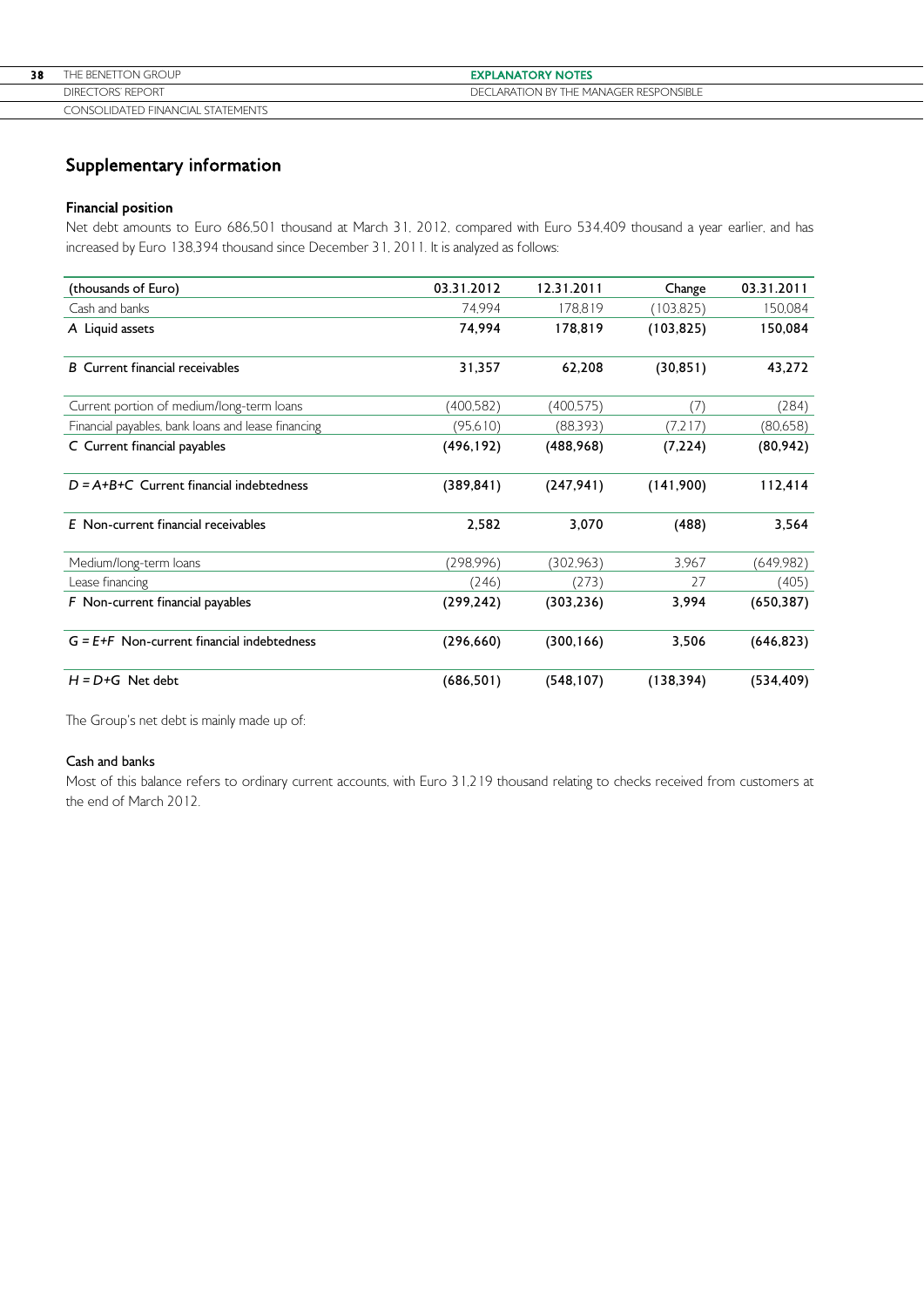| 38 | THE BENETTON GROUP                | <b>EXPLANATORY NOTES</b>               |
|----|-----------------------------------|----------------------------------------|
|    | <b>DIRECTORS' REPORT</b>          | DECLARATION BY THE MANAGER RESPONSIBLE |
|    | CONSOLIDATED FINANCIAL STATEMENTS |                                        |

# Supplementary information

# Financial position

Net debt amounts to Euro 686,501 thousand at March 31, 2012, compared with Euro 534,409 thousand a year earlier, and has increased by Euro 138,394 thousand since December 31, 2011. It is analyzed as follows:

| (thousands of Euro)                                | 03.31.2012 | 12.31.2011 | Change     | 03.31.2011 |
|----------------------------------------------------|------------|------------|------------|------------|
| Cash and banks                                     | 74.994     | 178.819    | (103, 825) | 150,084    |
| A Liquid assets                                    | 74.994     | 178,819    | (103, 825) | 150,084    |
| <b>B</b> Current financial receivables             | 31,357     | 62,208     | (30, 851)  | 43,272     |
| Current portion of medium/long-term loans          | (400,582)  | (400,575)  | (7)        | (284)      |
| Financial payables, bank loans and lease financing | (95,610)   | (88,393)   | (7,217)    | (80,658)   |
| C Current financial payables                       | (496, 192) | (488, 968) | (7,224)    | (80, 942)  |
| $D = A+B+C$ Current financial indebtedness         | (389, 841) | (247, 941) | (141,900)  | 112,414    |
| E Non-current financial receivables                | 2,582      | 3,070      | (488)      | 3,564      |
| Medium/long-term loans                             | (298,996)  | (302.963)  | 3.967      | (649,982)  |
| Lease financing                                    | (246)      | (273)      | 27         | (405)      |
| F Non-current financial payables                   | (299, 242) | (303, 236) | 3,994      | (650, 387) |
| $G = E + F$ Non-current financial indebtedness     | (296, 660) | (300, 166) | 3,506      | (646, 823) |
| $H = D + G$ Net debt                               | (686, 501) | (548, 107) | (138, 394) | (534, 409) |

The Group's net debt is mainly made up of:

# Cash and banks

Most of this balance refers to ordinary current accounts, with Euro 31,219 thousand relating to checks received from customers at the end of March 2012.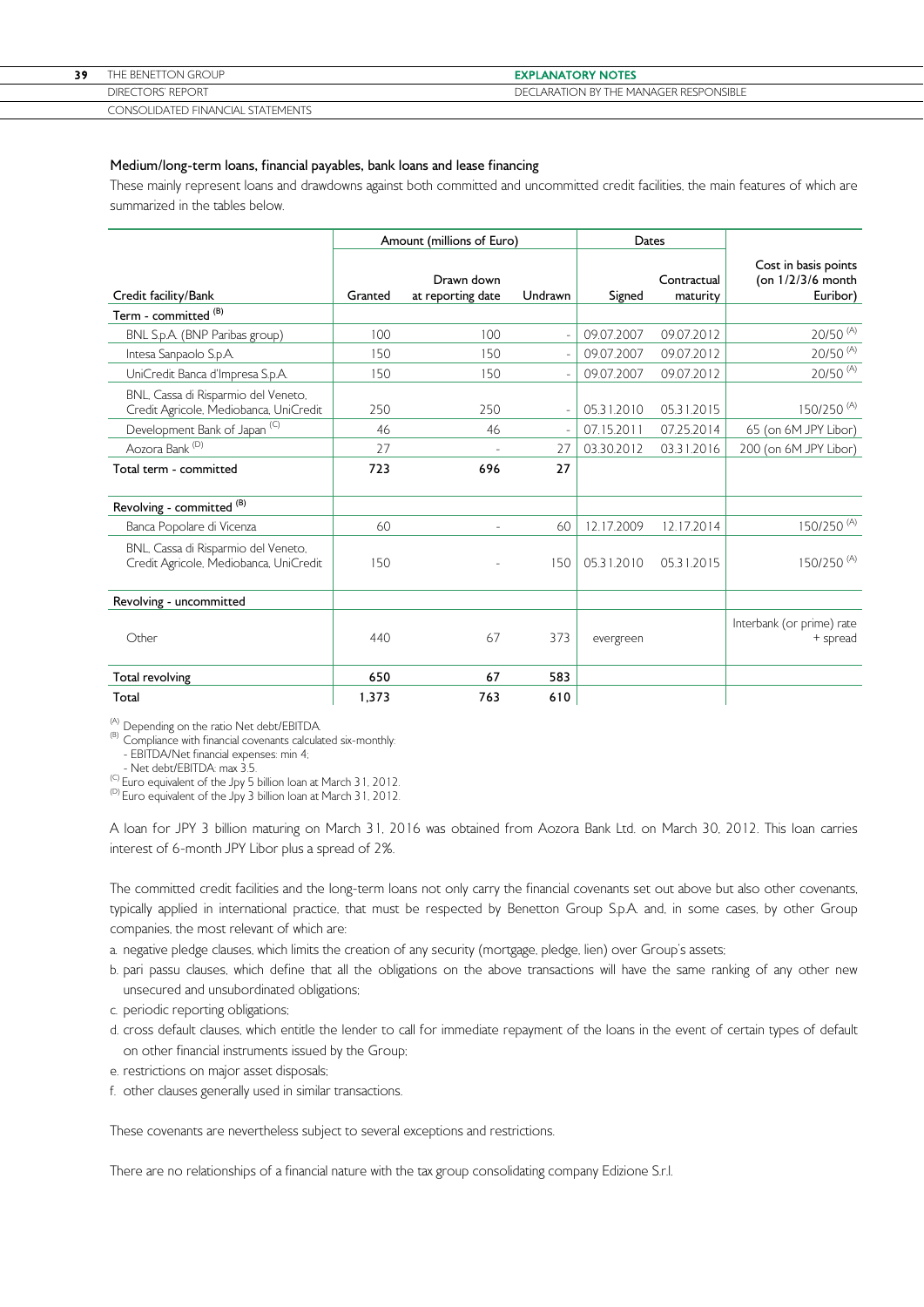| THE BENETTON GROUP                | <b>EXPLANATORY NOTES</b>                   |
|-----------------------------------|--------------------------------------------|
| DIRECTORS' REPORT                 | LARATION BY THE MANAGER RESPONSIBLE<br>DFC |
| CONSOLIDATED FINANCIAL STATEMENTS |                                            |

#### Medium/long-term loans, financial payables, bank loans and lease financing

These mainly represent loans and drawdowns against both committed and uncommitted credit facilities, the main features of which are summarized in the tables below.

|                                                                               |         | Amount (millions of Euro)       |                          | Dates      |                         |                                                         |
|-------------------------------------------------------------------------------|---------|---------------------------------|--------------------------|------------|-------------------------|---------------------------------------------------------|
| Credit facility/Bank                                                          | Granted | Drawn down<br>at reporting date | Undrawn                  | Signed     | Contractual<br>maturity | Cost in basis points<br>(on $1/2/3/6$ month<br>Euribor) |
| Term - committed <sup>(B)</sup>                                               |         |                                 |                          |            |                         |                                                         |
| BNL S.p.A. (BNP Paribas group)                                                | 100     | 100                             | ÷,                       | 09.07.2007 | 09.07.2012              | $20/50$ <sup>(A)</sup>                                  |
| Intesa Sanpaolo S.p.A.                                                        | 150     | 150                             | $\overline{\phantom{a}}$ | 09.07.2007 | 09.07.2012              | $20/50$ <sup>(A)</sup>                                  |
| UniCredit Banca d'Impresa S.p.A.                                              | 150     | 150                             |                          | 09.07.2007 | 09.07.2012              | $20/50$ <sup>(A)</sup>                                  |
| BNL, Cassa di Risparmio del Veneto,<br>Credit Agricole, Mediobanca, UniCredit | 250     | 250                             | $\overline{\phantom{a}}$ | 05.31.2010 | 05.31.2015              | 150/250 <sup>(A)</sup>                                  |
| Development Bank of Japan <sup>(C)</sup>                                      | 46      | 46                              | $\overline{\phantom{a}}$ | 07.15.2011 | 07.25.2014              | 65 (on 6M JPY Libor)                                    |
| Aozora Bank (D)                                                               | 27      | $\overline{\phantom{a}}$        | 27                       | 03.30.2012 | 03.31.2016              | 200 (on 6M JPY Libor)                                   |
| Total term - committed                                                        | 723     | 696                             | 27                       |            |                         |                                                         |
| Revolving - committed <sup>(B)</sup>                                          |         |                                 |                          |            |                         |                                                         |
| Banca Popolare di Vicenza                                                     | 60      |                                 | 60                       | 12.17.2009 | 12.17.2014              | 150/250 <sup>(A)</sup>                                  |
| BNL, Cassa di Risparmio del Veneto,<br>Credit Agricole, Mediobanca, UniCredit | 150     |                                 | 150                      | 05.31.2010 | 05.31.2015              | 150/250 <sup>(A)</sup>                                  |
| Revolving - uncommitted                                                       |         |                                 |                          |            |                         |                                                         |
| Other                                                                         | 440     | 67                              | 373                      | evergreen  |                         | Interbank (or prime) rate<br>+ spread                   |
| Total revolving                                                               | 650     | 67                              | 583                      |            |                         |                                                         |
| Total                                                                         | 1,373   | 763                             | 610                      |            |                         |                                                         |

 $(4)$ <br>(B) Depending on the ratio Net debt/EBITDA.<br>(B) Compliance with financial covenants calculated six-monthly:

- EBITDA/Net financial expenses: min 4;

- Net debt/EBITDA: max 3.5.<br><sup>(C)</sup> Euro equivalent of the Jpy 5 billion loan at March 31, 2012.

 $(D)$  Euro equivalent of the Jpy 3 billion loan at March 31, 2012.

A loan for JPY 3 billion maturing on March 31, 2016 was obtained from Aozora Bank Ltd. on March 30, 2012. This loan carries interest of 6-month JPY Libor plus a spread of 2%.

The committed credit facilities and the long-term loans not only carry the financial covenants set out above but also other covenants, typically applied in international practice, that must be respected by Benetton Group S.p.A. and, in some cases, by other Group companies, the most relevant of which are:

a. negative pledge clauses, which limits the creation of any security (mortgage, pledge, lien) over Group's assets;

- b. pari passu clauses, which define that all the obligations on the above transactions will have the same ranking of any other new unsecured and unsubordinated obligations;
- c. periodic reporting obligations;
- d. cross default clauses, which entitle the lender to call for immediate repayment of the loans in the event of certain types of default on other financial instruments issued by the Group;
- e. restrictions on major asset disposals;
- f. other clauses generally used in similar transactions.

These covenants are nevertheless subject to several exceptions and restrictions.

There are no relationships of a financial nature with the tax group consolidating company Edizione S.r.l.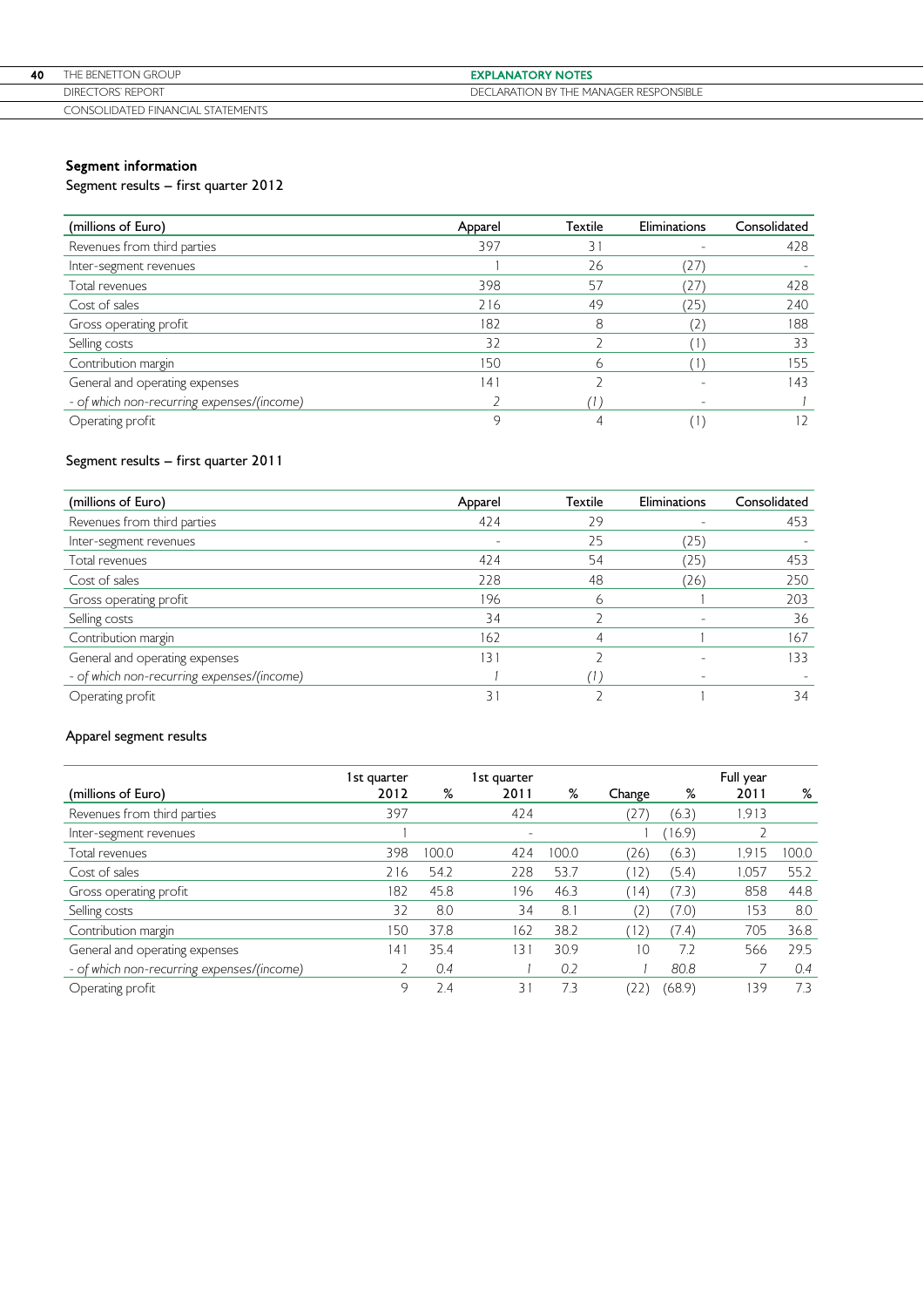| 40 | THE BENETTON GROUP                | <b>EXPLANATORY NOTES</b>               |
|----|-----------------------------------|----------------------------------------|
|    | <b>DIRECTORS' REPORT</b>          | DECLARATION BY THE MANAGER RESPONSIBLE |
|    | CONSOLIDATED FINANCIAL STATEMENTS |                                        |

# Segment information

Segment results – first quarter 2012

| (millions of Euro)                         | Apparel | Textile | Eliminations  | Consolidated |
|--------------------------------------------|---------|---------|---------------|--------------|
| Revenues from third parties                | 397     | 31      |               | 428          |
| Inter-segment revenues                     |         | 26      | (27           |              |
| Total revenues                             | 398     | 57      | 27            | 428          |
| Cost of sales                              | 216     | 49      | (25)          | 240          |
| Gross operating profit                     | 182     | 8       | $\mathcal{L}$ | 188          |
| Selling costs                              | 32      |         |               | 33           |
| Contribution margin                        | 150     | 6       |               | 155          |
| General and operating expenses             | 41      |         |               | 143          |
| - of which non-recurring expenses/(income) |         |         |               |              |
| Operating profit                           | q       |         |               | 12           |

# Segment results – first quarter 2011

| (millions of Euro)                         | Apparel | Textile | Eliminations | Consolidated |
|--------------------------------------------|---------|---------|--------------|--------------|
| Revenues from third parties                | 424     | 29      |              | 453          |
| Inter-segment revenues                     |         | 25      | (25)         |              |
| Total revenues                             | 424     | 54      | (25)         | 453          |
| Cost of sales                              | 228     | 48      | (26)         | 250          |
| Gross operating profit                     | 196     | ь       |              | 203          |
| Selling costs                              | 34      |         |              | 36           |
| Contribution margin                        | 162     |         |              | 167          |
| General and operating expenses             | 131     |         |              | 133          |
| - of which non-recurring expenses/(income) |         |         |              |              |
| Operating profit                           | 3.      |         |              | 34           |

# Apparel segment results

|                                            | 1st quarter |       | 1st quarter              |       |                        |        | Full year |       |
|--------------------------------------------|-------------|-------|--------------------------|-------|------------------------|--------|-----------|-------|
| (millions of Euro)                         | 2012        | %     | 2011                     | %     | Change                 | %      | 2011      | ℅     |
| Revenues from third parties                | 397         |       | 424                      |       | (27                    | (6.3)  | 1.913     |       |
| Inter-segment revenues                     |             |       | $\overline{\phantom{a}}$ |       |                        | 16.9   |           |       |
| Total revenues                             | 398         | 100.0 | 424                      | 100.0 | (26)                   | (6.3)  | 1.915     | 100.0 |
| Cost of sales                              | 216         | 54.2  | 228                      | 53.7  | (12)                   | (5.4)  | 1.057     | 55.2  |
| Gross operating profit                     | 182         | 45.8  | 196                      | 46.3  | (14)                   | (7.3)  | 858       | 44.8  |
| Selling costs                              | 32          | 8.0   | 34                       | 8.1   | $\mathcal{L}^{\prime}$ | (7.0)  | 153       | 8.0   |
| Contribution margin                        | 150         | 37.8  | 162                      | 38.2  | (12)                   | (7.4)  | 705       | 36.8  |
| General and operating expenses             | 141         | 35.4  | $\overline{31}$          | 30.9  | 10                     | 7.2    | 566       | 29.5  |
| - of which non-recurring expenses/(income) |             | 0.4   |                          | 0.2   |                        | 80.8   |           | 0.4   |
| Operating profit                           | 9           | 2.4   | $\overline{3}$           | 7.3   |                        | (68.9) | 139       | 73    |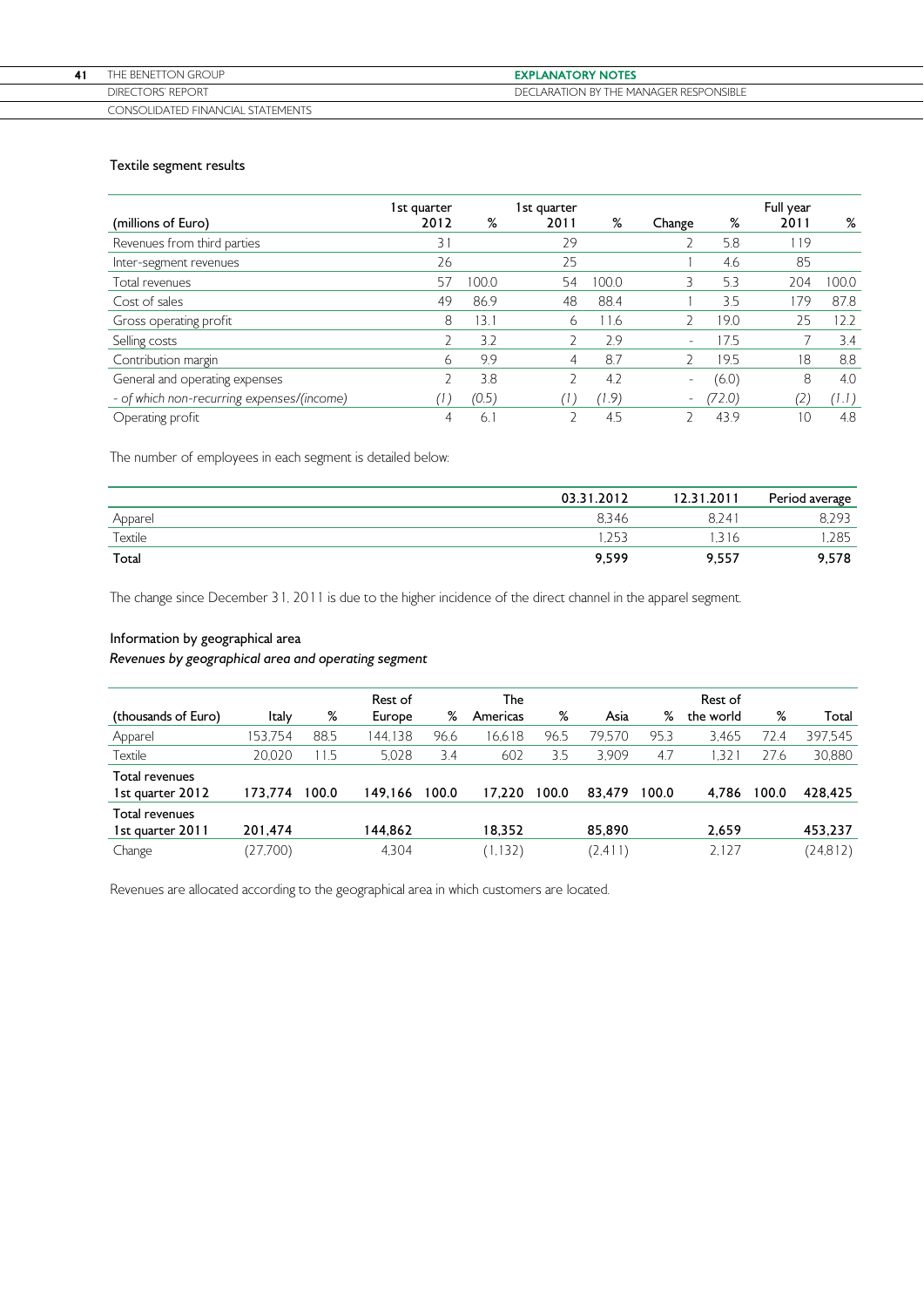| THE BENETTON GROUP                | <b>EXPLANATORY NOTES</b>               |
|-----------------------------------|----------------------------------------|
| <b>DIRECTORS' REPORT</b>          | DECLARATION BY THE MANAGER RESPONSIBLE |
| CONSOLIDATED FINANCIAL STATEMENTS |                                        |

# Textile segment results

|                                            | 1st quarter |       | 1st quarter |       |                          |        | Full year |       |
|--------------------------------------------|-------------|-------|-------------|-------|--------------------------|--------|-----------|-------|
| (millions of Euro)                         | 2012        | %     | 2011        | %     | Change                   | %      | 2011      | %     |
| Revenues from third parties                | 31          |       | 29          |       |                          | 5.8    | 119       |       |
| Inter-segment revenues                     | 26          |       | 25          |       |                          | 4.6    | 85        |       |
| Total revenues                             | 57          | 100.0 | 54          | 100.0 |                          | 5.3    | 204       | 00.0  |
| Cost of sales                              | 49          | 86.9  | 48          | 88.4  |                          | 3.5    | 179       | 87.8  |
| Gross operating profit                     | 8           | 3.1   | 6           | 11.6  |                          | 19.0   | 25        | 12.2  |
| Selling costs                              |             | 3.2   |             | 2.9   | $\overline{\phantom{0}}$ | 17.5   |           | 3.4   |
| Contribution margin                        | 6           | 9.9   | 4           | 8.7   |                          | 19.5   | 8         | 8.8   |
| General and operating expenses             |             | 3.8   |             | 4.2   | $\overline{\phantom{0}}$ | (6.0)  | 8         | 4.0   |
| - of which non-recurring expenses/(income) |             | (0.5) |             | 7.9)  | $\overline{\phantom{a}}$ | (72.0) | (2)       | (1.1) |
| Operating profit                           | 4           | 6.    |             | 4.5   |                          | 43.9   | 10        | 4.8   |

The number of employees in each segment is detailed below:

|         | 03.31.2012 | 12.31.2011 | Period average |
|---------|------------|------------|----------------|
| Apparel | 8.346      | 8.24'      | 8.293          |
| Textile | .253       | .316       | .285           |
| Total   | 9.599      | 9.557      | 9,578          |

The change since December 31, 2011 is due to the higher incidence of the direct channel in the apparel segment.

# Information by geographical area

# Revenues by geographical area and operating segment

| (thousands of Euro) | Italy    | %     | Rest of<br>Europe | %     | The<br>Americas | %     | Asia     | %     | Rest of<br>the world | %     | Total    |
|---------------------|----------|-------|-------------------|-------|-----------------|-------|----------|-------|----------------------|-------|----------|
|                     |          |       |                   |       |                 |       |          |       |                      |       |          |
| Apparel             | 153.754  | 88.5  | 144.138           | 96.6  | 16.618          | 96.5  | 79.570   | 95.3  | 3.465                | 72.4  | 397.545  |
| Textile             | 20.020   | 11.5  | 5.028             | 3.4   | 602             | 3.5   | 3.909    | 4.7   | .32                  | 27.6  | 30,880   |
| Total revenues      |          |       |                   |       |                 |       |          |       |                      |       |          |
| 1st quarter 2012    | 173.774  | 100.0 | 149.166           | 100.0 | 17.220          | 100.0 | 83.479   | 100.0 | 4.786                | 100.0 | 428,425  |
| Total revenues      |          |       |                   |       |                 |       |          |       |                      |       |          |
| 1st quarter 2011    | 201,474  |       | 144,862           |       | 18,352          |       | 85,890   |       | 2,659                |       | 453,237  |
| Change              | (27,700) |       | 4.304             |       | (1, 132)        |       | (2, 411) |       | 2.127                |       | (24,812) |

Revenues are allocated according to the geographical area in which customers are located.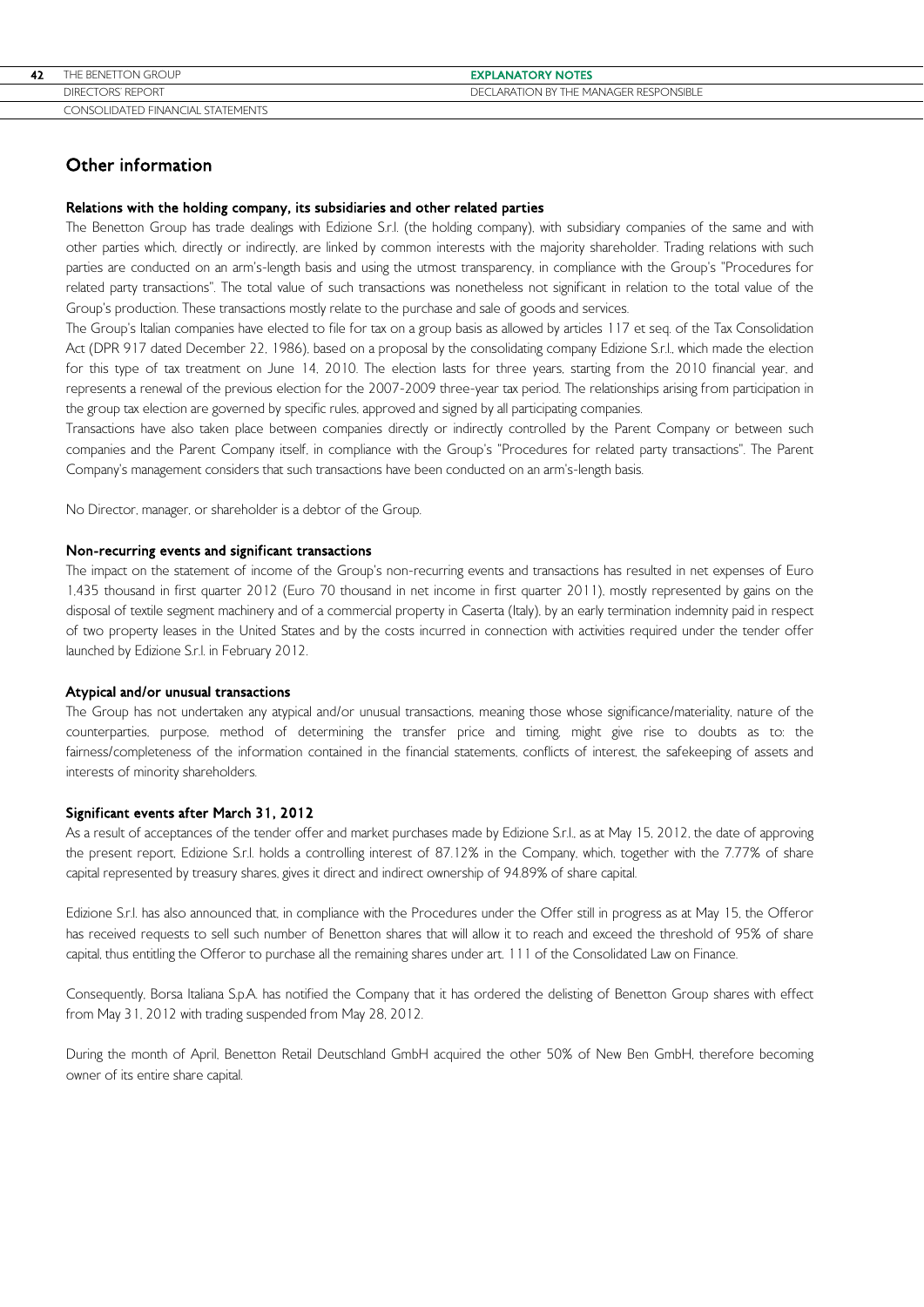| 42 | THE BENETTON GROUP                | <b>EXPLANATORY NOTES</b>               |
|----|-----------------------------------|----------------------------------------|
|    | <b>DIRECTORS' REPORT</b>          | DECLARATION BY THE MANAGER RESPONSIBLE |
|    | CONSOLIDATED FINANCIAL STATEMENTS |                                        |

# Other information

#### Relations with the holding company, its subsidiaries and other related parties

The Benetton Group has trade dealings with Edizione S.r.l. (the holding company), with subsidiary companies of the same and with other parties which, directly or indirectly, are linked by common interests with the majority shareholder. Trading relations with such parties are conducted on an arm's-length basis and using the utmost transparency, in compliance with the Group's "Procedures for related party transactions". The total value of such transactions was nonetheless not significant in relation to the total value of the Group's production. These transactions mostly relate to the purchase and sale of goods and services.

The Group's Italian companies have elected to file for tax on a group basis as allowed by articles 117 et seq. of the Tax Consolidation Act (DPR 917 dated December 22, 1986), based on a proposal by the consolidating company Edizione S.r.l., which made the election for this type of tax treatment on June 14, 2010. The election lasts for three years, starting from the 2010 financial year, and represents a renewal of the previous election for the 2007-2009 three-year tax period. The relationships arising from participation in the group tax election are governed by specific rules, approved and signed by all participating companies.

Transactions have also taken place between companies directly or indirectly controlled by the Parent Company or between such companies and the Parent Company itself, in compliance with the Group's "Procedures for related party transactions". The Parent Company's management considers that such transactions have been conducted on an arm's-length basis.

No Director, manager, or shareholder is a debtor of the Group.

# Non-recurring events and significant transactions

The impact on the statement of income of the Group's non-recurring events and transactions has resulted in net expenses of Euro 1,435 thousand in first quarter 2012 (Euro 70 thousand in net income in first quarter 2011), mostly represented by gains on the disposal of textile segment machinery and of a commercial property in Caserta (Italy), by an early termination indemnity paid in respect of two property leases in the United States and by the costs incurred in connection with activities required under the tender offer launched by Edizione S.r.l. in February 2012.

### Atypical and/or unusual transactions

The Group has not undertaken any atypical and/or unusual transactions, meaning those whose significance/materiality, nature of the counterparties, purpose, method of determining the transfer price and timing, might give rise to doubts as to: the fairness/completeness of the information contained in the financial statements, conflicts of interest, the safekeeping of assets and interests of minority shareholders.

### Significant events after March 31, 2012

As a result of acceptances of the tender offer and market purchases made by Edizione S.r.l., as at May 15, 2012, the date of approving the present report, Edizione S.r.l. holds a controlling interest of 87.12% in the Company, which, together with the 7.77% of share capital represented by treasury shares, gives it direct and indirect ownership of 94.89% of share capital.

Edizione S.r.l. has also announced that, in compliance with the Procedures under the Offer still in progress as at May 15, the Offeror has received requests to sell such number of Benetton shares that will allow it to reach and exceed the threshold of 95% of share capital, thus entitling the Offeror to purchase all the remaining shares under art. 111 of the Consolidated Law on Finance.

Consequently, Borsa Italiana S.p.A. has notified the Company that it has ordered the delisting of Benetton Group shares with effect from May 31, 2012 with trading suspended from May 28, 2012.

During the month of April, Benetton Retail Deutschland GmbH acquired the other 50% of New Ben GmbH, therefore becoming owner of its entire share capital.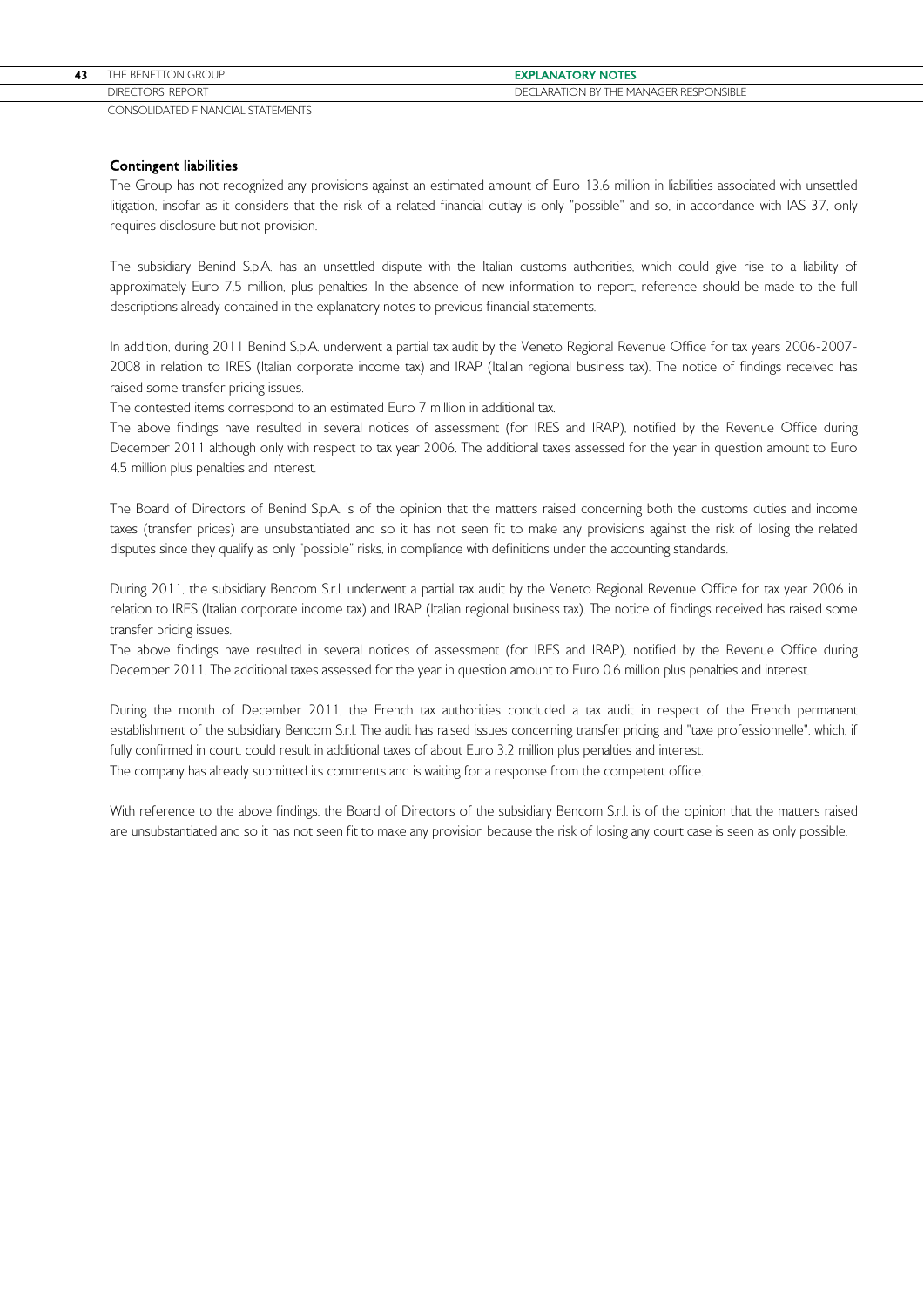| THE BENETTON GROUP                | <b>EXPLANATORY NOTES</b>               |
|-----------------------------------|----------------------------------------|
| DIRECTORS' REPORT                 | DECLARATION BY THE MANAGER RESPONSIBLE |
| CONSOLIDATED FINANCIAL STATEMENTS |                                        |

# Contingent liabilities

The Group has not recognized any provisions against an estimated amount of Euro 13.6 million in liabilities associated with unsettled litigation, insofar as it considers that the risk of a related financial outlay is only "possible" and so, in accordance with IAS 37, only requires disclosure but not provision.

The subsidiary Benind S.p.A. has an unsettled dispute with the Italian customs authorities, which could give rise to a liability of approximately Euro 7.5 million, plus penalties. In the absence of new information to report, reference should be made to the full descriptions already contained in the explanatory notes to previous financial statements.

In addition, during 2011 Benind S.p.A. underwent a partial tax audit by the Veneto Regional Revenue Office for tax years 2006-2007- 2008 in relation to IRES (Italian corporate income tax) and IRAP (Italian regional business tax). The notice of findings received has raised some transfer pricing issues.

The contested items correspond to an estimated Euro 7 million in additional tax.

The above findings have resulted in several notices of assessment (for IRES and IRAP), notified by the Revenue Office during December 2011 although only with respect to tax year 2006. The additional taxes assessed for the year in question amount to Euro 4.5 million plus penalties and interest.

The Board of Directors of Benind S.p.A. is of the opinion that the matters raised concerning both the customs duties and income taxes (transfer prices) are unsubstantiated and so it has not seen fit to make any provisions against the risk of losing the related disputes since they qualify as only "possible" risks, in compliance with definitions under the accounting standards.

During 2011, the subsidiary Bencom S.r.l. underwent a partial tax audit by the Veneto Regional Revenue Office for tax year 2006 in relation to IRES (Italian corporate income tax) and IRAP (Italian regional business tax). The notice of findings received has raised some transfer pricing issues.

The above findings have resulted in several notices of assessment (for IRES and IRAP), notified by the Revenue Office during December 2011. The additional taxes assessed for the year in question amount to Euro 0.6 million plus penalties and interest.

During the month of December 2011, the French tax authorities concluded a tax audit in respect of the French permanent establishment of the subsidiary Bencom S.r.l. The audit has raised issues concerning transfer pricing and "taxe professionnelle", which, if fully confirmed in court, could result in additional taxes of about Euro 3.2 million plus penalties and interest. The company has already submitted its comments and is waiting for a response from the competent office.

With reference to the above findings, the Board of Directors of the subsidiary Bencom S.r.l. is of the opinion that the matters raised are unsubstantiated and so it has not seen fit to make any provision because the risk of losing any court case is seen as only possible.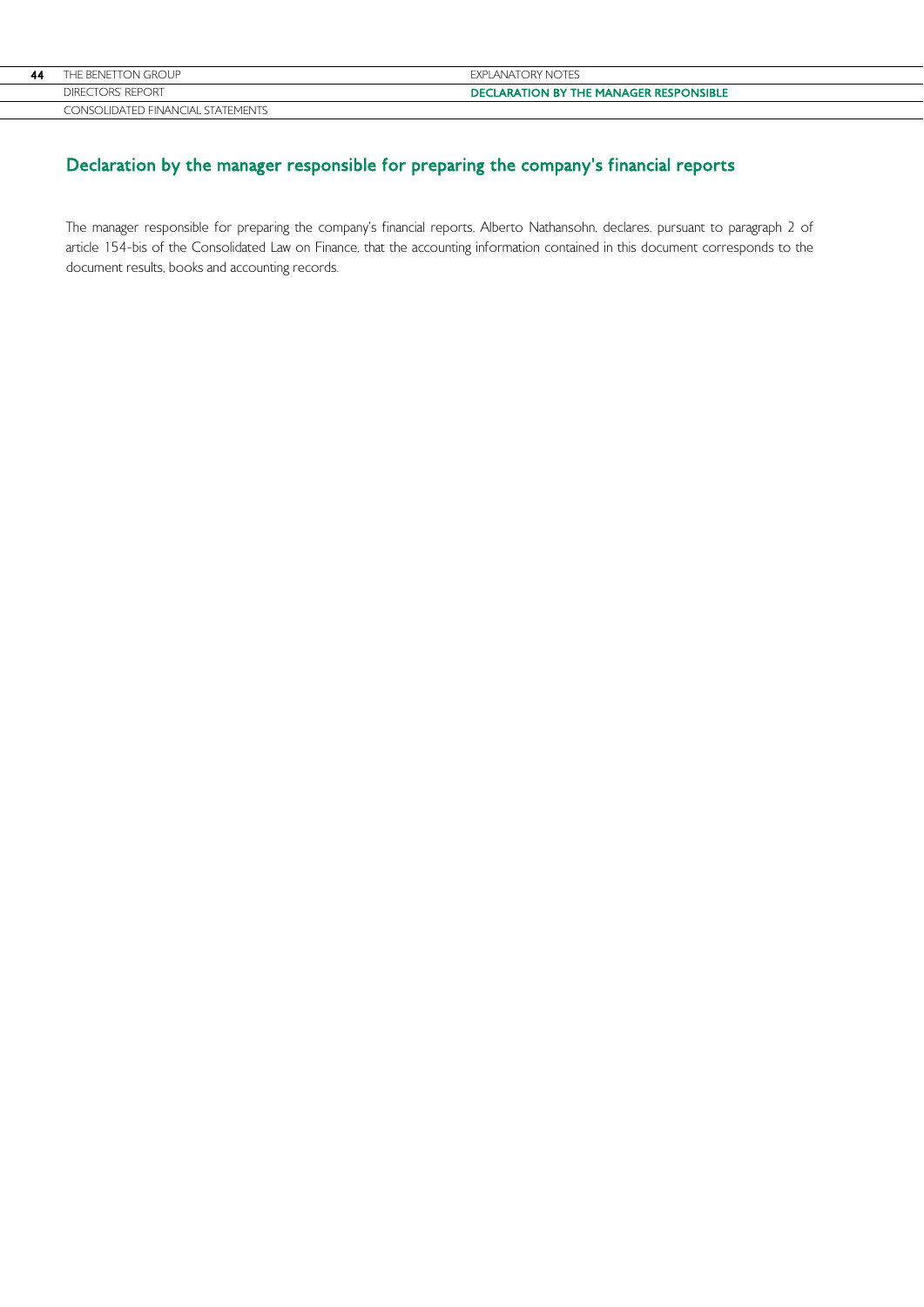| 44 | THE BENETTON GROUP                       | EXPLANATORY NOTES                             |
|----|------------------------------------------|-----------------------------------------------|
|    | DIRECTORS' REPORT                        | <b>DECLARATION BY THE MANAGER RESPONSIBLE</b> |
|    | <b>CONSOLIDATED FINANCIAL STATEMENTS</b> |                                               |

# Declaration by the manager responsible for preparing the company's financial reports

The manager responsible for preparing the company's financial reports, Alberto Nathansohn, declares, pursuant to paragraph 2 of article 154-bis of the Consolidated Law on Finance, that the accounting information contained in this document corresponds to the document results, books and accounting records.